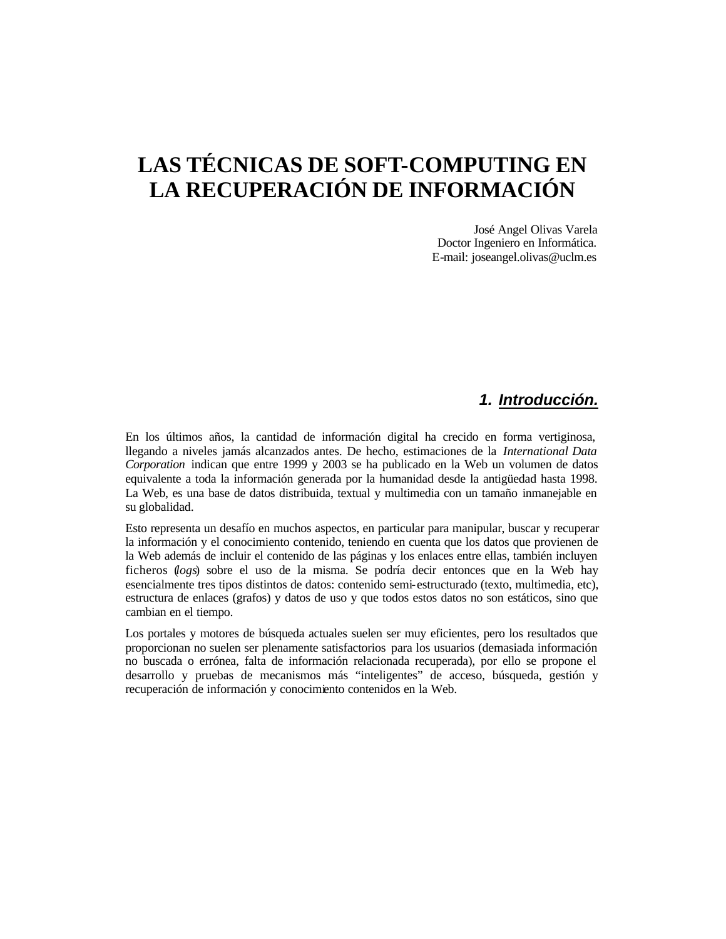# **LAS TÉCNICAS DE SOFT-COMPUTING EN LA RECUPERACIÓN DE INFORMACIÓN**

José Angel Olivas Varela Doctor Ingeniero en Informática. E-mail: joseangel.olivas@uclm.es

# *1. Introducción.*

En los últimos años, la cantidad de información digital ha crecido en forma vertiginosa, llegando a niveles jamás alcanzados antes. De hecho, estimaciones de la *International Data Corporation* indican que entre 1999 y 2003 se ha publicado en la Web un volumen de datos equivalente a toda la información generada por la humanidad desde la antigüedad hasta 1998. La Web, es una base de datos distribuida, textual y multimedia con un tamaño inmanejable en su globalidad.

Esto representa un desafío en muchos aspectos, en particular para manipular, buscar y recuperar la información y el conocimiento contenido, teniendo en cuenta que los datos que provienen de la Web además de incluir el contenido de las páginas y los enlaces entre ellas, también incluyen ficheros (*logs*) sobre el uso de la misma. Se podría decir entonces que en la Web hay esencialmente tres tipos distintos de datos: contenido semi-estructurado (texto, multimedia, etc), estructura de enlaces (grafos) y datos de uso y que todos estos datos no son estáticos, sino que cambian en el tiempo.

Los portales y motores de búsqueda actuales suelen ser muy eficientes, pero los resultados que proporcionan no suelen ser plenamente satisfactorios para los usuarios (demasiada información no buscada o errónea, falta de información relacionada recuperada), por ello se propone el desarrollo y pruebas de mecanismos más "inteligentes" de acceso, búsqueda, gestión y recuperación de información y conocimiento contenidos en la Web.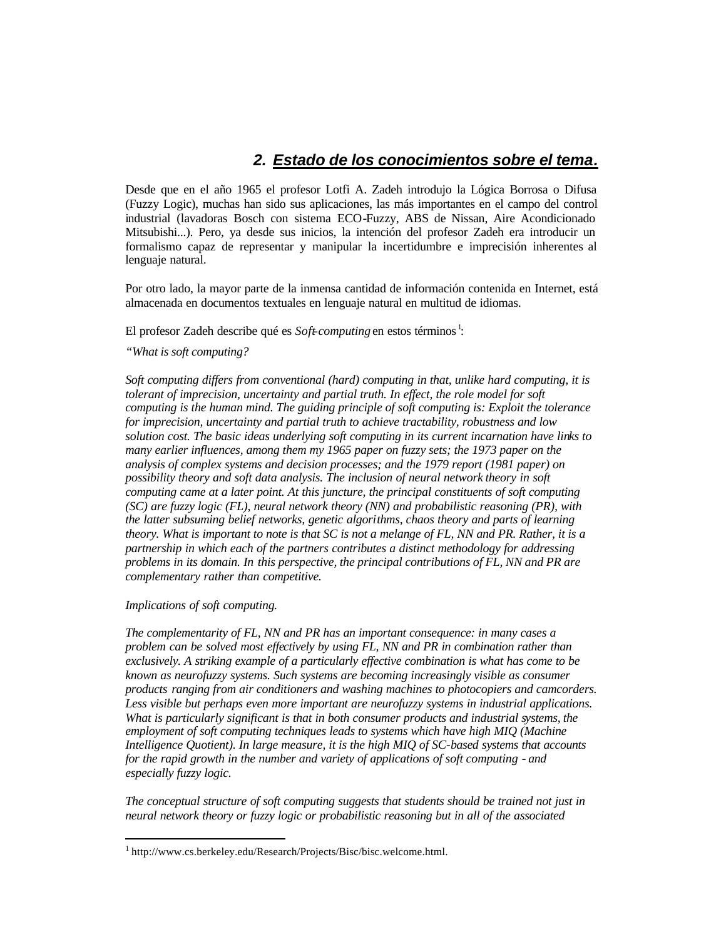# *2. Estado de los conocimientos sobre el tema.*

Desde que en el año 1965 el profesor Lotfi A. Zadeh introdujo la Lógica Borrosa o Difusa (Fuzzy Logic), muchas han sido sus aplicaciones, las más importantes en el campo del control industrial (lavadoras Bosch con sistema ECO-Fuzzy, ABS de Nissan, Aire Acondicionado Mitsubishi...). Pero, ya desde sus inicios, la intención del profesor Zadeh era introducir un formalismo capaz de representar y manipular la incertidumbre e imprecisión inherentes al lenguaje natural.

Por otro lado, la mayor parte de la inmensa cantidad de información contenida en Internet, está almacenada en documentos textuales en lenguaje natural en multitud de idiomas.

El profesor Zadeh describe qué es *Soft-computing* en estos términos<sup>1</sup>:

*"What is soft computing?* 

*Soft computing differs from conventional (hard) computing in that, unlike hard computing, it is tolerant of imprecision, uncertainty and partial truth. In effect, the role model for soft computing is the human mind. The guiding principle of soft computing is: Exploit the tolerance for imprecision, uncertainty and partial truth to achieve tractability, robustness and low solution cost. The basic ideas underlying soft computing in its current incarnation have links to many earlier influences, among them my 1965 paper on fuzzy sets; the 1973 paper on the analysis of complex systems and decision processes; and the 1979 report (1981 paper) on possibility theory and soft data analysis. The inclusion of neural network theory in soft computing came at a later point. At this juncture, the principal constituents of soft computing (SC) are fuzzy logic (FL), neural network theory (NN) and probabilistic reasoning (PR), with the latter subsuming belief networks, genetic algorithms, chaos theory and parts of learning theory. What is important to note is that SC is not a melange of FL, NN and PR. Rather, it is a partnership in which each of the partners contributes a distinct methodology for addressing problems in its domain. In this perspective, the principal contributions of FL, NN and PR are complementary rather than competitive.* 

*Implications of soft computing.* 

 $\overline{\phantom{a}}$ 

*The complementarity of FL, NN and PR has an important consequence: in many cases a problem can be solved most effectively by using FL, NN and PR in combination rather than exclusively. A striking example of a particularly effective combination is what has come to be known as neurofuzzy systems. Such systems are becoming increasingly visible as consumer products ranging from air conditioners and washing machines to photocopiers and camcorders. Less visible but perhaps even more important are neurofuzzy systems in industrial applications. What is particularly significant is that in both consumer products and industrial systems, the employment of soft computing techniques leads to systems which have high MIQ (Machine Intelligence Quotient). In large measure, it is the high MIQ of SC-based systems that accounts for the rapid growth in the number and variety of applications of soft computing - and especially fuzzy logic.* 

*The conceptual structure of soft computing suggests that students should be trained not just in neural network theory or fuzzy logic or probabilistic reasoning but in all of the associated* 

<sup>&</sup>lt;sup>1</sup> http://www.cs.berkeley.edu/Research/Projects/Bisc/bisc.welcome.html.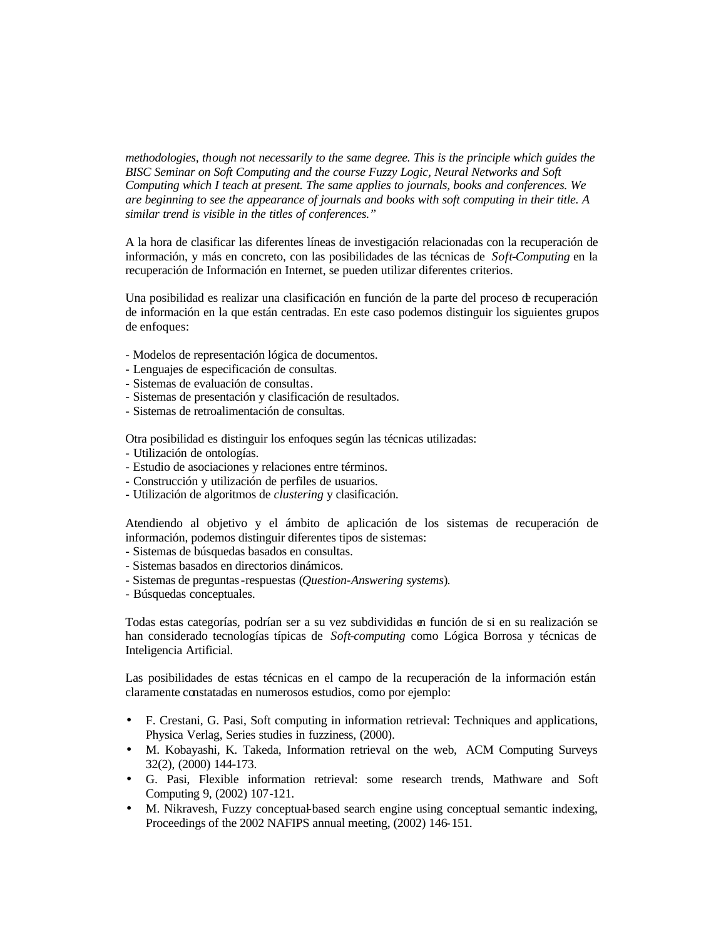*methodologies, though not necessarily to the same degree. This is the principle which guides the BISC Seminar on Soft Computing and the course Fuzzy Logic, Neural Networks and Soft Computing which I teach at present. The same applies to journals, books and conferences. We are beginning to see the appearance of journals and books with soft computing in their title. A similar trend is visible in the titles of conferences."*

A la hora de clasificar las diferentes líneas de investigación relacionadas con la recuperación de información, y más en concreto, con las posibilidades de las técnicas de *Soft-Computing* en la recuperación de Información en Internet, se pueden utilizar diferentes criterios.

Una posibilidad es realizar una clasificación en función de la parte del proceso de recuperación de información en la que están centradas. En este caso podemos distinguir los siguientes grupos de enfoques:

- Modelos de representación lógica de documentos.
- Lenguajes de especificación de consultas.
- Sistemas de evaluación de consultas.
- Sistemas de presentación y clasificación de resultados.
- Sistemas de retroalimentación de consultas.

Otra posibilidad es distinguir los enfoques según las técnicas utilizadas:

- Utilización de ontologías.
- Estudio de asociaciones y relaciones entre términos.
- Construcción y utilización de perfiles de usuarios.
- Utilización de algoritmos de *clustering* y clasificación.

Atendiendo al objetivo y el ámbito de aplicación de los sistemas de recuperación de información, podemos distinguir diferentes tipos de sistemas:

- Sistemas de búsquedas basados en consultas.
- Sistemas basados en directorios dinámicos.
- Sistemas de preguntas-respuestas (*Question-Answering systems*).
- Búsquedas conceptuales.

Todas estas categorías, podrían ser a su vez subdivididas en función de si en su realización se han considerado tecnologías típicas de *Soft-computing* como Lógica Borrosa y técnicas de Inteligencia Artificial.

Las posibilidades de estas técnicas en el campo de la recuperación de la información están claramente constatadas en numerosos estudios, como por ejemplo:

- F. Crestani, G. Pasi, Soft computing in information retrieval: Techniques and applications, Physica Verlag, Series studies in fuzziness, (2000).
- M. Kobayashi, K. Takeda, Information retrieval on the web, ACM Computing Surveys 32(2), (2000) 144-173.
- G. Pasi, Flexible information retrieval: some research trends, Mathware and Soft Computing 9, (2002) 107-121.
- M. Nikravesh, Fuzzy conceptual-based search engine using conceptual semantic indexing, Proceedings of the 2002 NAFIPS annual meeting, (2002) 146-151.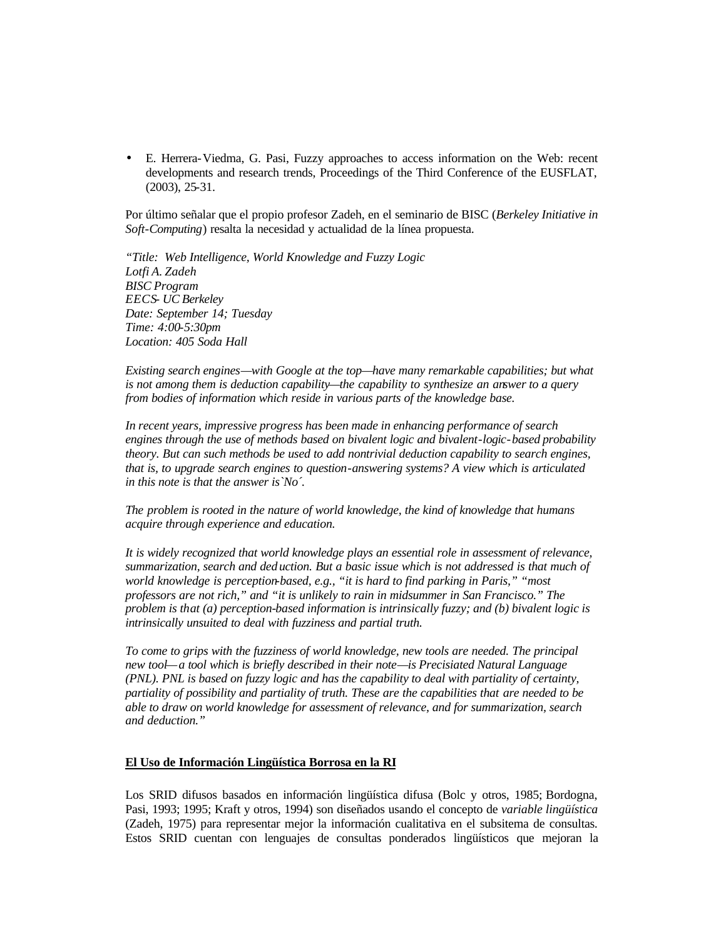• E. Herrera-Viedma, G. Pasi, Fuzzy approaches to access information on the Web: recent developments and research trends, Proceedings of the Third Conference of the EUSFLAT, (2003), 25-31.

Por último señalar que el propio profesor Zadeh, en el seminario de BISC (*Berkeley Initiative in Soft-Computing*) resalta la necesidad y actualidad de la línea propuesta.

*"Title: Web Intelligence, World Knowledge and Fuzzy Logic Lotfi A. Zadeh BISC Program EECS- UC Berkeley Date: September 14; Tuesday Time: 4:00-5:30pm Location: 405 Soda Hall*

*Existing search engines—with Google at the top—have many remarkable capabilities; but what is not among them is deduction capability—the capability to synthesize an answer to a query from bodies of information which reside in various parts of the knowledge base.*

*In recent years, impressive progress has been made in enhancing performance of search engines through the use of methods based on bivalent logic and bivalent-logic-based probability theory. But can such methods be used to add nontrivial deduction capability to search engines, that is, to upgrade search engines to question-answering systems? A view which is articulated in this note is that the answer is`No´.*

*The problem is rooted in the nature of world knowledge, the kind of knowledge that humans acquire through experience and education.*

*It is widely recognized that world knowledge plays an essential role in assessment of relevance, summarization, search and ded uction. But a basic issue which is not addressed is that much of world knowledge is perception-based, e.g., "it is hard to find parking in Paris," "most professors are not rich," and "it is unlikely to rain in midsummer in San Francisco." The problem is that (a) perception-based information is intrinsically fuzzy; and (b) bivalent logic is intrinsically unsuited to deal with fuzziness and partial truth.*

*To come to grips with the fuzziness of world knowledge, new tools are needed. The principal new tool—a tool which is briefly described in their note—is Precisiated Natural Language (PNL). PNL is based on fuzzy logic and has the capability to deal with partiality of certainty, partiality of possibility and partiality of truth. These are the capabilities that are needed to be able to draw on world knowledge for assessment of relevance, and for summarization, search and deduction."*

# **El Uso de Información Lingüística Borrosa en la RI**

Los SRID difusos basados en información lingüística difusa (Bolc y otros, 1985; Bordogna, Pasi, 1993; 1995; Kraft y otros, 1994) son diseñados usando el concepto de *variable lingüística*  (Zadeh, 1975) para representar mejor la información cualitativa en el subsitema de consultas*.* Estos SRID cuentan con lenguajes de consultas ponderados lingüísticos que mejoran la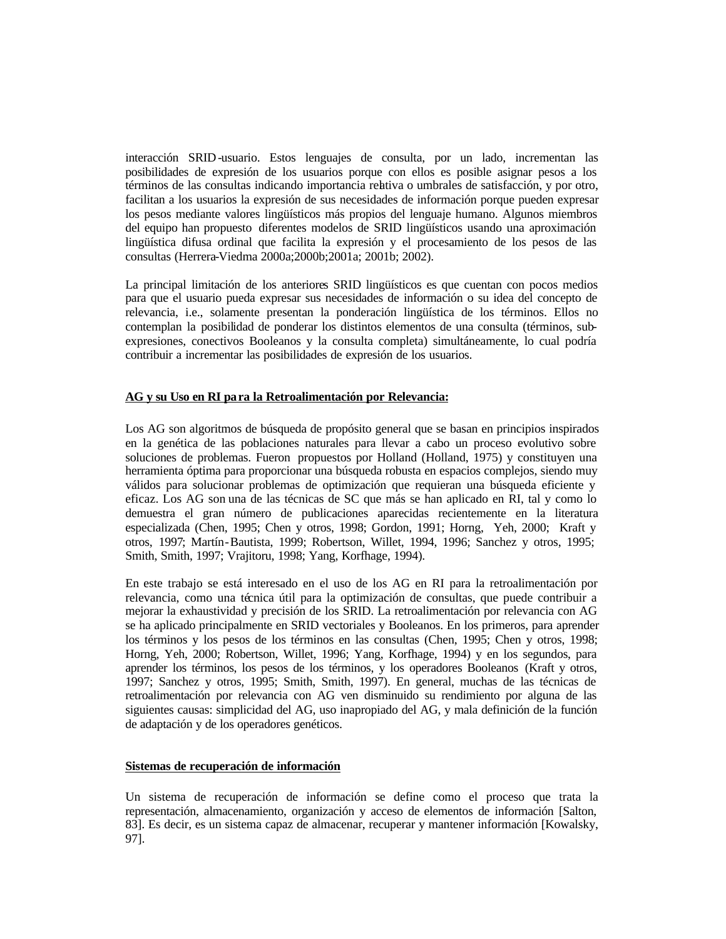interacción SRID-usuario. Estos lenguajes de consulta, por un lado, incrementan las posibilidades de expresión de los usuarios porque con ellos es posible asignar pesos a los términos de las consultas indicando importancia relativa o umbrales de satisfacción, y por otro, facilitan a los usuarios la expresión de sus necesidades de información porque pueden expresar los pesos mediante valores lingüísticos más propios del lenguaje humano. Algunos miembros del equipo han propuesto diferentes modelos de SRID lingüísticos usando una aproximación lingüística difusa ordinal que facilita la expresión y el procesamiento de los pesos de las consultas (Herrera-Viedma 2000a;2000b;2001a; 2001b; 2002).

La principal limitación de los anteriores SRID lingüísticos es que cuentan con pocos medios para que el usuario pueda expresar sus necesidades de información o su idea del concepto de relevancia, i.e., solamente presentan la ponderación lingüística de los términos. Ellos no contemplan la posibilidad de ponderar los distintos elementos de una consulta (términos, subexpresiones, conectivos Booleanos y la consulta completa) simultáneamente, lo cual podría contribuir a incrementar las posibilidades de expresión de los usuarios.

# **AG y su Uso en RI para la Retroalimentación por Relevancia:**

Los AG son algoritmos de búsqueda de propósito general que se basan en principios inspirados en la genética de las poblaciones naturales para llevar a cabo un proceso evolutivo sobre soluciones de problemas. Fueron propuestos por Holland (Holland, 1975) y constituyen una herramienta óptima para proporcionar una búsqueda robusta en espacios complejos, siendo muy válidos para solucionar problemas de optimización que requieran una búsqueda eficiente y eficaz. Los AG son una de las técnicas de SC que más se han aplicado en RI, tal y como lo demuestra el gran número de publicaciones aparecidas recientemente en la literatura especializada (Chen, 1995; Chen y otros, 1998; Gordon, 1991; Horng, Yeh, 2000; Kraft y otros, 1997; Martín-Bautista, 1999; Robertson, Willet, 1994, 1996; Sanchez y otros, 1995; Smith, Smith, 1997; Vrajitoru, 1998; Yang, Korfhage, 1994).

En este trabajo se está interesado en el uso de los AG en RI para la retroalimentación por relevancia, como una técnica útil para la optimización de consultas, que puede contribuir a mejorar la exhaustividad y precisión de los SRID. La retroalimentación por relevancia con AG se ha aplicado principalmente en SRID vectoriales y Booleanos. En los primeros, para aprender los términos y los pesos de los términos en las consultas (Chen, 1995; Chen y otros, 1998; Horng, Yeh, 2000; Robertson, Willet, 1996; Yang, Korfhage, 1994) y en los segundos, para aprender los términos, los pesos de los términos, y los operadores Booleanos (Kraft y otros, 1997; Sanchez y otros, 1995; Smith, Smith, 1997). En general, muchas de las técnicas de retroalimentación por relevancia con AG ven disminuido su rendimiento por alguna de las siguientes causas: simplicidad del AG, uso inapropiado del AG, y mala definición de la función de adaptación y de los operadores genéticos.

#### **Sistemas de recuperación de información**

Un sistema de recuperación de información se define como el proceso que trata la representación, almacenamiento, organización y acceso de elementos de información [Salton, 83]. Es decir, es un sistema capaz de almacenar, recuperar y mantener información [Kowalsky, 97].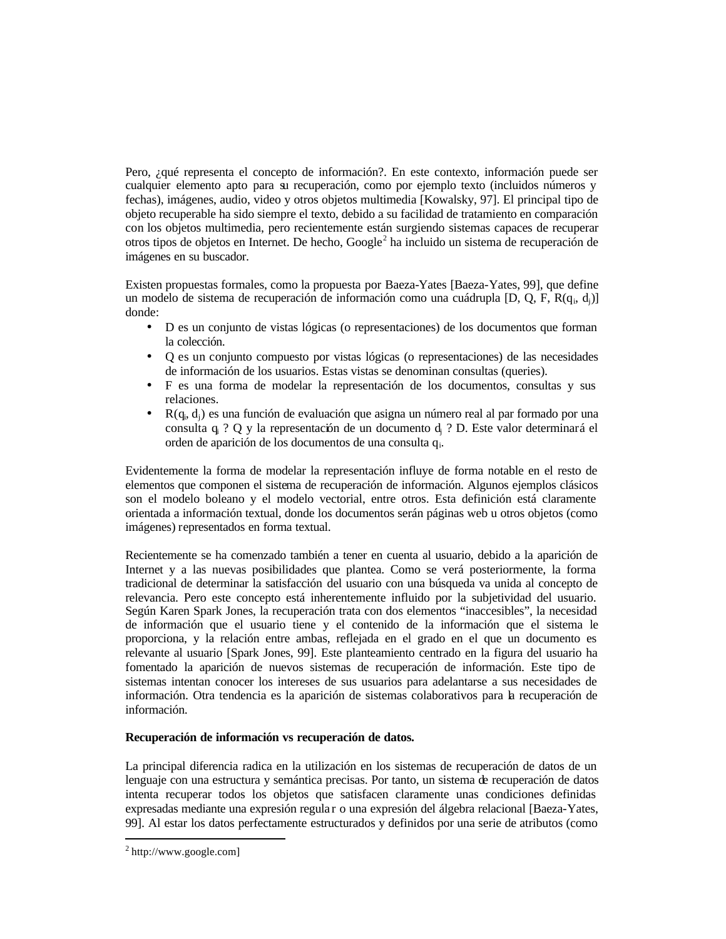Pero, ¿qué representa el concepto de información?. En este contexto, información puede ser cualquier elemento apto para su recuperación, como por ejemplo texto (incluidos números y fechas), imágenes, audio, video y otros objetos multimedia [Kowalsky, 97]. El principal tipo de objeto recuperable ha sido siempre el texto, debido a su facilidad de tratamiento en comparación con los objetos multimedia, pero recientemente están surgiendo sistemas capaces de recuperar otros tipos de objetos en Internet. De hecho, Google<sup>2</sup> ha incluido un sistema de recuperación de imágenes en su buscador.

Existen propuestas formales, como la propuesta por Baeza-Yates [Baeza-Yates, 99], que define un modelo de sistema de recuperación de información como una cuádrupla  $[D, Q, F, R(q_i, d_j)]$ donde:

- D es un conjunto de vistas lógicas (o representaciones) de los documentos que forman la colección.
- Q es un conjunto compuesto por vistas lógicas (o representaciones) de las necesidades de información de los usuarios. Estas vistas se denominan consultas (queries).
- F es una forma de modelar la representación de los documentos, consultas y sus relaciones.
- $R(q_i, d_j)$  es una función de evaluación que asigna un número real al par formado por una consulta q<sub>i</sub> ? Q y la representación de un documento d<sub>i</sub> ? D. Este valor determinará el orden de aparición de los documentos de una consulta q<sup>i</sup> .

Evidentemente la forma de modelar la representación influye de forma notable en el resto de elementos que componen el sistema de recuperación de información. Algunos ejemplos clásicos son el modelo boleano y el modelo vectorial, entre otros. Esta definición está claramente orientada a información textual, donde los documentos serán páginas web u otros objetos (como imágenes) representados en forma textual.

Recientemente se ha comenzado también a tener en cuenta al usuario, debido a la aparición de Internet y a las nuevas posibilidades que plantea. Como se verá posteriormente, la forma tradicional de determinar la satisfacción del usuario con una búsqueda va unida al concepto de relevancia. Pero este concepto está inherentemente influido por la subjetividad del usuario. Según Karen Spark Jones, la recuperación trata con dos elementos "inaccesibles", la necesidad de información que el usuario tiene y el contenido de la información que el sistema le proporciona, y la relación entre ambas, reflejada en el grado en el que un documento es relevante al usuario [Spark Jones, 99]. Este planteamiento centrado en la figura del usuario ha fomentado la aparición de nuevos sistemas de recuperación de información. Este tipo de sistemas intentan conocer los intereses de sus usuarios para adelantarse a sus necesidades de información. Otra tendencia es la aparición de sistemas colaborativos para la recuperación de información.

# **Recuperación de información vs recuperación de datos.**

La principal diferencia radica en la utilización en los sistemas de recuperación de datos de un lenguaje con una estructura y semántica precisas. Por tanto, un sistema de recuperación de datos intenta recuperar todos los objetos que satisfacen claramente unas condiciones definidas expresadas mediante una expresión regula r o una expresión del álgebra relacional [Baeza-Yates, 99]. Al estar los datos perfectamente estructurados y definidos por una serie de atributos (como

l

<sup>&</sup>lt;sup>2</sup> http://www.google.com]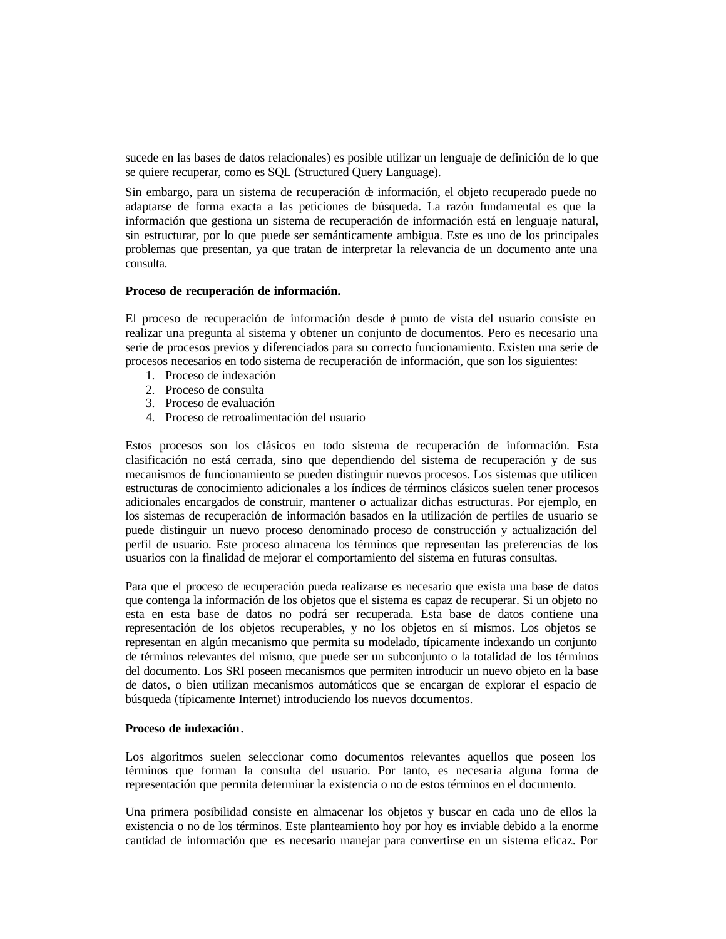sucede en las bases de datos relacionales) es posible utilizar un lenguaje de definición de lo que se quiere recuperar, como es SQL (Structured Query Language).

Sin embargo, para un sistema de recuperación de información, el objeto recuperado puede no adaptarse de forma exacta a las peticiones de búsqueda. La razón fundamental es que la información que gestiona un sistema de recuperación de información está en lenguaje natural, sin estructurar, por lo que puede ser semánticamente ambigua. Este es uno de los principales problemas que presentan, ya que tratan de interpretar la relevancia de un documento ante una consulta.

#### **Proceso de recuperación de información.**

El proceso de recuperación de información desde el punto de vista del usuario consiste en realizar una pregunta al sistema y obtener un conjunto de documentos. Pero es necesario una serie de procesos previos y diferenciados para su correcto funcionamiento. Existen una serie de procesos necesarios en todo sistema de recuperación de información, que son los siguientes:

- 1. Proceso de indexación
- 2. Proceso de consulta
- 3. Proceso de evaluación
- 4. Proceso de retroalimentación del usuario

Estos procesos son los clásicos en todo sistema de recuperación de información. Esta clasificación no está cerrada, sino que dependiendo del sistema de recuperación y de sus mecanismos de funcionamiento se pueden distinguir nuevos procesos. Los sistemas que utilicen estructuras de conocimiento adicionales a los índices de términos clásicos suelen tener procesos adicionales encargados de construir, mantener o actualizar dichas estructuras. Por ejemplo, en los sistemas de recuperación de información basados en la utilización de perfiles de usuario se puede distinguir un nuevo proceso denominado proceso de construcción y actualización del perfil de usuario. Este proceso almacena los términos que representan las preferencias de los usuarios con la finalidad de mejorar el comportamiento del sistema en futuras consultas.

Para que el proceso de recuperación pueda realizarse es necesario que exista una base de datos que contenga la información de los objetos que el sistema es capaz de recuperar. Si un objeto no esta en esta base de datos no podrá ser recuperada. Esta base de datos contiene una representación de los objetos recuperables, y no los objetos en sí mismos. Los objetos se representan en algún mecanismo que permita su modelado, típicamente indexando un conjunto de términos relevantes del mismo, que puede ser un subconjunto o la totalidad de los términos del documento. Los SRI poseen mecanismos que permiten introducir un nuevo objeto en la base de datos, o bien utilizan mecanismos automáticos que se encargan de explorar el espacio de búsqueda (típicamente Internet) introduciendo los nuevos documentos.

## **Proceso de indexación.**

Los algoritmos suelen seleccionar como documentos relevantes aquellos que poseen los términos que forman la consulta del usuario. Por tanto, es necesaria alguna forma de representación que permita determinar la existencia o no de estos términos en el documento.

Una primera posibilidad consiste en almacenar los objetos y buscar en cada uno de ellos la existencia o no de los términos. Este planteamiento hoy por hoy es inviable debido a la enorme cantidad de información que es necesario manejar para convertirse en un sistema eficaz. Por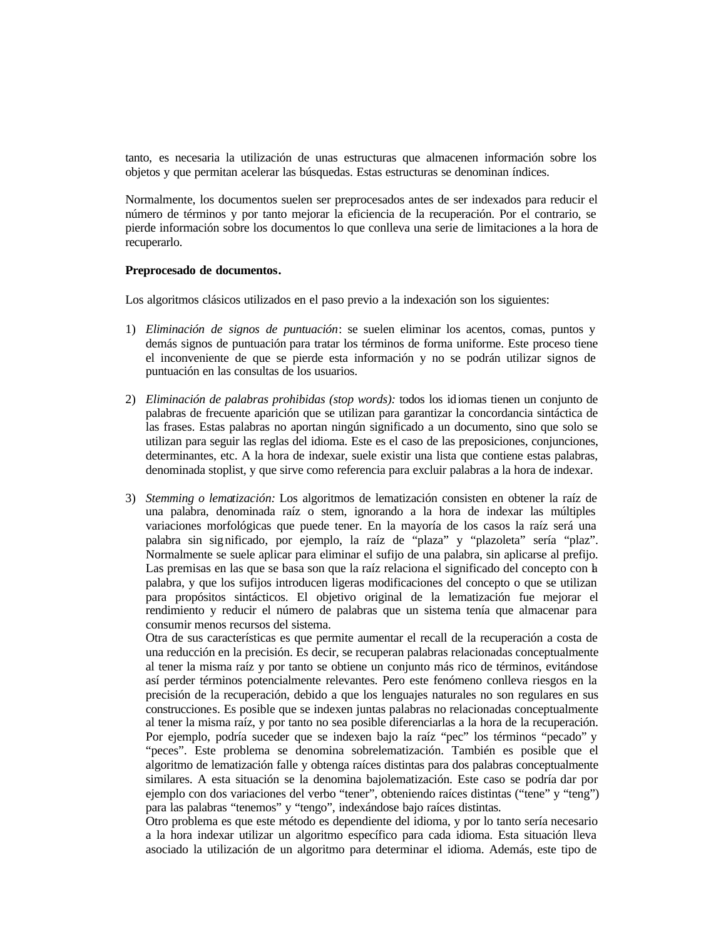tanto, es necesaria la utilización de unas estructuras que almacenen información sobre los objetos y que permitan acelerar las búsquedas. Estas estructuras se denominan índices.

Normalmente, los documentos suelen ser preprocesados antes de ser indexados para reducir el número de términos y por tanto mejorar la eficiencia de la recuperación. Por el contrario, se pierde información sobre los documentos lo que conlleva una serie de limitaciones a la hora de recuperarlo.

#### **Preprocesado de documentos.**

Los algoritmos clásicos utilizados en el paso previo a la indexación son los siguientes:

- 1) *Eliminación de signos de puntuación*: se suelen eliminar los acentos, comas, puntos y demás signos de puntuación para tratar los términos de forma uniforme. Este proceso tiene el inconveniente de que se pierde esta información y no se podrán utilizar signos de puntuación en las consultas de los usuarios.
- 2) *Eliminación de palabras prohibidas (stop words):* todos los idiomas tienen un conjunto de palabras de frecuente aparición que se utilizan para garantizar la concordancia sintáctica de las frases. Estas palabras no aportan ningún significado a un documento, sino que solo se utilizan para seguir las reglas del idioma. Este es el caso de las preposiciones, conjunciones, determinantes, etc. A la hora de indexar, suele existir una lista que contiene estas palabras, denominada stoplist, y que sirve como referencia para excluir palabras a la hora de indexar.
- 3) *Stemming o lematización:* Los algoritmos de lematización consisten en obtener la raíz de una palabra, denominada raíz o stem, ignorando a la hora de indexar las múltiples variaciones morfológicas que puede tener. En la mayoría de los casos la raíz será una palabra sin significado, por ejemplo, la raíz de "plaza" y "plazoleta" sería "plaz". Normalmente se suele aplicar para eliminar el sufijo de una palabra, sin aplicarse al prefijo. Las premisas en las que se basa son que la raíz relaciona el significado del concepto con h palabra, y que los sufijos introducen ligeras modificaciones del concepto o que se utilizan para propósitos sintácticos. El objetivo original de la lematización fue mejorar el rendimiento y reducir el número de palabras que un sistema tenía que almacenar para consumir menos recursos del sistema.

Otra de sus características es que permite aumentar el recall de la recuperación a costa de una reducción en la precisión. Es decir, se recuperan palabras relacionadas conceptualmente al tener la misma raíz y por tanto se obtiene un conjunto más rico de términos, evitándose así perder términos potencialmente relevantes. Pero este fenómeno conlleva riesgos en la precisión de la recuperación, debido a que los lenguajes naturales no son regulares en sus construcciones. Es posible que se indexen juntas palabras no relacionadas conceptualmente al tener la misma raíz, y por tanto no sea posible diferenciarlas a la hora de la recuperación. Por ejemplo, podría suceder que se indexen bajo la raíz "pec" los términos "pecado" y "peces". Este problema se denomina sobrelematización. También es posible que el algoritmo de lematización falle y obtenga raíces distintas para dos palabras conceptualmente similares. A esta situación se la denomina bajolematización. Este caso se podría dar por ejemplo con dos variaciones del verbo "tener", obteniendo raíces distintas ("tene" y "teng") para las palabras "tenemos" y "tengo", indexándose bajo raíces distintas.

Otro problema es que este método es dependiente del idioma, y por lo tanto sería necesario a la hora indexar utilizar un algoritmo específico para cada idioma. Esta situación lleva asociado la utilización de un algoritmo para determinar el idioma. Además, este tipo de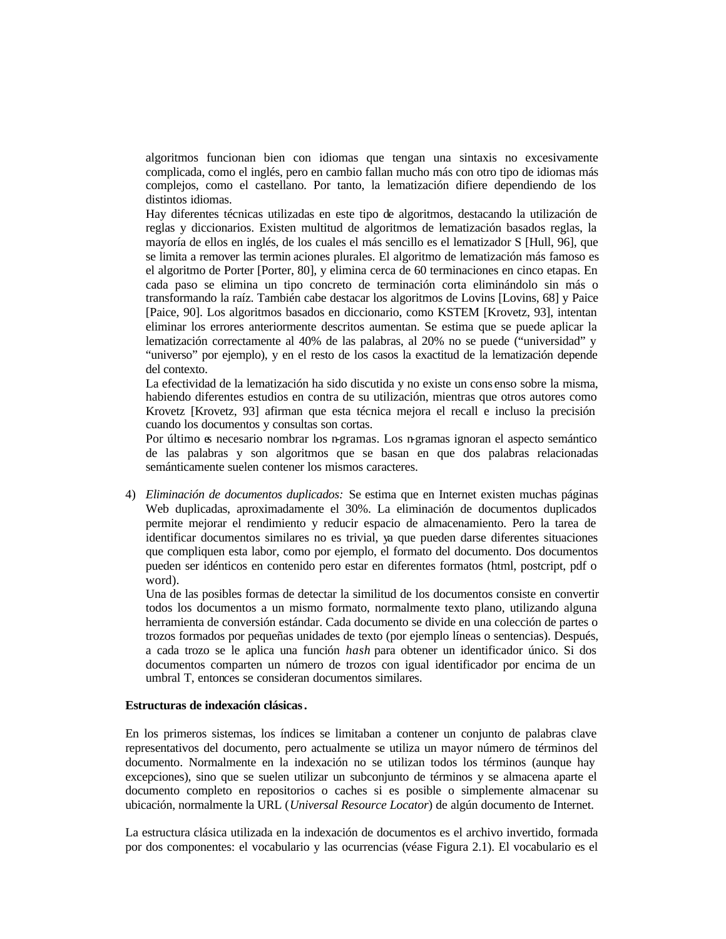algoritmos funcionan bien con idiomas que tengan una sintaxis no excesivamente complicada, como el inglés, pero en cambio fallan mucho más con otro tipo de idiomas más complejos, como el castellano. Por tanto, la lematización difiere dependiendo de los distintos idiomas.

Hay diferentes técnicas utilizadas en este tipo de algoritmos, destacando la utilización de reglas y diccionarios. Existen multitud de algoritmos de lematización basados reglas, la mayoría de ellos en inglés, de los cuales el más sencillo es el lematizador S [Hull, 96], que se limita a remover las termin aciones plurales. El algoritmo de lematización más famoso es el algoritmo de Porter [Porter, 80], y elimina cerca de 60 terminaciones en cinco etapas. En cada paso se elimina un tipo concreto de terminación corta eliminándolo sin más o transformando la raíz. También cabe destacar los algoritmos de Lovins [Lovins, 68] y Paice [Paice, 90]. Los algoritmos basados en diccionario, como KSTEM [Krovetz, 93], intentan eliminar los errores anteriormente descritos aumentan. Se estima que se puede aplicar la lematización correctamente al 40% de las palabras, al 20% no se puede ("universidad" y "universo" por ejemplo), y en el resto de los casos la exactitud de la lematización depende del contexto.

La efectividad de la lematización ha sido discutida y no existe un cons enso sobre la misma, habiendo diferentes estudios en contra de su utilización, mientras que otros autores como Krovetz [Krovetz, 93] afirman que esta técnica mejora el recall e incluso la precisión cuando los documentos y consultas son cortas.

Por último es necesario nombrar los n-gramas. Los n-gramas ignoran el aspecto semántico de las palabras y son algoritmos que se basan en que dos palabras relacionadas semánticamente suelen contener los mismos caracteres.

4) *Eliminación de documentos duplicados:* Se estima que en Internet existen muchas páginas Web duplicadas, aproximadamente el 30%. La eliminación de documentos duplicados permite mejorar el rendimiento y reducir espacio de almacenamiento. Pero la tarea de identificar documentos similares no es trivial, ya que pueden darse diferentes situaciones que compliquen esta labor, como por ejemplo, el formato del documento. Dos documentos pueden ser idénticos en contenido pero estar en diferentes formatos (html, postcript, pdf o word).

Una de las posibles formas de detectar la similitud de los documentos consiste en convertir todos los documentos a un mismo formato, normalmente texto plano, utilizando alguna herramienta de conversión estándar. Cada documento se divide en una colección de partes o trozos formados por pequeñas unidades de texto (por ejemplo líneas o sentencias). Después, a cada trozo se le aplica una función *hash* para obtener un identificador único. Si dos documentos comparten un número de trozos con igual identificador por encima de un umbral T, entonces se consideran documentos similares.

## **Estructuras de indexación clásicas.**

En los primeros sistemas, los índices se limitaban a contener un conjunto de palabras clave representativos del documento, pero actualmente se utiliza un mayor número de términos del documento. Normalmente en la indexación no se utilizan todos los términos (aunque hay excepciones), sino que se suelen utilizar un subconjunto de términos y se almacena aparte el documento completo en repositorios o caches si es posible o simplemente almacenar su ubicación, normalmente la URL (*Universal Resource Locator*) de algún documento de Internet.

La estructura clásica utilizada en la indexación de documentos es el archivo invertido, formada por dos componentes: el vocabulario y las ocurrencias (véase Figura 2.1). El vocabulario es el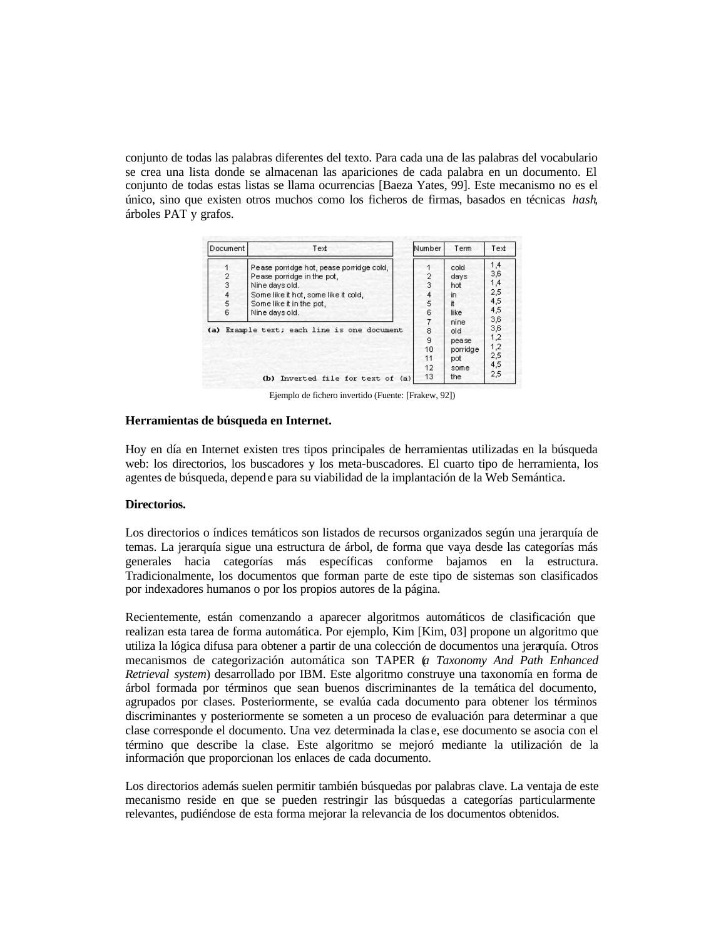conjunto de todas las palabras diferentes del texto. Para cada una de las palabras del vocabulario se crea una lista donde se almacenan las apariciones de cada palabra en un documento. El conjunto de todas estas listas se llama ocurrencias [Baeza Yates, 99]. Este mecanismo no es el único, sino que existen otros muchos como los ficheros de firmas, basados en técnicas *hash*, árboles PAT y grafos.

| Document                                    | Text                                        | Number | Term     | Text            |
|---------------------------------------------|---------------------------------------------|--------|----------|-----------------|
|                                             | Pease porridge hot, pease porridge cold,    |        | cold     | 1,4             |
| 2                                           | Pease porridge in the pot.                  | 2      | days     | 3,6             |
| 3                                           | Nine days old.                              | 3      | hot      | 1,4             |
| 4                                           | Some like it hot, some like it cold,        | 4      | in       | 2,5             |
| 5                                           | Some like it in the pot.                    | 5      | it       | 4,5             |
| 6                                           | Nine days old.                              | 6      | like     | 4,5             |
|                                             |                                             | 7      | nine     | 3,6             |
| (a) Example text; each line is one document |                                             |        | old      | 3,6             |
|                                             |                                             | 9      | pease    | 1,2             |
|                                             |                                             | 10     | porridge | $\frac{1}{2,5}$ |
|                                             |                                             | 11     | pot      |                 |
|                                             |                                             | 12     | some     | 4,5             |
|                                             | Inverted file for text of (a)<br><b>(b)</b> | 13     | the      | 2,5             |

Ejemplo de fichero invertido (Fuente: [Frakew, 92])

## **Herramientas de búsqueda en Internet.**

Hoy en día en Internet existen tres tipos principales de herramientas utilizadas en la búsqueda web: los directorios, los buscadores y los meta-buscadores. El cuarto tipo de herramienta, los agentes de búsqueda, depend e para su viabilidad de la implantación de la Web Semántica.

#### **Directorios.**

Los directorios o índices temáticos son listados de recursos organizados según una jerarquía de temas. La jerarquía sigue una estructura de árbol, de forma que vaya desde las categorías más generales hacia categorías más específicas conforme bajamos en la estructura. Tradicionalmente, los documentos que forman parte de este tipo de sistemas son clasificados por indexadores humanos o por los propios autores de la página.

Recientemente, están comenzando a aparecer algoritmos automáticos de clasificación que realizan esta tarea de forma automática. Por ejemplo, Kim [Kim, 03] propone un algoritmo que utiliza la lógica difusa para obtener a partir de una colección de documentos una jerarquía. Otros mecanismos de categorización automática son TAPER (*a Taxonomy And Path Enhanced Retrieval system*) desarrollado por IBM. Este algoritmo construye una taxonomía en forma de árbol formada por términos que sean buenos discriminantes de la temática del documento, agrupados por clases. Posteriormente, se evalúa cada documento para obtener los términos discriminantes y posteriormente se someten a un proceso de evaluación para determinar a que clase corresponde el documento. Una vez determinada la clas e, ese documento se asocia con el término que describe la clase. Este algoritmo se mejoró mediante la utilización de la información que proporcionan los enlaces de cada documento.

Los directorios además suelen permitir también búsquedas por palabras clave. La ventaja de este mecanismo reside en que se pueden restringir las búsquedas a categorías particularmente relevantes, pudiéndose de esta forma mejorar la relevancia de los documentos obtenidos.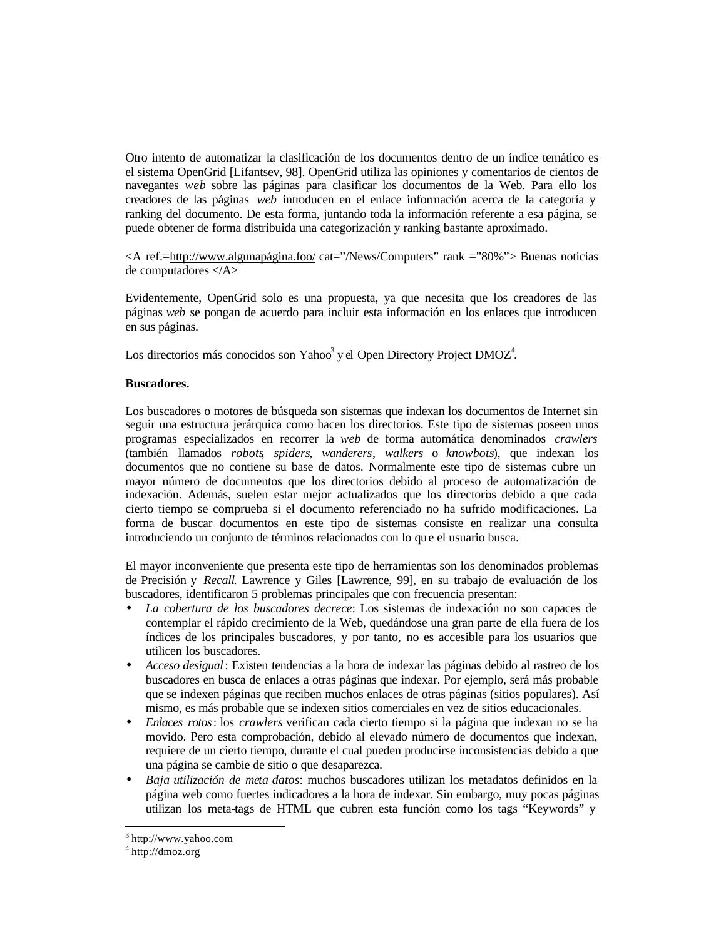Otro intento de automatizar la clasificación de los documentos dentro de un índice temático es el sistema OpenGrid [Lifantsev, 98]. OpenGrid utiliza las opiniones y comentarios de cientos de navegantes *web* sobre las páginas para clasificar los documentos de la Web. Para ello los creadores de las páginas *web* introducen en el enlace información acerca de la categoría y ranking del documento. De esta forma, juntando toda la información referente a esa página, se puede obtener de forma distribuida una categorización y ranking bastante aproximado.

<A ref.=http://www.algunapágina.foo/ cat="/News/Computers" rank ="80%"> Buenas noticias de computadores </A>

Evidentemente, OpenGrid solo es una propuesta, ya que necesita que los creadores de las páginas *web* se pongan de acuerdo para incluir esta información en los enlaces que introducen en sus páginas.

Los directorios más conocidos son Yahoo $3$  y el Open Directory Project DMOZ<sup>4</sup>.

# **Buscadores.**

Los buscadores o motores de búsqueda son sistemas que indexan los documentos de Internet sin seguir una estructura jerárquica como hacen los directorios. Este tipo de sistemas poseen unos programas especializados en recorrer la *web* de forma automática denominados *crawlers* (también llamados *robots*, *spiders*, *wanderers*, *walkers* o *knowbots*), que indexan los documentos que no contiene su base de datos. Normalmente este tipo de sistemas cubre un mayor número de documentos que los directorios debido al proceso de automatización de indexación. Además, suelen estar mejor actualizados que los directorios debido a que cada cierto tiempo se comprueba si el documento referenciado no ha sufrido modificaciones. La forma de buscar documentos en este tipo de sistemas consiste en realizar una consulta introduciendo un conjunto de términos relacionados con lo que el usuario busca.

El mayor inconveniente que presenta este tipo de herramientas son los denominados problemas de Precisión y *Recall*. Lawrence y Giles [Lawrence, 99], en su trabajo de evaluación de los buscadores, identificaron 5 problemas principales que con frecuencia presentan:

- *La cobertura de los buscadores decrece*: Los sistemas de indexación no son capaces de contemplar el rápido crecimiento de la Web, quedándose una gran parte de ella fuera de los índices de los principales buscadores, y por tanto, no es accesible para los usuarios que utilicen los buscadores.
- *Acceso desigual*: Existen tendencias a la hora de indexar las páginas debido al rastreo de los buscadores en busca de enlaces a otras páginas que indexar. Por ejemplo, será más probable que se indexen páginas que reciben muchos enlaces de otras páginas (sitios populares). Así mismo, es más probable que se indexen sitios comerciales en vez de sitios educacionales.
- *Enlaces rotos*: los *crawlers* verifican cada cierto tiempo si la página que indexan no se ha movido. Pero esta comprobación, debido al elevado número de documentos que indexan, requiere de un cierto tiempo, durante el cual pueden producirse inconsistencias debido a que una página se cambie de sitio o que desaparezca.
- *Baja utilización de meta datos*: muchos buscadores utilizan los metadatos definidos en la página web como fuertes indicadores a la hora de indexar. Sin embargo, muy pocas páginas utilizan los meta-tags de HTML que cubren esta función como los tags "Keywords" y

 $\overline{a}$ 

<sup>&</sup>lt;sup>3</sup> http://www.yahoo.com

<sup>4</sup> http://dmoz.org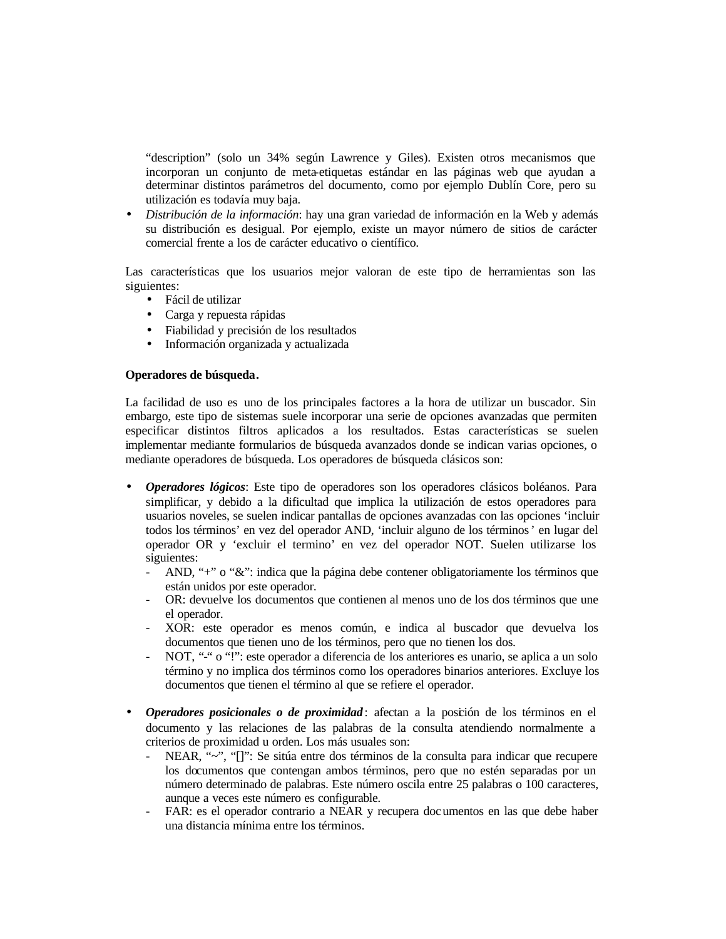"description" (solo un 34% según Lawrence y Giles). Existen otros mecanismos que incorporan un conjunto de meta-etiquetas estándar en las páginas web que ayudan a determinar distintos parámetros del documento, como por ejemplo Dublín Core, pero su utilización es todavía muy baja.

• *Distribución de la información*: hay una gran variedad de información en la Web y además su distribución es desigual. Por ejemplo, existe un mayor número de sitios de carácter comercial frente a los de carácter educativo o científico.

Las características que los usuarios mejor valoran de este tipo de herramientas son las siguientes:

- Fácil de utilizar
- Carga y repuesta rápidas
- Fiabilidad y precisión de los resultados
- Información organizada y actualizada

#### **Operadores de búsqueda.**

La facilidad de uso es uno de los principales factores a la hora de utilizar un buscador. Sin embargo, este tipo de sistemas suele incorporar una serie de opciones avanzadas que permiten especificar distintos filtros aplicados a los resultados. Estas características se suelen implementar mediante formularios de búsqueda avanzados donde se indican varias opciones, o mediante operadores de búsqueda. Los operadores de búsqueda clásicos son:

- *Operadores lógicos*: Este tipo de operadores son los operadores clásicos boléanos. Para simplificar, y debido a la dificultad que implica la utilización de estos operadores para usuarios noveles, se suelen indicar pantallas de opciones avanzadas con las opciones 'incluir todos los términos' en vez del operador AND, 'incluir alguno de los términos' en lugar del operador OR y 'excluir el termino' en vez del operador NOT. Suelen utilizarse los siguientes:
	- AND, "+" o "&": indica que la página debe contener obligatoriamente los términos que están unidos por este operador.
	- OR: devuelve los documentos que contienen al menos uno de los dos términos que une el operador.
	- XOR: este operador es menos común, e indica al buscador que devuelva los documentos que tienen uno de los términos, pero que no tienen los dos.
	- NOT, "-" o "!": este operador a diferencia de los anteriores es unario, se aplica a un solo término y no implica dos términos como los operadores binarios anteriores. Excluye los documentos que tienen el término al que se refiere el operador.
- *Operadores posicionales o de proximidad* : afectan a la posición de los términos en el documento y las relaciones de las palabras de la consulta atendiendo normalmente a criterios de proximidad u orden. Los más usuales son:
	- NEAR, "~", "[]": Se sitúa entre dos términos de la consulta para indicar que recupere los documentos que contengan ambos términos, pero que no estén separadas por un número determinado de palabras. Este número oscila entre 25 palabras o 100 caracteres, aunque a veces este número es configurable.
	- FAR: es el operador contrario a NEAR y recupera doc umentos en las que debe haber una distancia mínima entre los términos.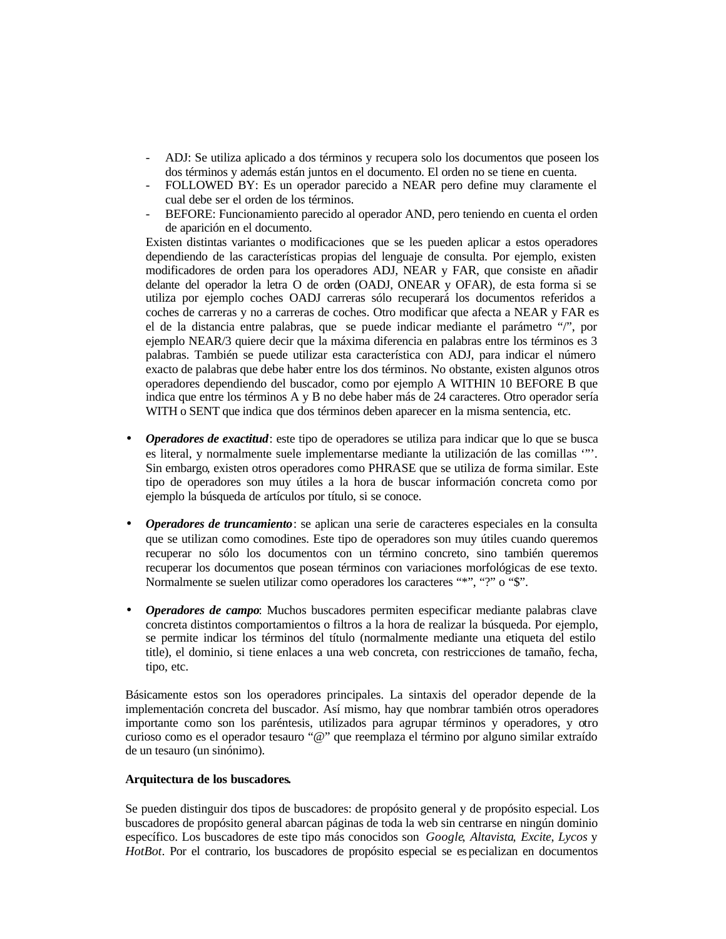- ADJ: Se utiliza aplicado a dos términos y recupera solo los documentos que poseen los dos términos y además están juntos en el documento. El orden no se tiene en cuenta.
- FOLLOWED BY: Es un operador parecido a NEAR pero define muy claramente el cual debe ser el orden de los términos.
- BEFORE: Funcionamiento parecido al operador AND, pero teniendo en cuenta el orden de aparición en el documento.

Existen distintas variantes o modificaciones que se les pueden aplicar a estos operadores dependiendo de las características propias del lenguaje de consulta. Por ejemplo, existen modificadores de orden para los operadores ADJ, NEAR y FAR, que consiste en añadir delante del operador la letra O de orden (OADJ, ONEAR y OFAR), de esta forma si se utiliza por ejemplo coches OADJ carreras sólo recuperará los documentos referidos a coches de carreras y no a carreras de coches. Otro modificar que afecta a NEAR y FAR es el de la distancia entre palabras, que se puede indicar mediante el parámetro "/", por ejemplo NEAR/3 quiere decir que la máxima diferencia en palabras entre los términos es 3 palabras. También se puede utilizar esta característica con ADJ, para indicar el número exacto de palabras que debe haber entre los dos términos. No obstante, existen algunos otros operadores dependiendo del buscador, como por ejemplo A WITHIN 10 BEFORE B que indica que entre los términos A y B no debe haber más de 24 caracteres. Otro operador sería WITH o SENT que indica que dos términos deben aparecer en la misma sentencia, etc.

- *Operadores de exactitud*: este tipo de operadores se utiliza para indicar que lo que se busca es literal, y normalmente suele implementarse mediante la utilización de las comillas '"'. Sin embargo, existen otros operadores como PHRASE que se utiliza de forma similar. Este tipo de operadores son muy útiles a la hora de buscar información concreta como por ejemplo la búsqueda de artículos por título, si se conoce.
- *Operadores de truncamiento*: se aplican una serie de caracteres especiales en la consulta que se utilizan como comodines. Este tipo de operadores son muy útiles cuando queremos recuperar no sólo los documentos con un término concreto, sino también queremos recuperar los documentos que posean términos con variaciones morfológicas de ese texto. Normalmente se suelen utilizar como operadores los caracteres "\*", "?" o "\$".
- *Operadores de campo*: Muchos buscadores permiten especificar mediante palabras clave concreta distintos comportamientos o filtros a la hora de realizar la búsqueda. Por ejemplo, se permite indicar los términos del título (normalmente mediante una etiqueta del estilo title), el dominio, si tiene enlaces a una web concreta, con restricciones de tamaño, fecha, tipo, etc.

Básicamente estos son los operadores principales. La sintaxis del operador depende de la implementación concreta del buscador. Así mismo, hay que nombrar también otros operadores importante como son los paréntesis, utilizados para agrupar términos y operadores, y otro curioso como es el operador tesauro "@" que reemplaza el término por alguno similar extraído de un tesauro (un sinónimo).

#### **Arquitectura de los buscadores.**

Se pueden distinguir dos tipos de buscadores: de propósito general y de propósito especial. Los buscadores de propósito general abarcan páginas de toda la web sin centrarse en ningún dominio específico. Los buscadores de este tipo más conocidos son *Google*, *Altavista*, *Excite*, *Lycos* y *HotBot*. Por el contrario, los buscadores de propósito especial se especializan en documentos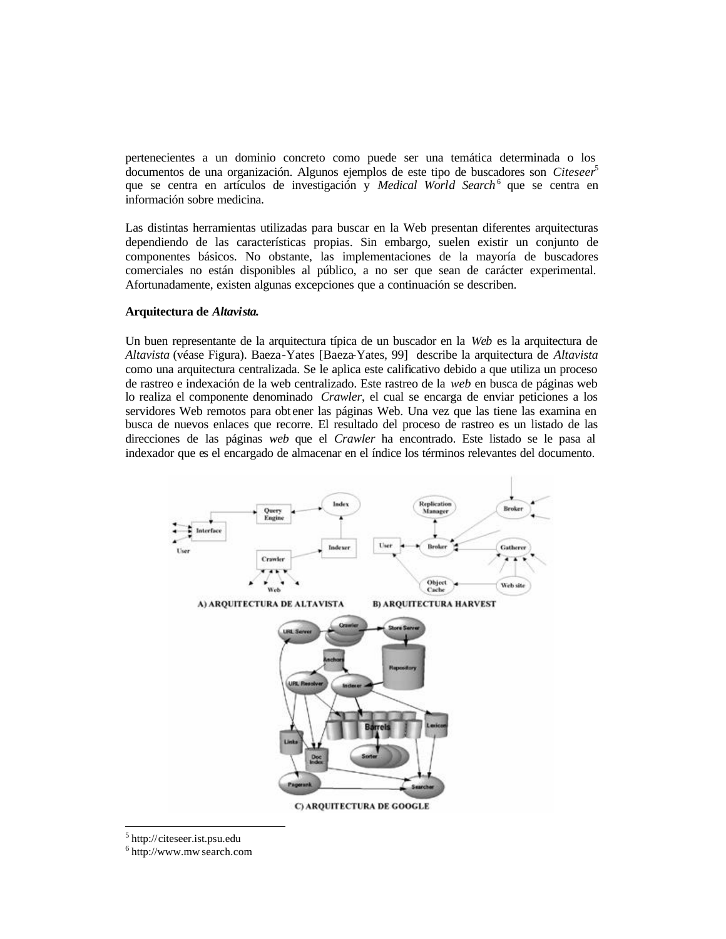pertenecientes a un dominio concreto como puede ser una temática determinada o los documentos de una organización. Algunos ejemplos de este tipo de buscadores son *Citeseer*<sup>5</sup> que se centra en artículos de investigación y *Medical World Search*<sup>6</sup> que se centra en información sobre medicina.

Las distintas herramientas utilizadas para buscar en la Web presentan diferentes arquitecturas dependiendo de las características propias. Sin embargo, suelen existir un conjunto de componentes básicos. No obstante, las implementaciones de la mayoría de buscadores comerciales no están disponibles al público, a no ser que sean de carácter experimental. Afortunadamente, existen algunas excepciones que a continuación se describen.

# **Arquitectura de** *Altavista.*

Un buen representante de la arquitectura típica de un buscador en la *Web* es la arquitectura de *Altavista* (véase Figura). Baeza-Yates [Baeza-Yates, 99] describe la arquitectura de *Altavista* como una arquitectura centralizada. Se le aplica este calificativo debido a que utiliza un proceso de rastreo e indexación de la web centralizado. Este rastreo de la *web* en busca de páginas web lo realiza el componente denominado *Crawler*, el cual se encarga de enviar peticiones a los servidores Web remotos para obt ener las páginas Web. Una vez que las tiene las examina en busca de nuevos enlaces que recorre. El resultado del proceso de rastreo es un listado de las direcciones de las páginas *web* que el *Crawler* ha encontrado. Este listado se le pasa al indexador que es el encargado de almacenar en el índice los términos relevantes del documento.



<sup>5</sup> http://citeseer.ist.psu.edu

 $\overline{a}$ 

<sup>6</sup> http://www.mw search.com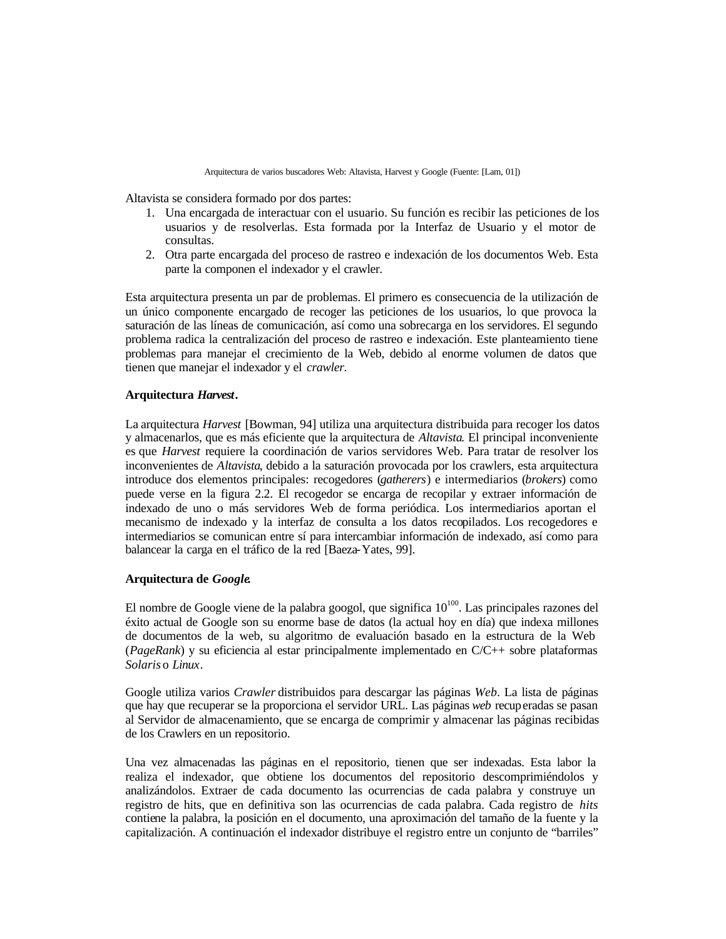Altavista se considera formado por dos partes:

- 1. Una encargada de interactuar con el usuario. Su función es recibir las peticiones de los usuarios y de resolverlas. Esta formada por la Interfaz de Usuario y el motor de consultas.
- 2. Otra parte encargada del proceso de rastreo e indexación de los documentos Web. Esta parte la componen el indexador y el crawler.

Esta arquitectura presenta un par de problemas. El primero es consecuencia de la utilización de un único componente encargado de recoger las peticiones de los usuarios, lo que provoca la saturación de las líneas de comunicación, así como una sobrecarga en los servidores. El segundo problema radica la centralización del proceso de rastreo e indexación. Este planteamiento tiene problemas para manejar el crecimiento de la Web, debido al enorme volumen de datos que tienen que manejar el indexador y el *crawler*.

## **Arquitectura** *Harvest.*

La arquitectura *Harvest* [Bowman, 94] utiliza una arquitectura distribuida para recoger los datos y almacenarlos, que es más eficiente que la arquitectura de *Altavista*. El principal inconveniente es que *Harvest* requiere la coordinación de varios servidores Web. Para tratar de resolver los inconvenientes de *Altavista*, debido a la saturación provocada por los crawlers, esta arquitectura introduce dos elementos principales: recogedores (*gatherers*) e intermediarios (*brokers*) como puede verse en la figura 2.2. El recogedor se encarga de recopilar y extraer información de indexado de uno o más servidores Web de forma periódica. Los intermediarios aportan el mecanismo de indexado y la interfaz de consulta a los datos recopilados. Los recogedores e intermediarios se comunican entre sí para intercambiar información de indexado, así como para balancear la carga en el tráfico de la red [Baeza-Yates, 99].

#### **Arquitectura de** *Google.*

El nombre de Google viene de la palabra googol, que significa  $10^{100}$ . Las principales razones del éxito actual de Google son su enorme base de datos (la actual hoy en día) que indexa millones de documentos de la web, su algoritmo de evaluación basado en la estructura de la Web (*PageRank*) y su eficiencia al estar principalmente implementado en C/C++ sobre plataformas *Solaris* o *Linux*.

Google utiliza varios *Crawler* distribuidos para descargar las páginas *Web*. La lista de páginas que hay que recuperar se la proporciona el servidor URL. Las páginas *web* recuperadas se pasan al Servidor de almacenamiento, que se encarga de comprimir y almacenar las páginas recibidas de los Crawlers en un repositorio.

Una vez almacenadas las páginas en el repositorio, tienen que ser indexadas. Esta labor la realiza el indexador, que obtiene los documentos del repositorio descomprimiéndolos y analizándolos. Extraer de cada documento las ocurrencias de cada palabra y construye un registro de hits, que en definitiva son las ocurrencias de cada palabra. Cada registro de *hits* contiene la palabra, la posición en el documento, una aproximación del tamaño de la fuente y la capitalización. A continuación el indexador distribuye el registro entre un conjunto de "barriles"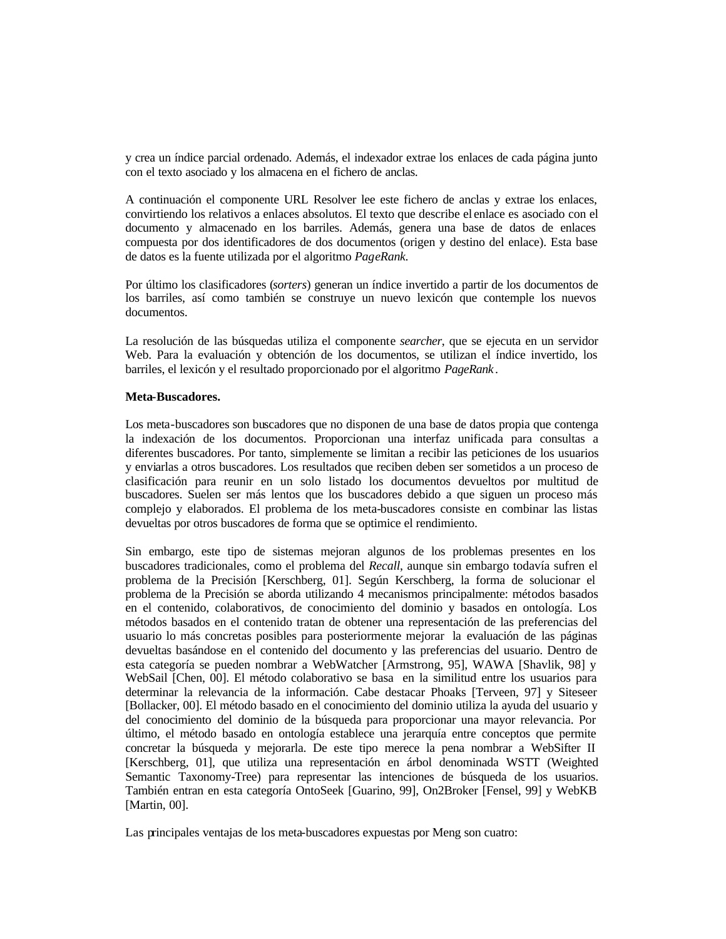y crea un índice parcial ordenado. Además, el indexador extrae los enlaces de cada página junto con el texto asociado y los almacena en el fichero de anclas.

A continuación el componente URL Resolver lee este fichero de anclas y extrae los enlaces, convirtiendo los relativos a enlaces absolutos. El texto que describe el enlace es asociado con el documento y almacenado en los barriles. Además, genera una base de datos de enlaces compuesta por dos identificadores de dos documentos (origen y destino del enlace). Esta base de datos es la fuente utilizada por el algoritmo *PageRank*.

Por último los clasificadores (*sorters*) generan un índice invertido a partir de los documentos de los barriles, así como también se construye un nuevo lexicón que contemple los nuevos documentos.

La resolución de las búsquedas utiliza el componente *searcher*, que se ejecuta en un servidor Web. Para la evaluación y obtención de los documentos, se utilizan el índice invertido, los barriles, el lexicón y el resultado proporcionado por el algoritmo *PageRank* .

### **Meta-Buscadores.**

Los meta-buscadores son buscadores que no disponen de una base de datos propia que contenga la indexación de los documentos. Proporcionan una interfaz unificada para consultas a diferentes buscadores. Por tanto, simplemente se limitan a recibir las peticiones de los usuarios y enviarlas a otros buscadores. Los resultados que reciben deben ser sometidos a un proceso de clasificación para reunir en un solo listado los documentos devueltos por multitud de buscadores. Suelen ser más lentos que los buscadores debido a que siguen un proceso más complejo y elaborados. El problema de los meta-buscadores consiste en combinar las listas devueltas por otros buscadores de forma que se optimice el rendimiento.

Sin embargo, este tipo de sistemas mejoran algunos de los problemas presentes en los buscadores tradicionales, como el problema del *Recall*, aunque sin embargo todavía sufren el problema de la Precisión [Kerschberg, 01]. Según Kerschberg, la forma de solucionar el problema de la Precisión se aborda utilizando 4 mecanismos principalmente: métodos basados en el contenido, colaborativos, de conocimiento del dominio y basados en ontología. Los métodos basados en el contenido tratan de obtener una representación de las preferencias del usuario lo más concretas posibles para posteriormente mejorar la evaluación de las páginas devueltas basándose en el contenido del documento y las preferencias del usuario. Dentro de esta categoría se pueden nombrar a WebWatcher [Armstrong, 95], WAWA [Shavlik, 98] y WebSail [Chen, 00]. El método colaborativo se basa en la similitud entre los usuarios para determinar la relevancia de la información. Cabe destacar Phoaks [Terveen, 97] y Siteseer [Bollacker, 00]. El método basado en el conocimiento del dominio utiliza la ayuda del usuario y del conocimiento del dominio de la búsqueda para proporcionar una mayor relevancia. Por último, el método basado en ontología establece una jerarquía entre conceptos que permite concretar la búsqueda y mejorarla. De este tipo merece la pena nombrar a WebSifter II [Kerschberg, 01], que utiliza una representación en árbol denominada WSTT (Weighted Semantic Taxonomy-Tree) para representar las intenciones de búsqueda de los usuarios. También entran en esta categoría OntoSeek [Guarino, 99], On2Broker [Fensel, 99] y WebKB [Martin, 00].

Las principales ventajas de los meta-buscadores expuestas por Meng son cuatro: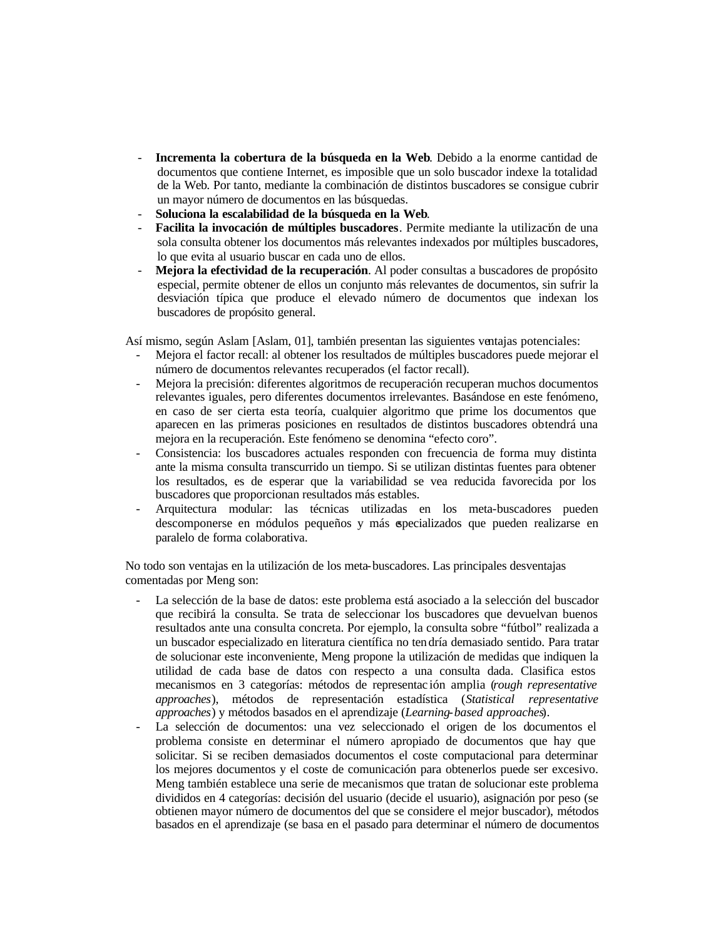- **Incrementa la cobertura de la búsqueda en la Web**. Debido a la enorme cantidad de documentos que contiene Internet, es imposible que un solo buscador indexe la totalidad de la Web. Por tanto, mediante la combinación de distintos buscadores se consigue cubrir un mayor número de documentos en las búsquedas.
- **Soluciona la escalabilidad de la búsqueda en la Web**.
- **Facilita la invocación de múltiples buscadores**. Permite mediante la utilización de una sola consulta obtener los documentos más relevantes indexados por múltiples buscadores, lo que evita al usuario buscar en cada uno de ellos.
- **Mejora la efectividad de la recuperación**. Al poder consultas a buscadores de propósito especial, permite obtener de ellos un conjunto más relevantes de documentos, sin sufrir la desviación típica que produce el elevado número de documentos que indexan los buscadores de propósito general.

Así mismo, según Aslam [Aslam, 01], también presentan las siguientes ventajas potenciales:

- Mejora el factor recall: al obtener los resultados de múltiples buscadores puede mejorar el número de documentos relevantes recuperados (el factor recall).
- Mejora la precisión: diferentes algoritmos de recuperación recuperan muchos documentos relevantes iguales, pero diferentes documentos irrelevantes. Basándose en este fenómeno, en caso de ser cierta esta teoría, cualquier algoritmo que prime los documentos que aparecen en las primeras posiciones en resultados de distintos buscadores obtendrá una mejora en la recuperación. Este fenómeno se denomina "efecto coro".
- Consistencia: los buscadores actuales responden con frecuencia de forma muy distinta ante la misma consulta transcurrido un tiempo. Si se utilizan distintas fuentes para obtener los resultados, es de esperar que la variabilidad se vea reducida favorecida por los buscadores que proporcionan resultados más estables.
- Arquitectura modular: las técnicas utilizadas en los meta-buscadores pueden descomponerse en módulos pequeños y más especializados que pueden realizarse en paralelo de forma colaborativa.

No todo son ventajas en la utilización de los meta-buscadores. Las principales desventajas comentadas por Meng son:

- La selección de la base de datos: este problema está asociado a la selección del buscador que recibirá la consulta. Se trata de seleccionar los buscadores que devuelvan buenos resultados ante una consulta concreta. Por ejemplo, la consulta sobre "fútbol" realizada a un buscador especializado en literatura científica no ten dría demasiado sentido. Para tratar de solucionar este inconveniente, Meng propone la utilización de medidas que indiquen la utilidad de cada base de datos con respecto a una consulta dada. Clasifica estos mecanismos en 3 categorías: métodos de representac ión amplia (*rough representative approaches*), métodos de representación estadística (*Statistical representative approaches*) y métodos basados en el aprendizaje (*Learning-based approaches*).
- La selección de documentos: una vez seleccionado el origen de los documentos el problema consiste en determinar el número apropiado de documentos que hay que solicitar. Si se reciben demasiados documentos el coste computacional para determinar los mejores documentos y el coste de comunicación para obtenerlos puede ser excesivo. Meng también establece una serie de mecanismos que tratan de solucionar este problema divididos en 4 categorías: decisión del usuario (decide el usuario), asignación por peso (se obtienen mayor número de documentos del que se considere el mejor buscador), métodos basados en el aprendizaje (se basa en el pasado para determinar el número de documentos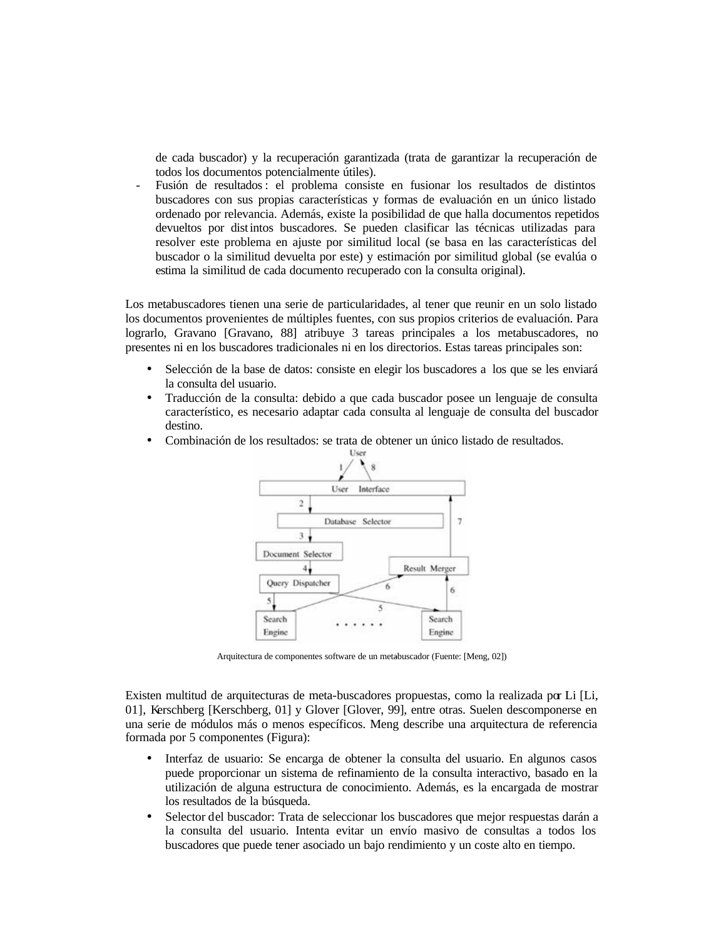de cada buscador) y la recuperación garantizada (trata de garantizar la recuperación de todos los documentos potencialmente útiles).

- Fusión de resultados: el problema consiste en fusionar los resultados de distintos buscadores con sus propias características y formas de evaluación en un único listado ordenado por relevancia. Además, existe la posibilidad de que halla documentos repetidos devueltos por distintos buscadores. Se pueden clasificar las técnicas utilizadas para resolver este problema en ajuste por similitud local (se basa en las características del buscador o la similitud devuelta por este) y estimación por similitud global (se evalúa o estima la similitud de cada documento recuperado con la consulta original).

Los metabuscadores tienen una serie de particularidades, al tener que reunir en un solo listado los documentos provenientes de múltiples fuentes, con sus propios criterios de evaluación. Para lograrlo, Gravano [Gravano, 88] atribuye 3 tareas principales a los metabuscadores, no presentes ni en los buscadores tradicionales ni en los directorios. Estas tareas principales son:

- Selección de la base de datos: consiste en elegir los buscadores a los que se les enviará la consulta del usuario.
- Traducción de la consulta: debido a que cada buscador posee un lenguaje de consulta característico, es necesario adaptar cada consulta al lenguaje de consulta del buscador destino.
- Combinación de los resultados: se trata de obtener un único listado de resultados.



Arquitectura de componentes software de un metabuscador (Fuente: [Meng, 02])

Existen multitud de arquitecturas de meta-buscadores propuestas, como la realizada por Li [Li, 01], Kerschberg [Kerschberg, 01] y Glover [Glover, 99], entre otras. Suelen descomponerse en una serie de módulos más o menos específicos. Meng describe una arquitectura de referencia formada por 5 componentes (Figura):

- Interfaz de usuario: Se encarga de obtener la consulta del usuario. En algunos casos puede proporcionar un sistema de refinamiento de la consulta interactivo, basado en la utilización de alguna estructura de conocimiento. Además, es la encargada de mostrar los resultados de la búsqueda.
- Selector del buscador: Trata de seleccionar los buscadores que mejor respuestas darán a la consulta del usuario. Intenta evitar un envío masivo de consultas a todos los buscadores que puede tener asociado un bajo rendimiento y un coste alto en tiempo.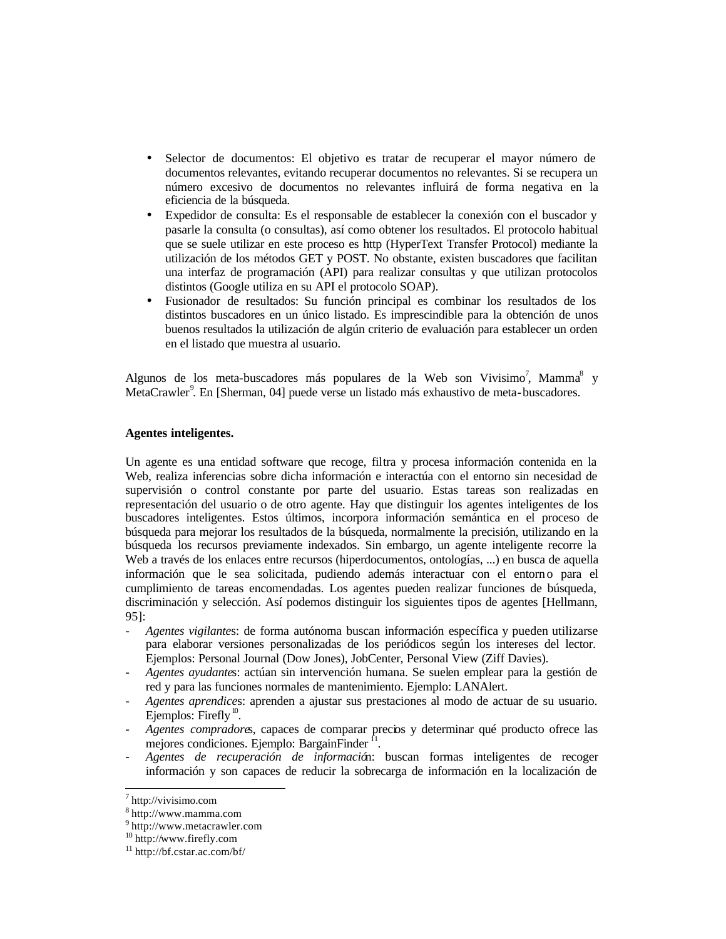- Selector de documentos: El objetivo es tratar de recuperar el mayor número de documentos relevantes, evitando recuperar documentos no relevantes. Si se recupera un número excesivo de documentos no relevantes influirá de forma negativa en la eficiencia de la búsqueda.
- Expedidor de consulta: Es el responsable de establecer la conexión con el buscador y pasarle la consulta (o consultas), así como obtener los resultados. El protocolo habitual que se suele utilizar en este proceso es http (HyperText Transfer Protocol) mediante la utilización de los métodos GET y POST. No obstante, existen buscadores que facilitan una interfaz de programación (API) para realizar consultas y que utilizan protocolos distintos (Google utiliza en su API el protocolo SOAP).
- Fusionador de resultados: Su función principal es combinar los resultados de los distintos buscadores en un único listado. Es imprescindible para la obtención de unos buenos resultados la utilización de algún criterio de evaluación para establecer un orden en el listado que muestra al usuario.

Algunos de los meta-buscadores más populares de la Web son Vivisimo<sup>7</sup>, Mamma<sup>8</sup> y MetaCrawler<sup>9</sup>. En [Sherman, 04] puede verse un listado más exhaustivo de meta-buscadores.

# **Agentes inteligentes.**

Un agente es una entidad software que recoge, filtra y procesa información contenida en la Web, realiza inferencias sobre dicha información e interactúa con el entorno sin necesidad de supervisión o control constante por parte del usuario. Estas tareas son realizadas en representación del usuario o de otro agente. Hay que distinguir los agentes inteligentes de los buscadores inteligentes. Estos últimos, incorpora información semántica en el proceso de búsqueda para mejorar los resultados de la búsqueda, normalmente la precisión, utilizando en la búsqueda los recursos previamente indexados. Sin embargo, un agente inteligente recorre la Web a través de los enlaces entre recursos (hiperdocumentos, ontologías, ...) en busca de aquella información que le sea solicitada, pudiendo además interactuar con el entorn o para el cumplimiento de tareas encomendadas. Los agentes pueden realizar funciones de búsqueda, discriminación y selección. Así podemos distinguir los siguientes tipos de agentes [Hellmann, 95]:

- *Agentes vigilante*s: de forma autónoma buscan información específica y pueden utilizarse para elaborar versiones personalizadas de los periódicos según los intereses del lector. Ejemplos: Personal Journal (Dow Jones), JobCenter, Personal View (Ziff Davies).
- *Agentes ayudante*s: actúan sin intervención humana. Se suelen emplear para la gestión de red y para las funciones normales de mantenimiento. Ejemplo: LANAlert.
- *Agentes aprendice*s: aprenden a ajustar sus prestaciones al modo de actuar de su usuario. Ejemplos: Firefly  $10$ .
- *Agentes compradore*s, capaces de comparar precios y determinar qué producto ofrece las mejores condiciones. Ejemplo: BargainFinder<sup>fi</sup>.
- *Agentes de recuperación de informació*n: buscan formas inteligentes de recoger información y son capaces de reducir la sobrecarga de información en la localización de

 $\overline{a}$ 

<sup>7</sup> http://vivisimo.com

<sup>8</sup> http://www.mamma.com

<sup>9</sup> http://www.metacrawler.com

<sup>10</sup> http://www.firefly.com

<sup>11</sup> http://bf.cstar.ac.com/bf/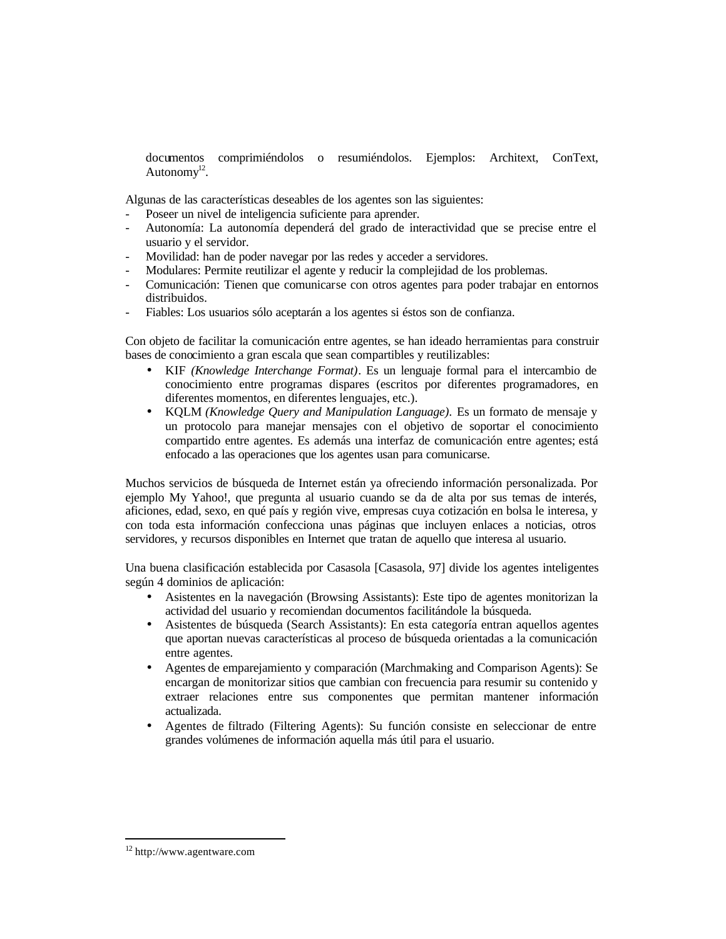documentos comprimiéndolos o resumiéndolos. Ejemplos: Architext, ConText, Autonomy $^{12}$ .

Algunas de las características deseables de los agentes son las siguientes:

- Poseer un nivel de inteligencia suficiente para aprender.
- Autonomía: La autonomía dependerá del grado de interactividad que se precise entre el usuario y el servidor.
- Movilidad: han de poder navegar por las redes y acceder a servidores.
- Modulares: Permite reutilizar el agente y reducir la complejidad de los problemas.
- Comunicación: Tienen que comunicarse con otros agentes para poder trabajar en entornos distribuidos.
- Fiables: Los usuarios sólo aceptarán a los agentes si éstos son de confianza.

Con objeto de facilitar la comunicación entre agentes, se han ideado herramientas para construir bases de conocimiento a gran escala que sean compartibles y reutilizables:

- KIF *(Knowledge Interchange Format)*. Es un lenguaje formal para el intercambio de conocimiento entre programas dispares (escritos por diferentes programadores, en diferentes momentos, en diferentes lenguajes, etc.).
- KQLM *(Knowledge Query and Manipulation Language)*. Es un formato de mensaje y un protocolo para manejar mensajes con el objetivo de soportar el conocimiento compartido entre agentes. Es además una interfaz de comunicación entre agentes; está enfocado a las operaciones que los agentes usan para comunicarse.

Muchos servicios de búsqueda de Internet están ya ofreciendo información personalizada. Por ejemplo My Yahoo!, que pregunta al usuario cuando se da de alta por sus temas de interés, aficiones, edad, sexo, en qué país y región vive, empresas cuya cotización en bolsa le interesa, y con toda esta información confecciona unas páginas que incluyen enlaces a noticias, otros servidores, y recursos disponibles en Internet que tratan de aquello que interesa al usuario.

Una buena clasificación establecida por Casasola [Casasola, 97] divide los agentes inteligentes según 4 dominios de aplicación:

- Asistentes en la navegación (Browsing Assistants): Este tipo de agentes monitorizan la actividad del usuario y recomiendan documentos facilitándole la búsqueda.
- Asistentes de búsqueda (Search Assistants): En esta categoría entran aquellos agentes que aportan nuevas características al proceso de búsqueda orientadas a la comunicación entre agentes.
- Agentes de emparejamiento y comparación (Marchmaking and Comparison Agents): Se encargan de monitorizar sitios que cambian con frecuencia para resumir su contenido y extraer relaciones entre sus componentes que permitan mantener información actualizada.
- Agentes de filtrado (Filtering Agents): Su función consiste en seleccionar de entre grandes volúmenes de información aquella más útil para el usuario.

l

<sup>12</sup> http://www.agentware.com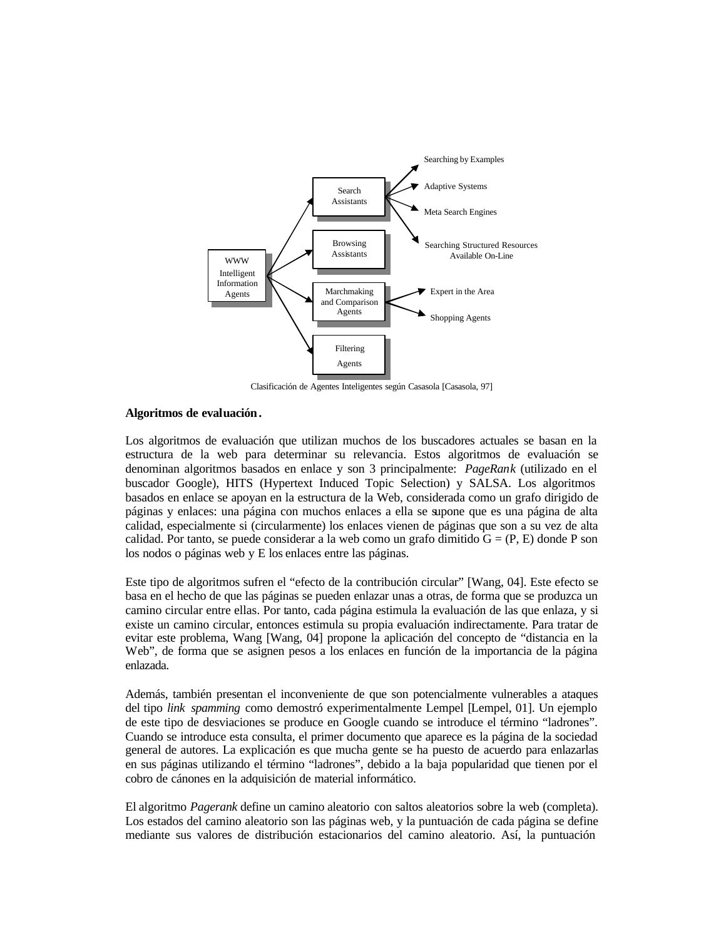

Clasificación de Agentes Inteligentes según Casasola [Casasola, 97]

#### **Algoritmos de evaluación.**

Los algoritmos de evaluación que utilizan muchos de los buscadores actuales se basan en la estructura de la web para determinar su relevancia. Estos algoritmos de evaluación se denominan algoritmos basados en enlace y son 3 principalmente: *PageRank* (utilizado en el buscador Google), HITS (Hypertext Induced Topic Selection) y SALSA. Los algoritmos basados en enlace se apoyan en la estructura de la Web, considerada como un grafo dirigido de páginas y enlaces: una página con muchos enlaces a ella se supone que es una página de alta calidad, especialmente si (circularmente) los enlaces vienen de páginas que son a su vez de alta calidad. Por tanto, se puede considerar a la web como un grafo dimitido  $G = (P, E)$  donde P son los nodos o páginas web y E los enlaces entre las páginas.

Este tipo de algoritmos sufren el "efecto de la contribución circular" [Wang, 04]. Este efecto se basa en el hecho de que las páginas se pueden enlazar unas a otras, de forma que se produzca un camino circular entre ellas. Por tanto, cada página estimula la evaluación de las que enlaza, y si existe un camino circular, entonces estimula su propia evaluación indirectamente. Para tratar de evitar este problema, Wang [Wang, 04] propone la aplicación del concepto de "distancia en la Web", de forma que se asignen pesos a los enlaces en función de la importancia de la página enlazada.

Además, también presentan el inconveniente de que son potencialmente vulnerables a ataques del tipo *link spamming* como demostró experimentalmente Lempel [Lempel, 01]. Un ejemplo de este tipo de desviaciones se produce en Google cuando se introduce el término "ladrones". Cuando se introduce esta consulta, el primer documento que aparece es la página de la sociedad general de autores. La explicación es que mucha gente se ha puesto de acuerdo para enlazarlas en sus páginas utilizando el término "ladrones", debido a la baja popularidad que tienen por el cobro de cánones en la adquisición de material informático.

El algoritmo *Pagerank* define un camino aleatorio con saltos aleatorios sobre la web (completa). Los estados del camino aleatorio son las páginas web, y la puntuación de cada página se define mediante sus valores de distribución estacionarios del camino aleatorio. Así, la puntuación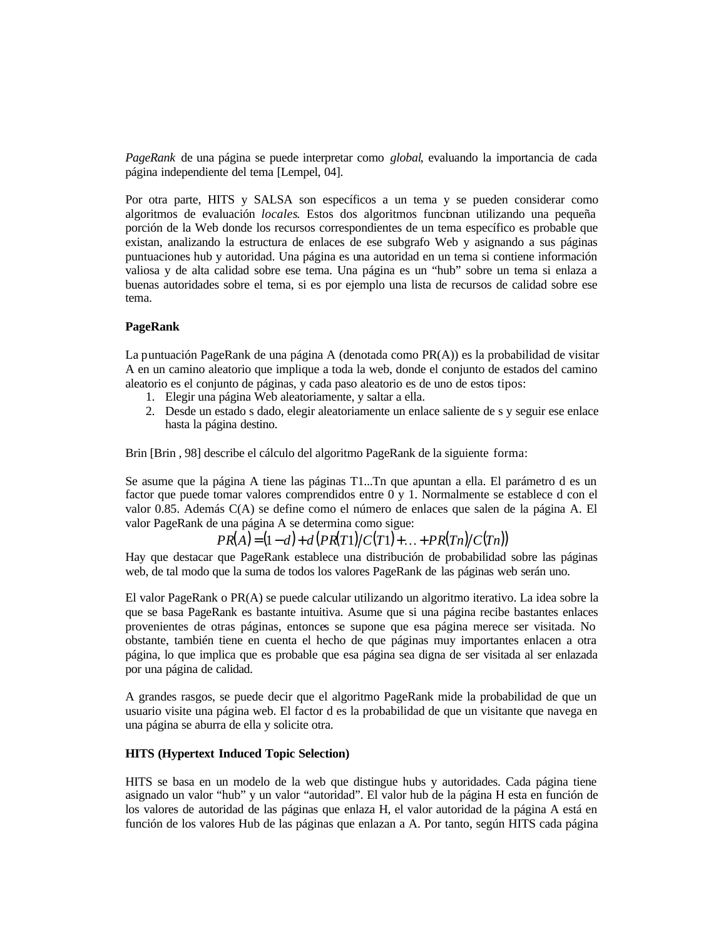*PageRank* de una página se puede interpretar como *global*, evaluando la importancia de cada página independiente del tema [Lempel, 04].

Por otra parte, HITS y SALSA son específicos a un tema y se pueden considerar como algoritmos de evaluación *locales*. Estos dos algoritmos funcionan utilizando una pequeña porción de la Web donde los recursos correspondientes de un tema específico es probable que existan, analizando la estructura de enlaces de ese subgrafo Web y asignando a sus páginas puntuaciones hub y autoridad. Una página es una autoridad en un tema si contiene información valiosa y de alta calidad sobre ese tema. Una página es un "hub" sobre un tema si enlaza a buenas autoridades sobre el tema, si es por ejemplo una lista de recursos de calidad sobre ese tema.

# **PageRank**

La puntuación PageRank de una página A (denotada como PR(A)) es la probabilidad de visitar A en un camino aleatorio que implique a toda la web, donde el conjunto de estados del camino aleatorio es el conjunto de páginas, y cada paso aleatorio es de uno de estos tipos:

- 1. Elegir una página Web aleatoriamente, y saltar a ella.
- 2. Desde un estado s dado, elegir aleatoriamente un enlace saliente de s y seguir ese enlace hasta la página destino.

Brin [Brin , 98] describe el cálculo del algoritmo PageRank de la siguiente forma:

Se asume que la página A tiene las páginas T1...Tn que apuntan a ella. El parámetro d es un factor que puede tomar valores comprendidos entre 0 y 1. Normalmente se establece d con el valor 0.85. Además C(A) se define como el número de enlaces que salen de la página A. El valor PageRank de una página A se determina como sigue:

 $PR(A) = (1-d) + d(PR(T))/C(T1) + ... + PR(Tn)/C(Tn)$ 

Hay que destacar que PageRank establece una distribución de probabilidad sobre las páginas web, de tal modo que la suma de todos los valores PageRank de las páginas web serán uno.

El valor PageRank o PR(A) se puede calcular utilizando un algoritmo iterativo. La idea sobre la que se basa PageRank es bastante intuitiva. Asume que si una página recibe bastantes enlaces provenientes de otras páginas, entonces se supone que esa página merece ser visitada. No obstante, también tiene en cuenta el hecho de que páginas muy importantes enlacen a otra página, lo que implica que es probable que esa página sea digna de ser visitada al ser enlazada por una página de calidad.

A grandes rasgos, se puede decir que el algoritmo PageRank mide la probabilidad de que un usuario visite una página web. El factor d es la probabilidad de que un visitante que navega en una página se aburra de ella y solicite otra.

# **HITS (Hypertext Induced Topic Selection)**

HITS se basa en un modelo de la web que distingue hubs y autoridades. Cada página tiene asignado un valor "hub" y un valor "autoridad". El valor hub de la página H esta en función de los valores de autoridad de las páginas que enlaza H, el valor autoridad de la página A está en función de los valores Hub de las páginas que enlazan a A. Por tanto, según HITS cada página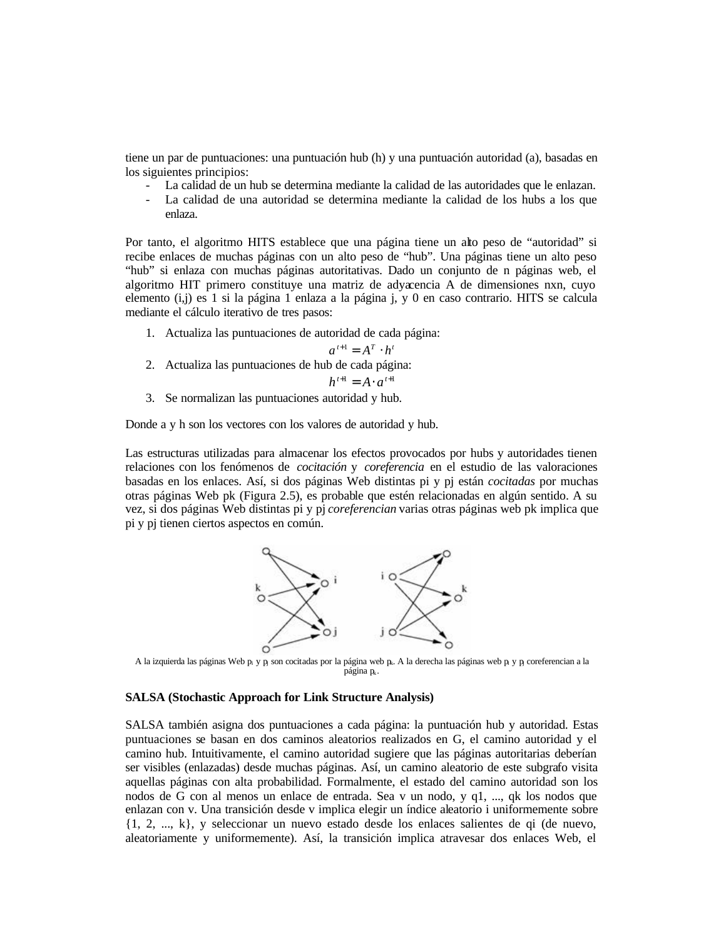tiene un par de puntuaciones: una puntuación hub (h) y una puntuación autoridad (a), basadas en los siguientes principios:

- La calidad de un hub se determina mediante la calidad de las autoridades que le enlazan.
- La calidad de una autoridad se determina mediante la calidad de los hubs a los que enlaza.

Por tanto, el algoritmo HITS establece que una página tiene un alto peso de "autoridad" si recibe enlaces de muchas páginas con un alto peso de "hub". Una páginas tiene un alto peso "hub" si enlaza con muchas páginas autoritativas. Dado un conjunto de n páginas web, el algoritmo HIT primero constituye una matriz de adyacencia A de dimensiones nxn, cuyo elemento (i,j) es 1 si la página 1 enlaza a la página j, y 0 en caso contrario. HITS se calcula mediante el cálculo iterativo de tres pasos:

1. Actualiza las puntuaciones de autoridad de cada página:

$$
a^{t+1} = A^T \cdot h^t
$$

2. Actualiza las puntuaciones de hub de cada página:

$$
h^{t+1} = A \cdot a^{t+1}
$$

3. Se normalizan las puntuaciones autoridad y hub.

Donde a y h son los vectores con los valores de autoridad y hub.

Las estructuras utilizadas para almacenar los efectos provocados por hubs y autoridades tienen relaciones con los fenómenos de *cocitación* y *coreferencia* en el estudio de las valoraciones basadas en los enlaces. Así, si dos páginas Web distintas pi y pj están *cocitadas* por muchas otras páginas Web pk (Figura 2.5), es probable que estén relacionadas en algún sentido. A su vez, si dos páginas Web distintas pi y pj *coreferencian* varias otras páginas web pk implica que pi y pj tienen ciertos aspectos en común.



A la izquierda las páginas Web p<sub>i</sub> y p son cocitadas por la página web p<sub>k</sub>. A la derecha las páginas web p<sub>i</sub> y p<sub>j</sub> coreferencian a la página pk.

# **SALSA (Stochastic Approach for Link Structure Analysis)**

SALSA también asigna dos puntuaciones a cada página: la puntuación hub y autoridad. Estas puntuaciones se basan en dos caminos aleatorios realizados en G, el camino autoridad y el camino hub. Intuitivamente, el camino autoridad sugiere que las páginas autoritarias deberían ser visibles (enlazadas) desde muchas páginas. Así, un camino aleatorio de este subgrafo visita aquellas páginas con alta probabilidad. Formalmente, el estado del camino autoridad son los nodos de G con al menos un enlace de entrada. Sea v un nodo, y q1, ..., qk los nodos que enlazan con v. Una transición desde v implica elegir un índice aleatorio i uniformemente sobre {1, 2, ..., k}, y seleccionar un nuevo estado desde los enlaces salientes de qi (de nuevo, aleatoriamente y uniformemente). Así, la transición implica atravesar dos enlaces Web, el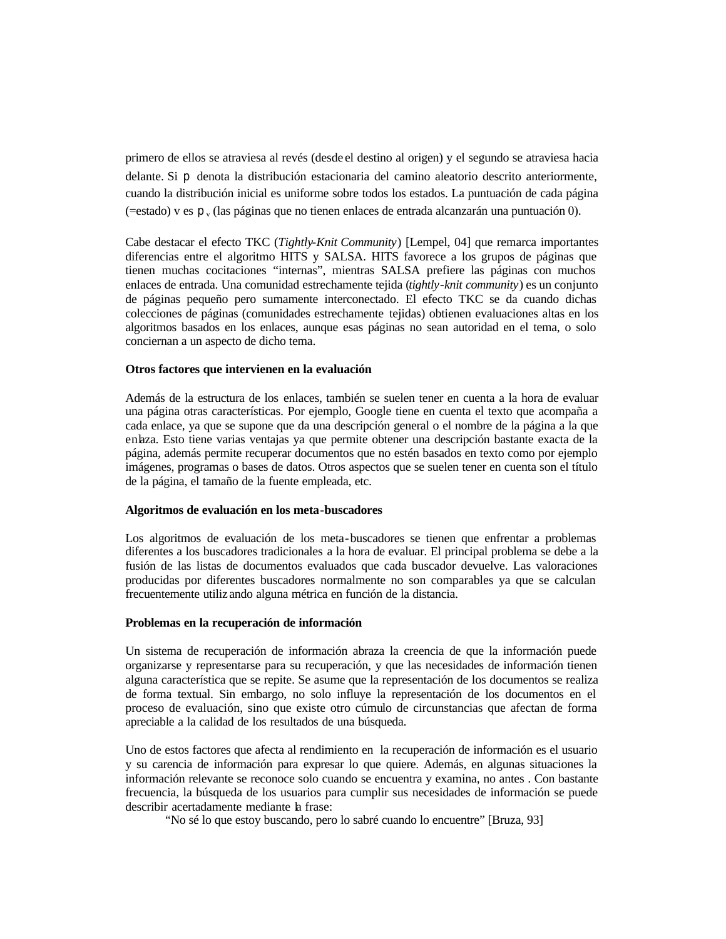primero de ellos se atraviesa al revés (desde el destino al origen) y el segundo se atraviesa hacia delante. Si p denota la distribución estacionaria del camino aleatorio descrito anteriormente, cuando la distribución inicial es uniforme sobre todos los estados. La puntuación de cada página  $($ =estado) v es p<sub>v</sub> (las páginas que no tienen enlaces de entrada alcanzarán una puntuación 0).

Cabe destacar el efecto TKC (*Tightly-Knit Community*) [Lempel, 04] que remarca importantes diferencias entre el algoritmo HITS y SALSA. HITS favorece a los grupos de páginas que tienen muchas cocitaciones "internas", mientras SALSA prefiere las páginas con muchos enlaces de entrada. Una comunidad estrechamente tejida (*tightly-knit community*) es un conjunto de páginas pequeño pero sumamente interconectado. El efecto TKC se da cuando dichas colecciones de páginas (comunidades estrechamente tejidas) obtienen evaluaciones altas en los algoritmos basados en los enlaces, aunque esas páginas no sean autoridad en el tema, o solo conciernan a un aspecto de dicho tema.

#### **Otros factores que intervienen en la evaluación**

Además de la estructura de los enlaces, también se suelen tener en cuenta a la hora de evaluar una página otras características. Por ejemplo, Google tiene en cuenta el texto que acompaña a cada enlace, ya que se supone que da una descripción general o el nombre de la página a la que enlaza. Esto tiene varias ventajas ya que permite obtener una descripción bastante exacta de la página, además permite recuperar documentos que no estén basados en texto como por ejemplo imágenes, programas o bases de datos. Otros aspectos que se suelen tener en cuenta son el título de la página, el tamaño de la fuente empleada, etc.

## **Algoritmos de evaluación en los meta-buscadores**

Los algoritmos de evaluación de los meta-buscadores se tienen que enfrentar a problemas diferentes a los buscadores tradicionales a la hora de evaluar. El principal problema se debe a la fusión de las listas de documentos evaluados que cada buscador devuelve. Las valoraciones producidas por diferentes buscadores normalmente no son comparables ya que se calculan frecuentemente utiliz ando alguna métrica en función de la distancia.

#### **Problemas en la recuperación de información**

Un sistema de recuperación de información abraza la creencia de que la información puede organizarse y representarse para su recuperación, y que las necesidades de información tienen alguna característica que se repite. Se asume que la representación de los documentos se realiza de forma textual. Sin embargo, no solo influye la representación de los documentos en el proceso de evaluación, sino que existe otro cúmulo de circunstancias que afectan de forma apreciable a la calidad de los resultados de una búsqueda.

Uno de estos factores que afecta al rendimiento en la recuperación de información es el usuario y su carencia de información para expresar lo que quiere. Además, en algunas situaciones la información relevante se reconoce solo cuando se encuentra y examina, no antes . Con bastante frecuencia, la búsqueda de los usuarios para cumplir sus necesidades de información se puede describir acertadamente mediante la frase:

"No sé lo que estoy buscando, pero lo sabré cuando lo encuentre" [Bruza, 93]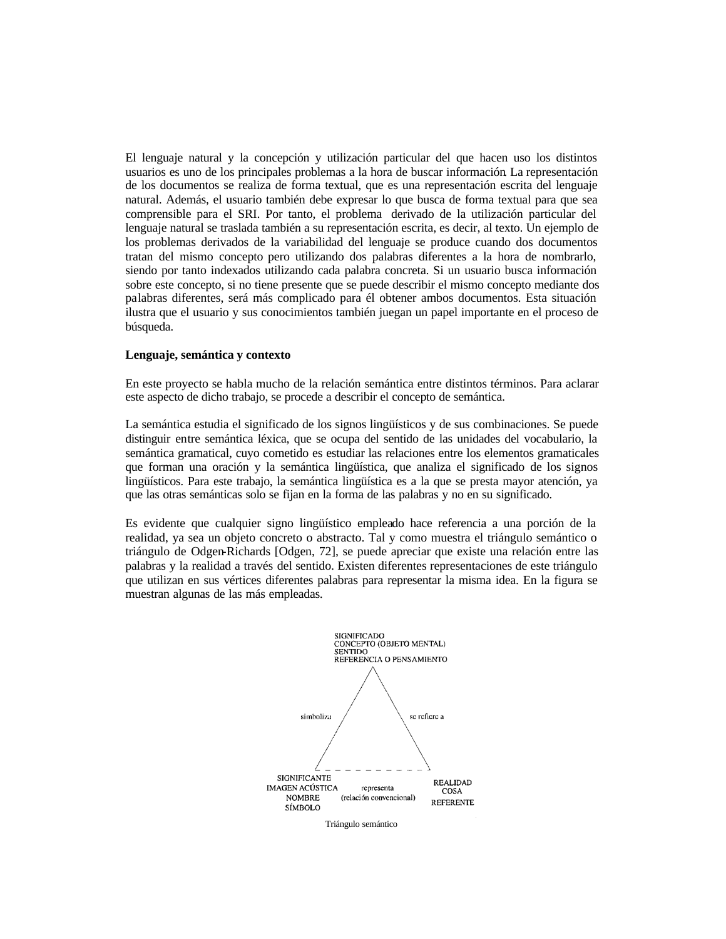El lenguaje natural y la concepción y utilización particular del que hacen uso los distintos usuarios es uno de los principales problemas a la hora de buscar información. La representación de los documentos se realiza de forma textual, que es una representación escrita del lenguaje natural. Además, el usuario también debe expresar lo que busca de forma textual para que sea comprensible para el SRI. Por tanto, el problema derivado de la utilización particular del lenguaje natural se traslada también a su representación escrita, es decir, al texto. Un ejemplo de los problemas derivados de la variabilidad del lenguaje se produce cuando dos documentos tratan del mismo concepto pero utilizando dos palabras diferentes a la hora de nombrarlo, siendo por tanto indexados utilizando cada palabra concreta. Si un usuario busca información sobre este concepto, si no tiene presente que se puede describir el mismo concepto mediante dos palabras diferentes, será más complicado para él obtener ambos documentos. Esta situación ilustra que el usuario y sus conocimientos también juegan un papel importante en el proceso de búsqueda.

#### **Lenguaje, semántica y contexto**

En este proyecto se habla mucho de la relación semántica entre distintos términos. Para aclarar este aspecto de dicho trabajo, se procede a describir el concepto de semántica.

La semántica estudia el significado de los signos lingüísticos y de sus combinaciones. Se puede distinguir entre semántica léxica, que se ocupa del sentido de las unidades del vocabulario, la semántica gramatical, cuyo cometido es estudiar las relaciones entre los elementos gramaticales que forman una oración y la semántica lingüística, que analiza el significado de los signos lingüísticos. Para este trabajo, la semántica lingüística es a la que se presta mayor atención, ya que las otras semánticas solo se fijan en la forma de las palabras y no en su significado.

Es evidente que cualquier signo lingüístico empleado hace referencia a una porción de la realidad, ya sea un objeto concreto o abstracto. Tal y como muestra el triángulo semántico o triángulo de Odgen-Richards [Odgen, 72], se puede apreciar que existe una relación entre las palabras y la realidad a través del sentido. Existen diferentes representaciones de este triángulo que utilizan en sus vértices diferentes palabras para representar la misma idea. En la figura se muestran algunas de las más empleadas.

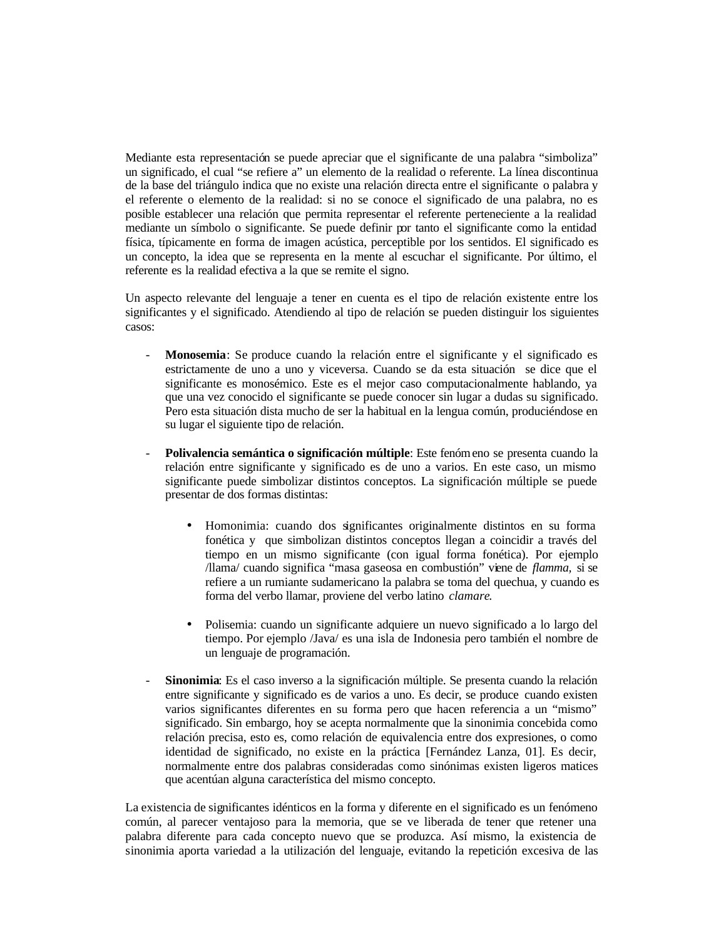Mediante esta representación se puede apreciar que el significante de una palabra "simboliza" un significado, el cual "se refiere a" un elemento de la realidad o referente. La línea discontinua de la base del triángulo indica que no existe una relación directa entre el significante o palabra y el referente o elemento de la realidad: si no se conoce el significado de una palabra, no es posible establecer una relación que permita representar el referente perteneciente a la realidad mediante un símbolo o significante. Se puede definir por tanto el significante como la entidad física, típicamente en forma de imagen acústica, perceptible por los sentidos. El significado es un concepto, la idea que se representa en la mente al escuchar el significante. Por último, el referente es la realidad efectiva a la que se remite el signo.

Un aspecto relevante del lenguaje a tener en cuenta es el tipo de relación existente entre los significantes y el significado. Atendiendo al tipo de relación se pueden distinguir los siguientes casos:

- **Monosemia**: Se produce cuando la relación entre el significante y el significado es estrictamente de uno a uno y viceversa. Cuando se da esta situación se dice que el significante es monosémico. Este es el mejor caso computacionalmente hablando, ya que una vez conocido el significante se puede conocer sin lugar a dudas su significado. Pero esta situación dista mucho de ser la habitual en la lengua común, produciéndose en su lugar el siguiente tipo de relación.
- **Polivalencia semántica o significación múltiple**: Este fenómeno se presenta cuando la relación entre significante y significado es de uno a varios. En este caso, un mismo significante puede simbolizar distintos conceptos. La significación múltiple se puede presentar de dos formas distintas:
	- Homonimia: cuando dos significantes originalmente distintos en su forma fonética y que simbolizan distintos conceptos llegan a coincidir a través del tiempo en un mismo significante (con igual forma fonética). Por ejemplo /llama/ cuando significa "masa gaseosa en combustión" viene de *flamma,* si se refiere a un rumiante sudamericano la palabra se toma del quechua, y cuando es forma del verbo llamar, proviene del verbo latino *clamare*.
	- Polisemia: cuando un significante adquiere un nuevo significado a lo largo del tiempo. Por ejemplo /Java/ es una isla de Indonesia pero también el nombre de un lenguaje de programación.
- **Sinonimia**: Es el caso inverso a la significación múltiple. Se presenta cuando la relación entre significante y significado es de varios a uno. Es decir, se produce cuando existen varios significantes diferentes en su forma pero que hacen referencia a un "mismo" significado. Sin embargo, hoy se acepta normalmente que la sinonimia concebida como relación precisa, esto es, como relación de equivalencia entre dos expresiones, o como identidad de significado, no existe en la práctica [Fernández Lanza, 01]. Es decir, normalmente entre dos palabras consideradas como sinónimas existen ligeros matices que acentúan alguna característica del mismo concepto.

La existencia de significantes idénticos en la forma y diferente en el significado es un fenómeno común, al parecer ventajoso para la memoria, que se ve liberada de tener que retener una palabra diferente para cada concepto nuevo que se produzca. Así mismo, la existencia de sinonimia aporta variedad a la utilización del lenguaje, evitando la repetición excesiva de las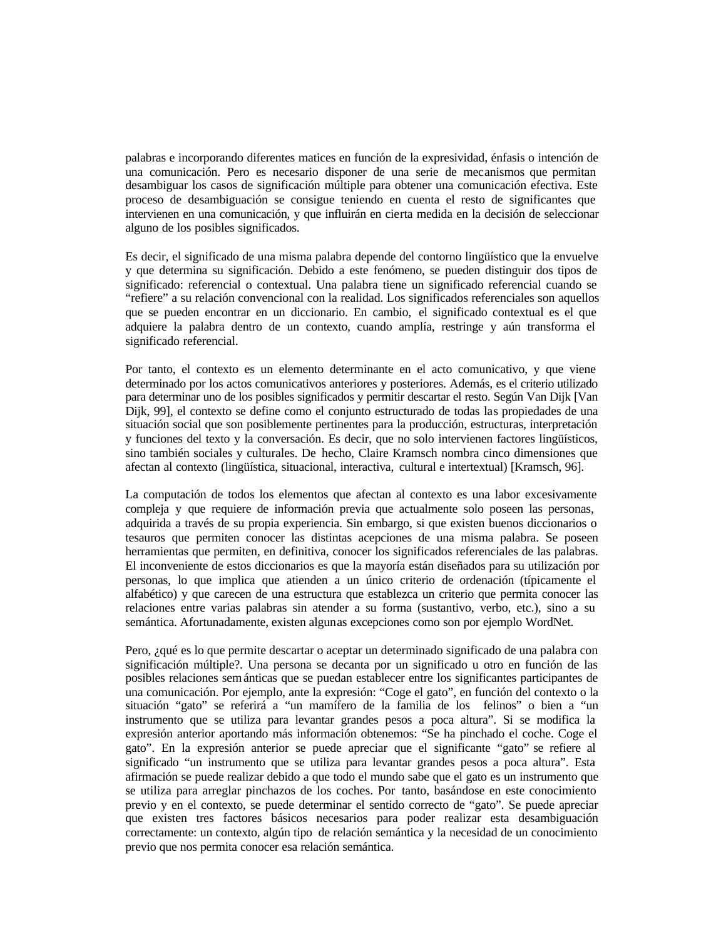palabras e incorporando diferentes matices en función de la expresividad, énfasis o intención de una comunicación. Pero es necesario disponer de una serie de mecanismos que permitan desambiguar los casos de significación múltiple para obtener una comunicación efectiva. Este proceso de desambiguación se consigue teniendo en cuenta el resto de significantes que intervienen en una comunicación, y que influirán en cierta medida en la decisión de seleccionar alguno de los posibles significados.

Es decir, el significado de una misma palabra depende del contorno lingüístico que la envuelve y que determina su significación. Debido a este fenómeno, se pueden distinguir dos tipos de significado: referencial o contextual. Una palabra tiene un significado referencial cuando se "refiere" a su relación convencional con la realidad. Los significados referenciales son aquellos que se pueden encontrar en un diccionario. En cambio, el significado contextual es el que adquiere la palabra dentro de un contexto, cuando amplía, restringe y aún transforma el significado referencial.

Por tanto, el contexto es un elemento determinante en el acto comunicativo, y que viene determinado por los actos comunicativos anteriores y posteriores. Además, es el criterio utilizado para determinar uno de los posibles significados y permitir descartar el resto. Según Van Dijk [Van Dijk, 99], el contexto se define como el conjunto estructurado de todas las propiedades de una situación social que son posiblemente pertinentes para la producción, estructuras, interpretación y funciones del texto y la conversación. Es decir, que no solo intervienen factores lingüísticos, sino también sociales y culturales. De hecho, Claire Kramsch nombra cinco dimensiones que afectan al contexto (lingüística, situacional, interactiva, cultural e intertextual) [Kramsch, 96].

La computación de todos los elementos que afectan al contexto es una labor excesivamente compleja y que requiere de información previa que actualmente solo poseen las personas, adquirida a través de su propia experiencia. Sin embargo, si que existen buenos diccionarios o tesauros que permiten conocer las distintas acepciones de una misma palabra. Se poseen herramientas que permiten, en definitiva, conocer los significados referenciales de las palabras. El inconveniente de estos diccionarios es que la mayoría están diseñados para su utilización por personas, lo que implica que atienden a un único criterio de ordenación (típicamente el alfabético) y que carecen de una estructura que establezca un criterio que permita conocer las relaciones entre varias palabras sin atender a su forma (sustantivo, verbo, etc.), sino a su semántica. Afortunadamente, existen algunas excepciones como son por ejemplo WordNet.

Pero, ¿qué es lo que permite descartar o aceptar un determinado significado de una palabra con significación múltiple?. Una persona se decanta por un significado u otro en función de las posibles relaciones semánticas que se puedan establecer entre los significantes participantes de una comunicación. Por ejemplo, ante la expresión: "Coge el gato", en función del contexto o la situación "gato" se referirá a "un mamífero de la familia de los felinos" o bien a "un instrumento que se utiliza para levantar grandes pesos a poca altura". Si se modifica la expresión anterior aportando más información obtenemos: "Se ha pinchado el coche. Coge el gato". En la expresión anterior se puede apreciar que el significante "gato" se refiere al significado "un instrumento que se utiliza para levantar grandes pesos a poca altura". Esta afirmación se puede realizar debido a que todo el mundo sabe que el gato es un instrumento que se utiliza para arreglar pinchazos de los coches. Por tanto, basándose en este conocimiento previo y en el contexto, se puede determinar el sentido correcto de "gato". Se puede apreciar que existen tres factores básicos necesarios para poder realizar esta desambiguación correctamente: un contexto, algún tipo de relación semántica y la necesidad de un conocimiento previo que nos permita conocer esa relación semántica.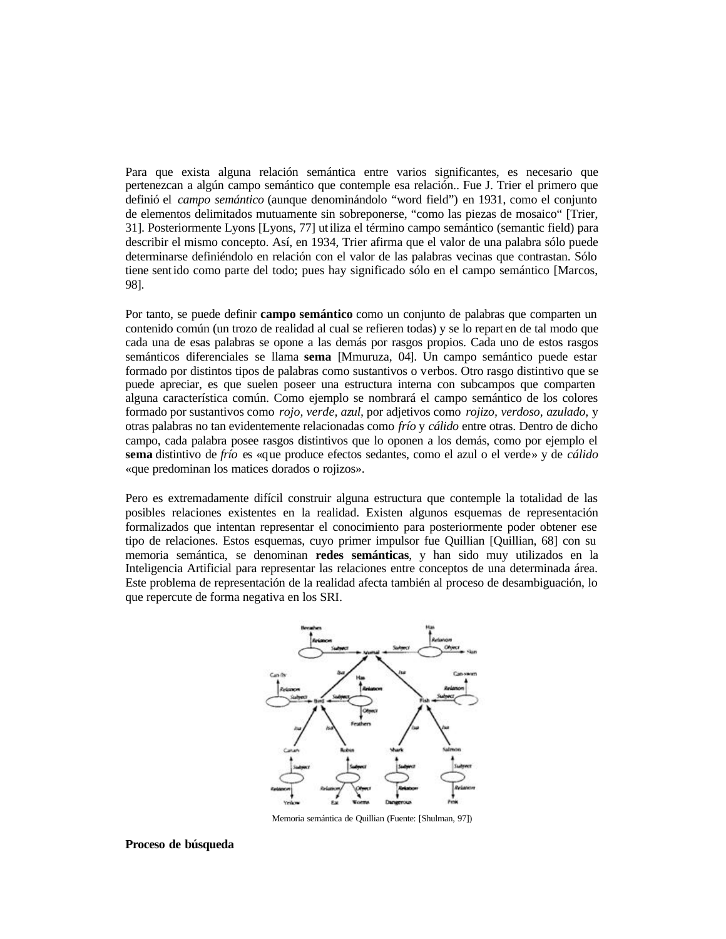Para que exista alguna relación semántica entre varios significantes, es necesario que pertenezcan a algún campo semántico que contemple esa relación.. Fue J. Trier el primero que definió el *campo semántico* (aunque denominándolo "word field") en 1931, como el conjunto de elementos delimitados mutuamente sin sobreponerse, "como las piezas de mosaico" [Trier, 31]. Posteriormente Lyons [Lyons, 77] utiliza el término campo semántico (semantic field) para describir el mismo concepto. Así, en 1934, Trier afirma que el valor de una palabra sólo puede determinarse definiéndolo en relación con el valor de las palabras vecinas que contrastan. Sólo tiene sentido como parte del todo; pues hay significado sólo en el campo semántico [Marcos, 98].

Por tanto, se puede definir **campo semántico** como un conjunto de palabras que comparten un contenido común (un trozo de realidad al cual se refieren todas) y se lo repart en de tal modo que cada una de esas palabras se opone a las demás por rasgos propios. Cada uno de estos rasgos semánticos diferenciales se llama **sema** [Mmuruza, 04]. Un campo semántico puede estar formado por distintos tipos de palabras como sustantivos o verbos. Otro rasgo distintivo que se puede apreciar, es que suelen poseer una estructura interna con subcampos que comparten alguna característica común. Como ejemplo se nombrará el campo semántico de los colores formado por sustantivos como *rojo, verde, azul,* por adjetivos como *rojizo, verdoso, azulado,* y otras palabras no tan evidentemente relacionadas como *frío* y *cálido* entre otras. Dentro de dicho campo, cada palabra posee rasgos distintivos que lo oponen a los demás, como por ejemplo el **sema** distintivo de *frío* es «que produce efectos sedantes, como el azul o el verde» y de *cálido* «que predominan los matices dorados o rojizos».

Pero es extremadamente difícil construir alguna estructura que contemple la totalidad de las posibles relaciones existentes en la realidad. Existen algunos esquemas de representación formalizados que intentan representar el conocimiento para posteriormente poder obtener ese tipo de relaciones. Estos esquemas, cuyo primer impulsor fue Quillian [Quillian, 68] con su memoria semántica, se denominan **redes semánticas**, y han sido muy utilizados en la Inteligencia Artificial para representar las relaciones entre conceptos de una determinada área. Este problema de representación de la realidad afecta también al proceso de desambiguación, lo que repercute de forma negativa en los SRI.



Memoria semántica de Quillian (Fuente: [Shulman, 97])

**Proceso de búsqueda**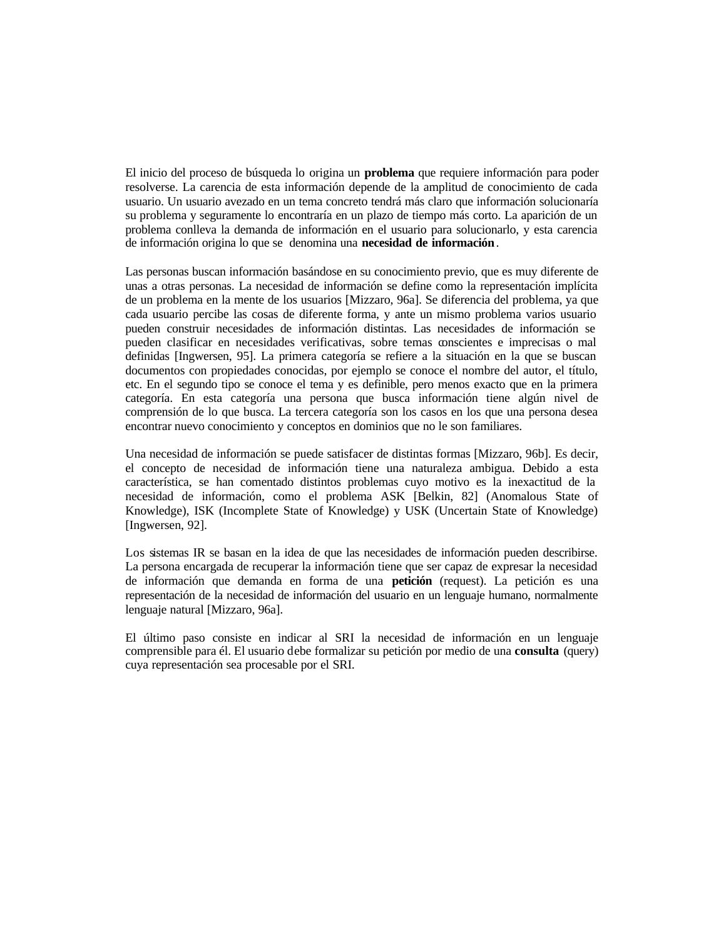El inicio del proceso de búsqueda lo origina un **problema** que requiere información para poder resolverse. La carencia de esta información depende de la amplitud de conocimiento de cada usuario. Un usuario avezado en un tema concreto tendrá más claro que información solucionaría su problema y seguramente lo encontraría en un plazo de tiempo más corto. La aparición de un problema conlleva la demanda de información en el usuario para solucionarlo, y esta carencia de información origina lo que se denomina una **necesidad de información**.

Las personas buscan información basándose en su conocimiento previo, que es muy diferente de unas a otras personas. La necesidad de información se define como la representación implícita de un problema en la mente de los usuarios [Mizzaro, 96a]. Se diferencia del problema, ya que cada usuario percibe las cosas de diferente forma, y ante un mismo problema varios usuario pueden construir necesidades de información distintas. Las necesidades de información se pueden clasificar en necesidades verificativas, sobre temas conscientes e imprecisas o mal definidas [Ingwersen, 95]. La primera categoría se refiere a la situación en la que se buscan documentos con propiedades conocidas, por ejemplo se conoce el nombre del autor, el título, etc. En el segundo tipo se conoce el tema y es definible, pero menos exacto que en la primera categoría. En esta categoría una persona que busca información tiene algún nivel de comprensión de lo que busca. La tercera categoría son los casos en los que una persona desea encontrar nuevo conocimiento y conceptos en dominios que no le son familiares.

Una necesidad de información se puede satisfacer de distintas formas [Mizzaro, 96b]. Es decir, el concepto de necesidad de información tiene una naturaleza ambigua. Debido a esta característica, se han comentado distintos problemas cuyo motivo es la inexactitud de la necesidad de información, como el problema ASK [Belkin, 82] (Anomalous State of Knowledge), ISK (Incomplete State of Knowledge) y USK (Uncertain State of Knowledge) [Ingwersen, 92].

Los sistemas IR se basan en la idea de que las necesidades de información pueden describirse. La persona encargada de recuperar la información tiene que ser capaz de expresar la necesidad de información que demanda en forma de una **petición** (request). La petición es una representación de la necesidad de información del usuario en un lenguaje humano, normalmente lenguaje natural [Mizzaro, 96a].

El último paso consiste en indicar al SRI la necesidad de información en un lenguaje comprensible para él. El usuario debe formalizar su petición por medio de una **consulta** (query) cuya representación sea procesable por el SRI.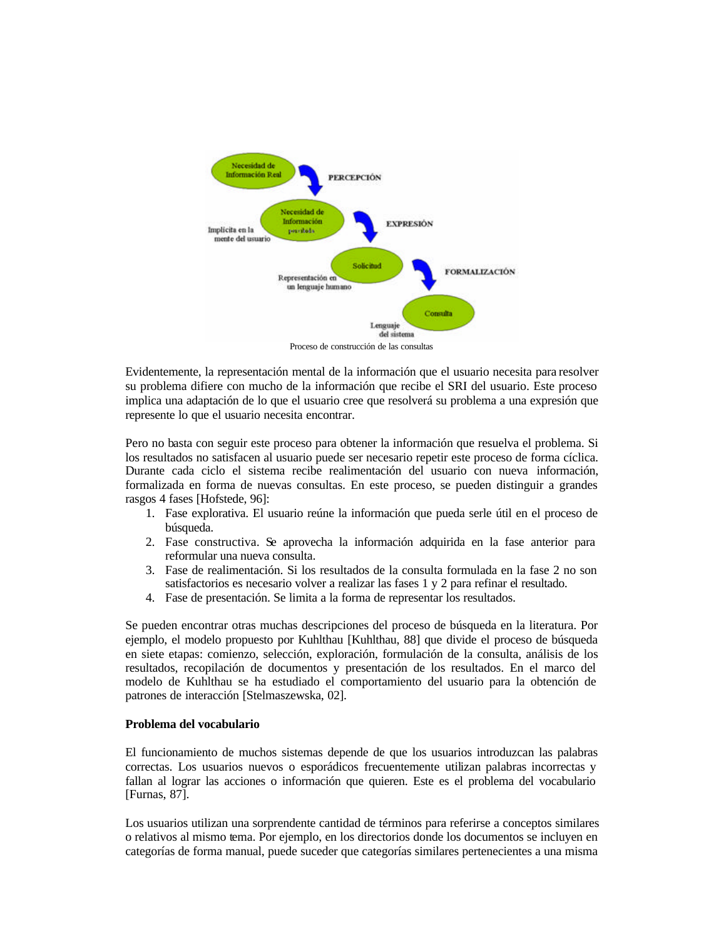

Evidentemente, la representación mental de la información que el usuario necesita para resolver su problema difiere con mucho de la información que recibe el SRI del usuario. Este proceso implica una adaptación de lo que el usuario cree que resolverá su problema a una expresión que represente lo que el usuario necesita encontrar.

Pero no basta con seguir este proceso para obtener la información que resuelva el problema. Si los resultados no satisfacen al usuario puede ser necesario repetir este proceso de forma cíclica. Durante cada ciclo el sistema recibe realimentación del usuario con nueva información, formalizada en forma de nuevas consultas. En este proceso, se pueden distinguir a grandes rasgos 4 fases [Hofstede, 96]:

- 1. Fase explorativa. El usuario reúne la información que pueda serle útil en el proceso de búsqueda.
- 2. Fase constructiva. Se aprovecha la información adquirida en la fase anterior para reformular una nueva consulta.
- 3. Fase de realimentación. Si los resultados de la consulta formulada en la fase 2 no son satisfactorios es necesario volver a realizar las fases 1 y 2 para refinar el resultado.
- 4. Fase de presentación. Se limita a la forma de representar los resultados.

Se pueden encontrar otras muchas descripciones del proceso de búsqueda en la literatura. Por ejemplo, el modelo propuesto por Kuhlthau [Kuhlthau, 88] que divide el proceso de búsqueda en siete etapas: comienzo, selección, exploración, formulación de la consulta, análisis de los resultados, recopilación de documentos y presentación de los resultados. En el marco del modelo de Kuhlthau se ha estudiado el comportamiento del usuario para la obtención de patrones de interacción [Stelmaszewska, 02].

#### **Problema del vocabulario**

El funcionamiento de muchos sistemas depende de que los usuarios introduzcan las palabras correctas. Los usuarios nuevos o esporádicos frecuentemente utilizan palabras incorrectas y fallan al lograr las acciones o información que quieren. Este es el problema del vocabulario [Furnas, 87].

Los usuarios utilizan una sorprendente cantidad de términos para referirse a conceptos similares o relativos al mismo tema. Por ejemplo, en los directorios donde los documentos se incluyen en categorías de forma manual, puede suceder que categorías similares pertenecientes a una misma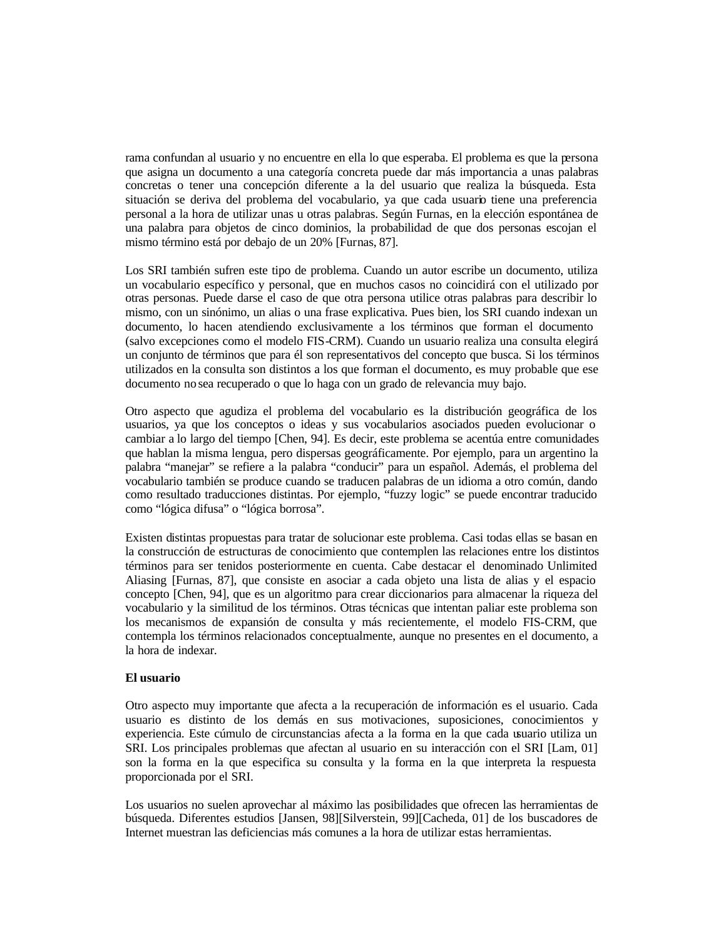rama confundan al usuario y no encuentre en ella lo que esperaba. El problema es que la persona que asigna un documento a una categoría concreta puede dar más importancia a unas palabras concretas o tener una concepción diferente a la del usuario que realiza la búsqueda. Esta situación se deriva del problema del vocabulario, ya que cada usuario tiene una preferencia personal a la hora de utilizar unas u otras palabras. Según Furnas, en la elección espontánea de una palabra para objetos de cinco dominios, la probabilidad de que dos personas escojan el mismo término está por debajo de un 20% [Furnas, 87].

Los SRI también sufren este tipo de problema. Cuando un autor escribe un documento, utiliza un vocabulario específico y personal, que en muchos casos no coincidirá con el utilizado por otras personas. Puede darse el caso de que otra persona utilice otras palabras para describir lo mismo, con un sinónimo, un alias o una frase explicativa. Pues bien, los SRI cuando indexan un documento, lo hacen atendiendo exclusivamente a los términos que forman el documento (salvo excepciones como el modelo FIS-CRM). Cuando un usuario realiza una consulta elegirá un conjunto de términos que para él son representativos del concepto que busca. Si los términos utilizados en la consulta son distintos a los que forman el documento, es muy probable que ese documento no sea recuperado o que lo haga con un grado de relevancia muy bajo.

Otro aspecto que agudiza el problema del vocabulario es la distribución geográfica de los usuarios, ya que los conceptos o ideas y sus vocabularios asociados pueden evolucionar o cambiar a lo largo del tiempo [Chen, 94]. Es decir, este problema se acentúa entre comunidades que hablan la misma lengua, pero dispersas geográficamente. Por ejemplo, para un argentino la palabra "manejar" se refiere a la palabra "conducir" para un español. Además, el problema del vocabulario también se produce cuando se traducen palabras de un idioma a otro común, dando como resultado traducciones distintas. Por ejemplo, "fuzzy logic" se puede encontrar traducido como "lógica difusa" o "lógica borrosa".

Existen distintas propuestas para tratar de solucionar este problema. Casi todas ellas se basan en la construcción de estructuras de conocimiento que contemplen las relaciones entre los distintos términos para ser tenidos posteriormente en cuenta. Cabe destacar el denominado Unlimited Aliasing [Furnas, 87], que consiste en asociar a cada objeto una lista de alias y el espacio concepto [Chen, 94], que es un algoritmo para crear diccionarios para almacenar la riqueza del vocabulario y la similitud de los términos. Otras técnicas que intentan paliar este problema son los mecanismos de expansión de consulta y más recientemente, el modelo FIS-CRM, que contempla los términos relacionados conceptualmente, aunque no presentes en el documento, a la hora de indexar.

# **El usuario**

Otro aspecto muy importante que afecta a la recuperación de información es el usuario. Cada usuario es distinto de los demás en sus motivaciones, suposiciones, conocimientos y experiencia. Este cúmulo de circunstancias afecta a la forma en la que cada usuario utiliza un SRI. Los principales problemas que afectan al usuario en su interacción con el SRI [Lam, 01] son la forma en la que especifica su consulta y la forma en la que interpreta la respuesta proporcionada por el SRI.

Los usuarios no suelen aprovechar al máximo las posibilidades que ofrecen las herramientas de búsqueda. Diferentes estudios [Jansen, 98][Silverstein, 99][Cacheda, 01] de los buscadores de Internet muestran las deficiencias más comunes a la hora de utilizar estas herramientas.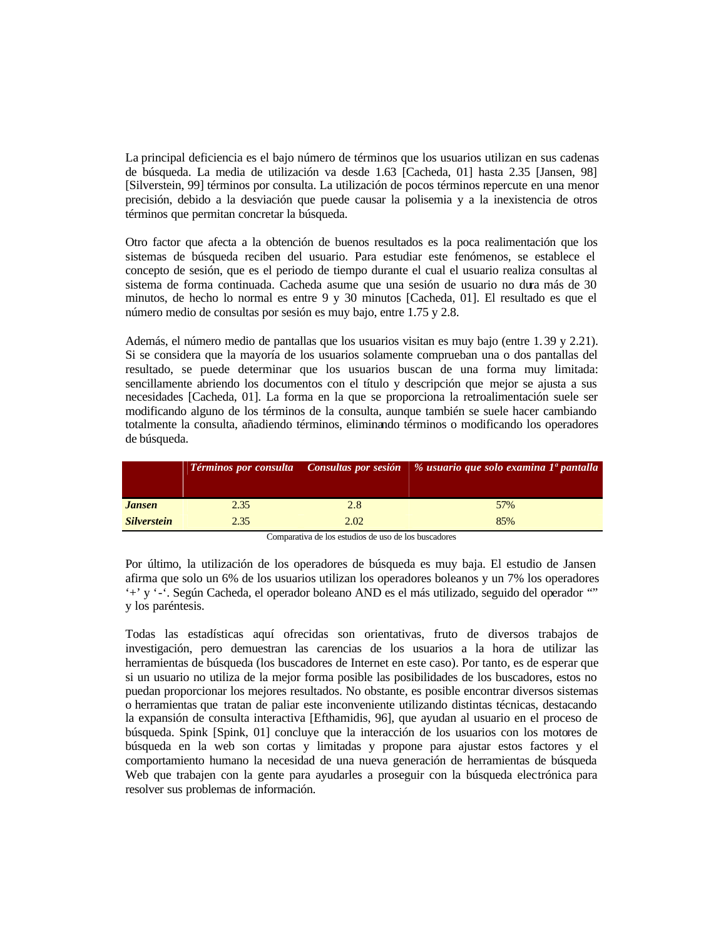La principal deficiencia es el bajo número de términos que los usuarios utilizan en sus cadenas de búsqueda. La media de utilización va desde 1.63 [Cacheda, 01] hasta 2.35 [Jansen, 98] [Silverstein, 99] términos por consulta. La utilización de pocos términos repercute en una menor precisión, debido a la desviación que puede causar la polisemia y a la inexistencia de otros términos que permitan concretar la búsqueda.

Otro factor que afecta a la obtención de buenos resultados es la poca realimentación que los sistemas de búsqueda reciben del usuario. Para estudiar este fenómenos, se establece el concepto de sesión, que es el periodo de tiempo durante el cual el usuario realiza consultas al sistema de forma continuada. Cacheda asume que una sesión de usuario no dura más de 30 minutos, de hecho lo normal es entre 9 y 30 minutos [Cacheda, 01]. El resultado es que el número medio de consultas por sesión es muy bajo, entre 1.75 y 2.8.

Además, el número medio de pantallas que los usuarios visitan es muy bajo (entre 1. 39 y 2.21). Si se considera que la mayoría de los usuarios solamente comprueban una o dos pantallas del resultado, se puede determinar que los usuarios buscan de una forma muy limitada: sencillamente abriendo los documentos con el título y descripción que mejor se ajusta a sus necesidades [Cacheda, 01]. La forma en la que se proporciona la retroalimentación suele ser modificando alguno de los términos de la consulta, aunque también se suele hacer cambiando totalmente la consulta, añadiendo términos, eliminando términos o modificando los operadores de búsqueda.

|                           |      |      | Términos por consulta Consultas por sesión % usuario que solo examina 1ª pantalla |  |  |
|---------------------------|------|------|-----------------------------------------------------------------------------------|--|--|
|                           |      |      |                                                                                   |  |  |
| <b>Jansen</b>             | 2.35 | 2.8  | 57%                                                                               |  |  |
| <i><b>Silverstein</b></i> | 2.35 | 2.02 | 85%                                                                               |  |  |

Comparativa de los estudios de uso de los buscadores

Por último, la utilización de los operadores de búsqueda es muy baja. El estudio de Jansen afirma que solo un 6% de los usuarios utilizan los operadores boleanos y un 7% los operadores '+' y '-'. Según Cacheda, el operador boleano AND es el más utilizado, seguido del operador "" y los paréntesis.

Todas las estadísticas aquí ofrecidas son orientativas, fruto de diversos trabajos de investigación, pero demuestran las carencias de los usuarios a la hora de utilizar las herramientas de búsqueda (los buscadores de Internet en este caso). Por tanto, es de esperar que si un usuario no utiliza de la mejor forma posible las posibilidades de los buscadores, estos no puedan proporcionar los mejores resultados. No obstante, es posible encontrar diversos sistemas o herramientas que tratan de paliar este inconveniente utilizando distintas técnicas, destacando la expansión de consulta interactiva [Efthamidis, 96], que ayudan al usuario en el proceso de búsqueda. Spink [Spink, 01] concluye que la interacción de los usuarios con los motores de búsqueda en la web son cortas y limitadas y propone para ajustar estos factores y el comportamiento humano la necesidad de una nueva generación de herramientas de búsqueda Web que trabajen con la gente para ayudarles a proseguir con la búsqueda electrónica para resolver sus problemas de información.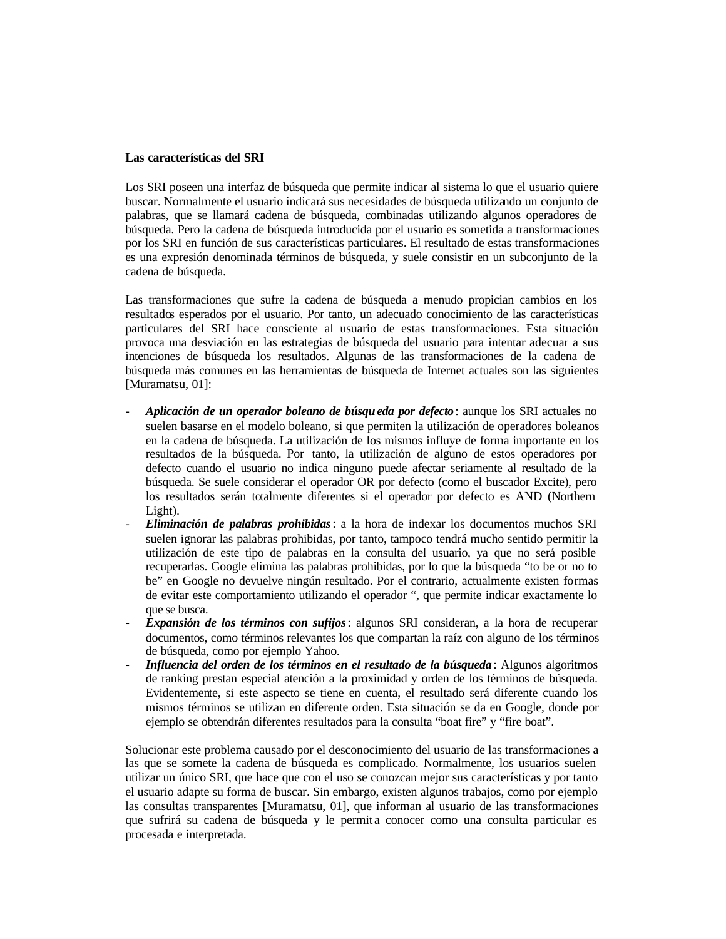# **Las características del SRI**

Los SRI poseen una interfaz de búsqueda que permite indicar al sistema lo que el usuario quiere buscar. Normalmente el usuario indicará sus necesidades de búsqueda utilizando un conjunto de palabras, que se llamará cadena de búsqueda, combinadas utilizando algunos operadores de búsqueda. Pero la cadena de búsqueda introducida por el usuario es sometida a transformaciones por los SRI en función de sus características particulares. El resultado de estas transformaciones es una expresión denominada términos de búsqueda, y suele consistir en un subconjunto de la cadena de búsqueda.

Las transformaciones que sufre la cadena de búsqueda a menudo propician cambios en los resultados esperados por el usuario. Por tanto, un adecuado conocimiento de las características particulares del SRI hace consciente al usuario de estas transformaciones. Esta situación provoca una desviación en las estrategias de búsqueda del usuario para intentar adecuar a sus intenciones de búsqueda los resultados. Algunas de las transformaciones de la cadena de búsqueda más comunes en las herramientas de búsqueda de Internet actuales son las siguientes [Muramatsu, 01]:

- *Aplicación de un operador boleano de búsqueda por defecto*: aunque los SRI actuales no suelen basarse en el modelo boleano, si que permiten la utilización de operadores boleanos en la cadena de búsqueda. La utilización de los mismos influye de forma importante en los resultados de la búsqueda. Por tanto, la utilización de alguno de estos operadores por defecto cuando el usuario no indica ninguno puede afectar seriamente al resultado de la búsqueda. Se suele considerar el operador OR por defecto (como el buscador Excite), pero los resultados serán totalmente diferentes si el operador por defecto es AND (Northern Light).
- *Eliminación de palabras prohibidas*: a la hora de indexar los documentos muchos SRI suelen ignorar las palabras prohibidas, por tanto, tampoco tendrá mucho sentido permitir la utilización de este tipo de palabras en la consulta del usuario, ya que no será posible recuperarlas. Google elimina las palabras prohibidas, por lo que la búsqueda "to be or no to be" en Google no devuelve ningún resultado. Por el contrario, actualmente existen formas de evitar este comportamiento utilizando el operador ", que permite indicar exactamente lo que se busca.
- *Expansión de los términos con sufijos*: algunos SRI consideran, a la hora de recuperar documentos, como términos relevantes los que compartan la raíz con alguno de los términos de búsqueda, como por ejemplo Yahoo.
- Influencia del orden de los términos en el resultado de la búsqueda : Algunos algoritmos de ranking prestan especial atención a la proximidad y orden de los términos de búsqueda. Evidentemente, si este aspecto se tiene en cuenta, el resultado será diferente cuando los mismos términos se utilizan en diferente orden. Esta situación se da en Google, donde por ejemplo se obtendrán diferentes resultados para la consulta "boat fire" y "fire boat".

Solucionar este problema causado por el desconocimiento del usuario de las transformaciones a las que se somete la cadena de búsqueda es complicado. Normalmente, los usuarios suelen utilizar un único SRI, que hace que con el uso se conozcan mejor sus características y por tanto el usuario adapte su forma de buscar. Sin embargo, existen algunos trabajos, como por ejemplo las consultas transparentes [Muramatsu, 01], que informan al usuario de las transformaciones que sufrirá su cadena de búsqueda y le permit a conocer como una consulta particular es procesada e interpretada.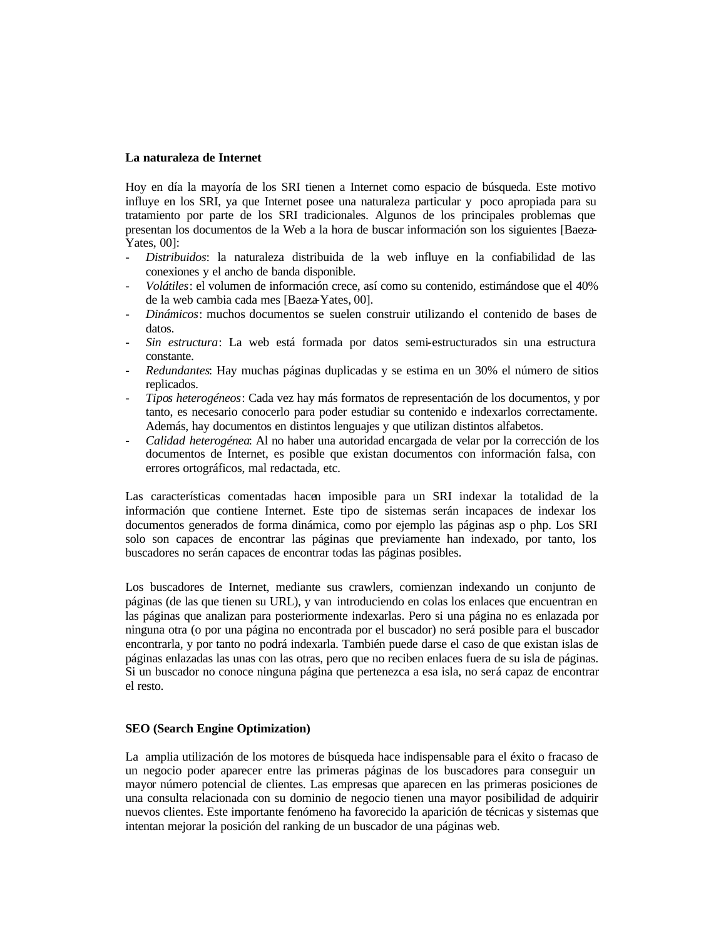# **La naturaleza de Internet**

Hoy en día la mayoría de los SRI tienen a Internet como espacio de búsqueda. Este motivo influye en los SRI, ya que Internet posee una naturaleza particular y poco apropiada para su tratamiento por parte de los SRI tradicionales. Algunos de los principales problemas que presentan los documentos de la Web a la hora de buscar información son los siguientes [Baeza-Yates, 00]:

- *Distribuidos*: la naturaleza distribuida de la web influye en la confiabilidad de las conexiones y el ancho de banda disponible.
- *Volátiles*: el volumen de información crece, así como su contenido, estimándose que el 40% de la web cambia cada mes [Baeza-Yates, 00].
- *Dinámicos*: muchos documentos se suelen construir utilizando el contenido de bases de datos.
- *Sin estructura*: La web está formada por datos semi-estructurados sin una estructura constante.
- *Redundantes*: Hay muchas páginas duplicadas y se estima en un 30% el número de sitios replicados.
- *Tipos heterogéneos*: Cada vez hay más formatos de representación de los documentos, y por tanto, es necesario conocerlo para poder estudiar su contenido e indexarlos correctamente. Además, hay documentos en distintos lenguajes y que utilizan distintos alfabetos.
- *Calidad heterogénea*: Al no haber una autoridad encargada de velar por la corrección de los documentos de Internet, es posible que existan documentos con información falsa, con errores ortográficos, mal redactada, etc.

Las características comentadas hacen imposible para un SRI indexar la totalidad de la información que contiene Internet. Este tipo de sistemas serán incapaces de indexar los documentos generados de forma dinámica, como por ejemplo las páginas asp o php. Los SRI solo son capaces de encontrar las páginas que previamente han indexado, por tanto, los buscadores no serán capaces de encontrar todas las páginas posibles.

Los buscadores de Internet, mediante sus crawlers, comienzan indexando un conjunto de páginas (de las que tienen su URL), y van introduciendo en colas los enlaces que encuentran en las páginas que analizan para posteriormente indexarlas. Pero si una página no es enlazada por ninguna otra (o por una página no encontrada por el buscador) no será posible para el buscador encontrarla, y por tanto no podrá indexarla. También puede darse el caso de que existan islas de páginas enlazadas las unas con las otras, pero que no reciben enlaces fuera de su isla de páginas. Si un buscador no conoce ninguna página que pertenezca a esa isla, no será capaz de encontrar el resto.

#### **SEO (Search Engine Optimization)**

La amplia utilización de los motores de búsqueda hace indispensable para el éxito o fracaso de un negocio poder aparecer entre las primeras páginas de los buscadores para conseguir un mayor número potencial de clientes. Las empresas que aparecen en las primeras posiciones de una consulta relacionada con su dominio de negocio tienen una mayor posibilidad de adquirir nuevos clientes. Este importante fenómeno ha favorecido la aparición de técnicas y sistemas que intentan mejorar la posición del ranking de un buscador de una páginas web.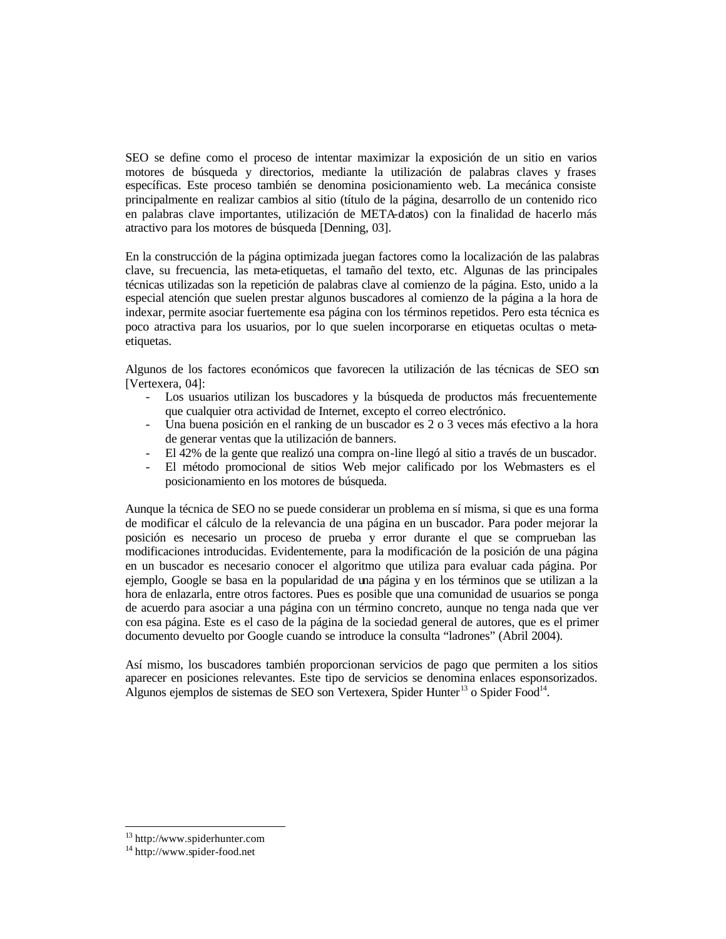SEO se define como el proceso de intentar maximizar la exposición de un sitio en varios motores de búsqueda y directorios, mediante la utilización de palabras claves y frases específicas. Este proceso también se denomina posicionamiento web. La mecánica consiste principalmente en realizar cambios al sitio (título de la página, desarrollo de un contenido rico en palabras clave importantes, utilización de META-datos) con la finalidad de hacerlo más atractivo para los motores de búsqueda [Denning, 03].

En la construcción de la página optimizada juegan factores como la localización de las palabras clave, su frecuencia, las meta-etiquetas, el tamaño del texto, etc. Algunas de las principales técnicas utilizadas son la repetición de palabras clave al comienzo de la página. Esto, unido a la especial atención que suelen prestar algunos buscadores al comienzo de la página a la hora de indexar, permite asociar fuertemente esa página con los términos repetidos. Pero esta técnica es poco atractiva para los usuarios, por lo que suelen incorporarse en etiquetas ocultas o metaetiquetas.

Algunos de los factores económicos que favorecen la utilización de las técnicas de SEO son [Vertexera, 04]:

- Los usuarios utilizan los buscadores y la búsqueda de productos más frecuentemente que cualquier otra actividad de Internet, excepto el correo electrónico.
- Una buena posición en el ranking de un buscador es 2 o 3 veces más efectivo a la hora de generar ventas que la utilización de banners.
- El 42% de la gente que realizó una compra on-line llegó al sitio a través de un buscador.
- El método promocional de sitios Web mejor calificado por los Webmasters es el posicionamiento en los motores de búsqueda.

Aunque la técnica de SEO no se puede considerar un problema en sí misma, si que es una forma de modificar el cálculo de la relevancia de una página en un buscador. Para poder mejorar la posición es necesario un proceso de prueba y error durante el que se comprueban las modificaciones introducidas. Evidentemente, para la modificación de la posición de una página en un buscador es necesario conocer el algoritmo que utiliza para evaluar cada página. Por ejemplo, Google se basa en la popularidad de una página y en los términos que se utilizan a la hora de enlazarla, entre otros factores. Pues es posible que una comunidad de usuarios se ponga de acuerdo para asociar a una página con un término concreto, aunque no tenga nada que ver con esa página. Este es el caso de la página de la sociedad general de autores, que es el primer documento devuelto por Google cuando se introduce la consulta "ladrones" (Abril 2004).

Así mismo, los buscadores también proporcionan servicios de pago que permiten a los sitios aparecer en posiciones relevantes. Este tipo de servicios se denomina enlaces esponsorizados. Algunos ejemplos de sistemas de SEO son Vertexera, Spider Hunter<sup>13</sup> o Spider Food<sup>14</sup>.

 $\overline{a}$ 

<sup>13</sup> http://www.spiderhunter.com

<sup>14</sup> http://www.spider-food.net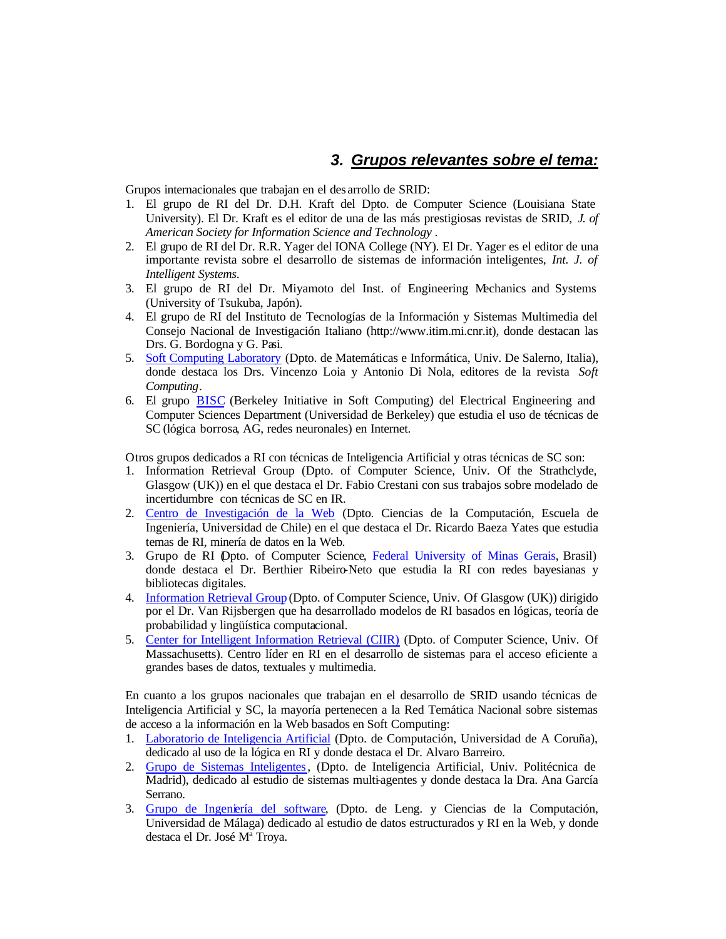# *3. Grupos relevantes sobre el tema:*

Grupos internacionales que trabajan en el des arrollo de SRID:

- 1. El grupo de RI del Dr. D.H. Kraft del Dpto. de Computer Science (Louisiana State University). El Dr. Kraft es el editor de una de las más prestigiosas revistas de SRID, *J. of American Society for Information Science and Technology* .
- 2. El grupo de RI del Dr. R.R. Yager del IONA College (NY). El Dr. Yager es el editor de una importante revista sobre el desarrollo de sistemas de información inteligentes, *Int. J. of Intelligent Systems*.
- 3. El grupo de RI del Dr. Miyamoto del Inst. of Engineering Mechanics and Systems (University of Tsukuba, Japón).
- 4. El grupo de RI del Instituto de Tecnologías de la Información y Sistemas Multimedia del Consejo Nacional de Investigación Italiano (http://www.itim.mi.cnr.it), donde destacan las Drs. G. Bordogna y G. Pasi.
- 5. Soft Computing Laboratory (Dpto. de Matemáticas e Informática, Univ. De Salerno, Italia), donde destaca los Drs. Vincenzo Loia y Antonio Di Nola, editores de la revista *Soft Computing*.
- 6. El grupo BISC (Berkeley Initiative in Soft Computing) del Electrical Engineering and Computer Sciences Department (Universidad de Berkeley) que estudia el uso de técnicas de SC (lógica borrosa, AG, redes neuronales) en Internet.

Otros grupos dedicados a RI con técnicas de Inteligencia Artificial y otras técnicas de SC son:

- 1. Information Retrieval Group (Dpto. of Computer Science, Univ. Of the Strathclyde, Glasgow (UK)) en el que destaca el Dr. Fabio Crestani con sus trabajos sobre modelado de incertidumbre con técnicas de SC en IR.
- 2. Centro de Investigación de la Web (Dpto. Ciencias de la Computación, Escuela de Ingeniería, Universidad de Chile) en el que destaca el Dr. Ricardo Baeza Yates que estudia temas de RI, minería de datos en la Web.
- 3. Grupo de RI (Dpto. of Computer Science, Federal University of Minas Gerais, Brasil) donde destaca el Dr. Berthier Ribeiro-Neto que estudia la RI con redes bayesianas y bibliotecas digitales.
- 4. Information Retrieval Group (Dpto. of Computer Science, Univ. Of Glasgow (UK)) dirigido por el Dr. Van Rijsbergen que ha desarrollado modelos de RI basados en lógicas, teoría de probabilidad y lingüística computacional.
- 5. Center for Intelligent Information Retrieval (CIIR) (Dpto. of Computer Science, Univ. Of Massachusetts). Centro líder en RI en el desarrollo de sistemas para el acceso eficiente a grandes bases de datos, textuales y multimedia.

En cuanto a los grupos nacionales que trabajan en el desarrollo de SRID usando técnicas de Inteligencia Artificial y SC, la mayoría pertenecen a la Red Temática Nacional sobre sistemas de acceso a la información en la Web basados en Soft Computing:

- 1. Laboratorio de Inteligencia Artificial (Dpto. de Computación, Universidad de A Coruña), dedicado al uso de la lógica en RI y donde destaca el Dr. Alvaro Barreiro.
- 2. Grupo de Sistemas Inteligentes, (Dpto. de Inteligencia Artificial, Univ. Politécnica de Madrid), dedicado al estudio de sistemas multi-agentes y donde destaca la Dra. Ana García Serrano.
- 3. Grupo de Ingeniería del software, (Dpto. de Leng. y Ciencias de la Computación, Universidad de Málaga) dedicado al estudio de datos estructurados y RI en la Web, y donde destaca el Dr. José Mª Troya.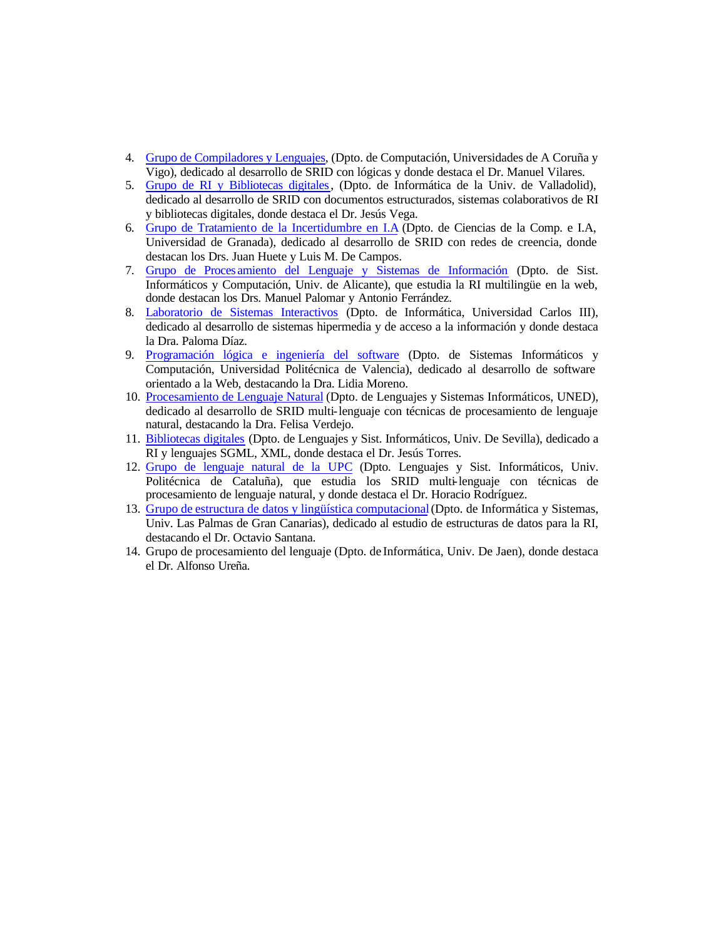- 4. Grupo de Compiladores y Lenguajes, (Dpto. de Computación, Universidades de A Coruña y Vigo), dedicado al desarrollo de SRID con lógicas y donde destaca el Dr. Manuel Vilares.
- 5. Grupo de RI y Bibliotecas digitales, (Dpto. de Informática de la Univ. de Valladolid), dedicado al desarrollo de SRID con documentos estructurados, sistemas colaborativos de RI y bibliotecas digitales, donde destaca el Dr. Jesús Vega.
- 6. Grupo de Tratamiento de la Incertidumbre en I.A (Dpto. de Ciencias de la Comp. e I.A, Universidad de Granada), dedicado al desarrollo de SRID con redes de creencia, donde destacan los Drs. Juan Huete y Luis M. De Campos.
- 7. Grupo de Proces amiento del Lenguaje y Sistemas de Información (Dpto. de Sist. Informáticos y Computación, Univ. de Alicante), que estudia la RI multilingüe en la web, donde destacan los Drs. Manuel Palomar y Antonio Ferrández.
- 8. Laboratorio de Sistemas Interactivos (Dpto. de Informática, Universidad Carlos III), dedicado al desarrollo de sistemas hipermedia y de acceso a la información y donde destaca la Dra. Paloma Díaz.
- 9. Programación lógica e ingeniería del software (Dpto. de Sistemas Informáticos y Computación, Universidad Politécnica de Valencia), dedicado al desarrollo de software orientado a la Web, destacando la Dra. Lidia Moreno.
- 10. Procesamiento de Lenguaje Natural (Dpto. de Lenguajes y Sistemas Informáticos, UNED), dedicado al desarrollo de SRID multi-lenguaje con técnicas de procesamiento de lenguaje natural, destacando la Dra. Felisa Verdejo.
- 11. Bibliotecas digitales (Dpto. de Lenguajes y Sist. Informáticos, Univ. De Sevilla), dedicado a RI y lenguajes SGML, XML, donde destaca el Dr. Jesús Torres.
- 12. Grupo de lenguaje natural de la UPC (Dpto. Lenguajes y Sist. Informáticos, Univ. Politécnica de Cataluña), que estudia los SRID multi-lenguaje con técnicas de procesamiento de lenguaje natural, y donde destaca el Dr. Horacio Rodríguez.
- 13. Grupo de estructura de datos y lingüística computacional (Dpto. de Informática y Sistemas, Univ. Las Palmas de Gran Canarias), dedicado al estudio de estructuras de datos para la RI, destacando el Dr. Octavio Santana.
- 14. Grupo de procesamiento del lenguaje (Dpto. de Informática, Univ. De Jaen), donde destaca el Dr. Alfonso Ureña.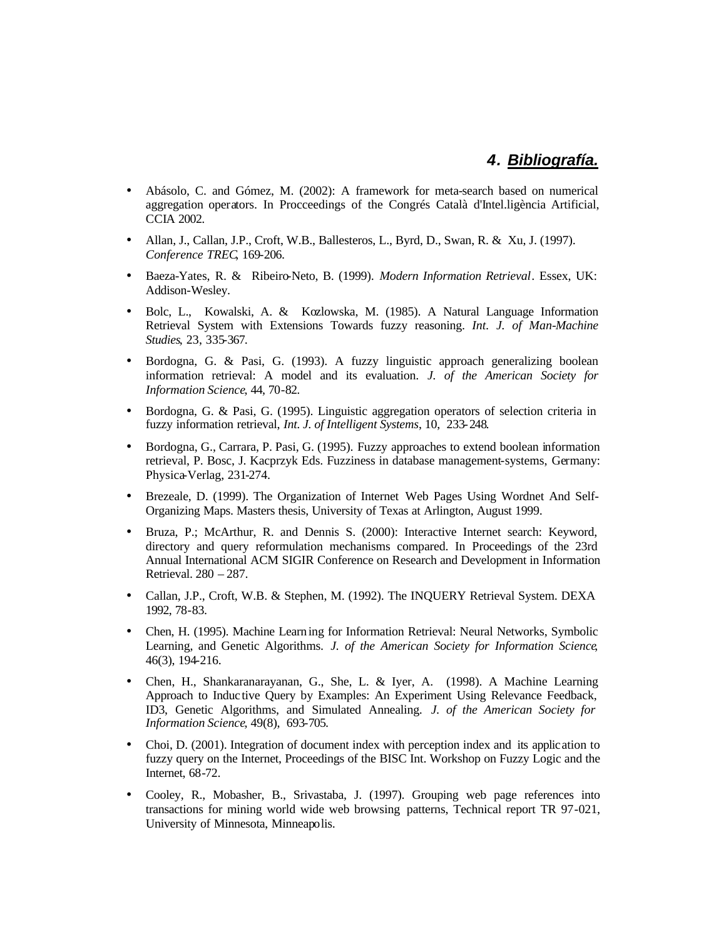# *4. Bibliografía.*

- Abásolo, C. and Gómez, M. (2002): A framework for meta-search based on numerical aggregation operators. In Procceedings of the Congrés Català d'Intel.ligència Artificial, CCIA 2002.
- Allan, J., Callan, J.P., Croft, W.B., Ballesteros, L., Byrd, D., Swan, R. & Xu, J. (1997). *Conference TREC*, 169-206.
- Baeza-Yates, R. & Ribeiro-Neto, B. (1999). *Modern Information Retrieval*. Essex, UK: Addison-Wesley.
- Bolc, L., Kowalski, A. & Kozlowska, M. (1985). A Natural Language Information Retrieval System with Extensions Towards fuzzy reasoning. *Int. J. of Man-Machine Studies*, 23, 335-367.
- Bordogna, G. & Pasi, G. (1993). A fuzzy linguistic approach generalizing boolean information retrieval: A model and its evaluation. *J. of the American Society for Information Science*, 44, 70-82.
- Bordogna, G. & Pasi, G. (1995). Linguistic aggregation operators of selection criteria in fuzzy information retrieval, *Int. J. of Intelligent Systems*, 10, 233-248.
- Bordogna, G., Carrara, P. Pasi, G. (1995). Fuzzy approaches to extend boolean information retrieval, P. Bosc, J. Kacprzyk Eds. Fuzziness in database management-systems, Germany: Physica-Verlag, 231-274.
- Brezeale, D. (1999). The Organization of Internet Web Pages Using Wordnet And Self-Organizing Maps. Masters thesis, University of Texas at Arlington, August 1999.
- Bruza, P.; McArthur, R. and Dennis S. (2000): Interactive Internet search: Keyword, directory and query reformulation mechanisms compared. In Proceedings of the 23rd Annual International ACM SIGIR Conference on Research and Development in Information Retrieval. 280 – 287.
- Callan, J.P., Croft, W.B. & Stephen, M. (1992). The INQUERY Retrieval System. DEXA 1992, 78-83.
- Chen, H. (1995). Machine Learning for Information Retrieval: Neural Networks, Symbolic Learning, and Genetic Algorithms. *J. of the American Society for Information Science*, 46(3), 194-216.
- Chen, H., Shankaranarayanan, G., She, L. & Iyer, A. (1998). A Machine Learning Approach to Induc tive Query by Examples: An Experiment Using Relevance Feedback, ID3, Genetic Algorithms, and Simulated Annealing. *J. of the American Society for Information Science*, 49(8), 693-705.
- Choi, D. (2001). Integration of document index with perception index and its application to fuzzy query on the Internet, Proceedings of the BISC Int. Workshop on Fuzzy Logic and the Internet, 68-72.
- Cooley, R., Mobasher, B., Srivastaba, J. (1997). Grouping web page references into transactions for mining world wide web browsing patterns, Technical report TR 97-021, University of Minnesota, Minneapolis.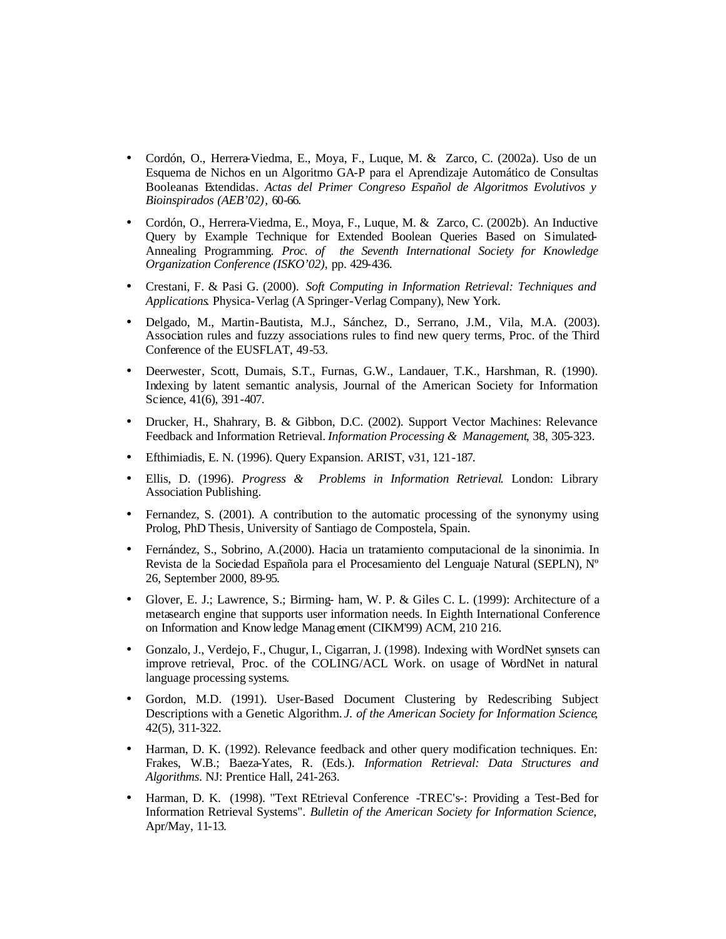- Cordón, O., Herrera-Viedma, E., Moya, F., Luque, M. & Zarco, C. (2002a). Uso de un Esquema de Nichos en un Algoritmo GA-P para el Aprendizaje Automático de Consultas Booleanas Extendidas*. Actas del Primer Congreso Español de Algoritmos Evolutivos y Bioinspirados (AEB'02),* 60-66.
- Cordón, O., Herrera-Viedma, E., Moya, F., Luque, M. & Zarco, C. (2002b). An Inductive Query by Example Technique for Extended Boolean Queries Based on Simulated-Annealing Programming*. Proc. of the Seventh International Society for Knowledge Organization Conference (ISKO'02),* pp. 429-436.
- Crestani, F. & Pasi G. (2000). *Soft Computing in Information Retrieval: Techniques and Applications*. Physica-Verlag (A Springer-Verlag Company), New York.
- Delgado, M., Martin-Bautista, M.J., Sánchez, D., Serrano, J.M., Vila, M.A. (2003). Association rules and fuzzy associations rules to find new query terms, Proc. of the Third Conference of the EUSFLAT, 49-53.
- Deerwester, Scott, Dumais, S.T., Furnas, G.W., Landauer, T.K., Harshman, R. (1990). Indexing by latent semantic analysis, Journal of the American Society for Information Science, 41(6), 391-407.
- Drucker, H., Shahrary, B. & Gibbon, D.C. (2002). Support Vector Machines: Relevance Feedback and Information Retrieval. *Information Processing & Management*, 38, 305-323.
- Efthimiadis, E. N. (1996). Query Expansion. ARIST, v31, 121-187.
- Ellis, D. (1996). *Progress & Problems in Information Retrieval*. London: Library Association Publishing.
- Fernandez, S. (2001). A contribution to the automatic processing of the synonymy using Prolog, PhD Thesis, University of Santiago de Compostela, Spain.
- Fernández, S., Sobrino, A.(2000). Hacia un tratamiento computacional de la sinonimia. In Revista de la Sociedad Española para el Procesamiento del Lenguaje Natural (SEPLN), Nº 26, September 2000, 89-95.
- Glover, E. J.; Lawrence, S.; Birming- ham, W. P. & Giles C. L. (1999): Architecture of a metasearch engine that supports user information needs. In Eighth International Conference on Information and Knowledge Management (CIKM'99) ACM, 210 216.
- Gonzalo, J., Verdejo, F., Chugur, I., Cigarran, J. (1998). Indexing with WordNet synsets can improve retrieval, Proc. of the COLING/ACL Work. on usage of WordNet in natural language processing systems.
- Gordon, M.D. (1991). User-Based Document Clustering by Redescribing Subject Descriptions with a Genetic Algorithm. *J. of the American Society for Information Science*, 42(5), 311-322.
- Harman, D. K. (1992). Relevance feedback and other query modification techniques. En: Frakes, W.B.; Baeza-Yates, R. (Eds.). *Information Retrieval: Data Structures and Algorithms*. NJ: Prentice Hall, 241-263.
- Harman, D. K. (1998). "Text REtrieval Conference -TREC's-: Providing a Test-Bed for Information Retrieval Systems". *Bulletin of the American Society for Information Science,* Apr/May, 11-13.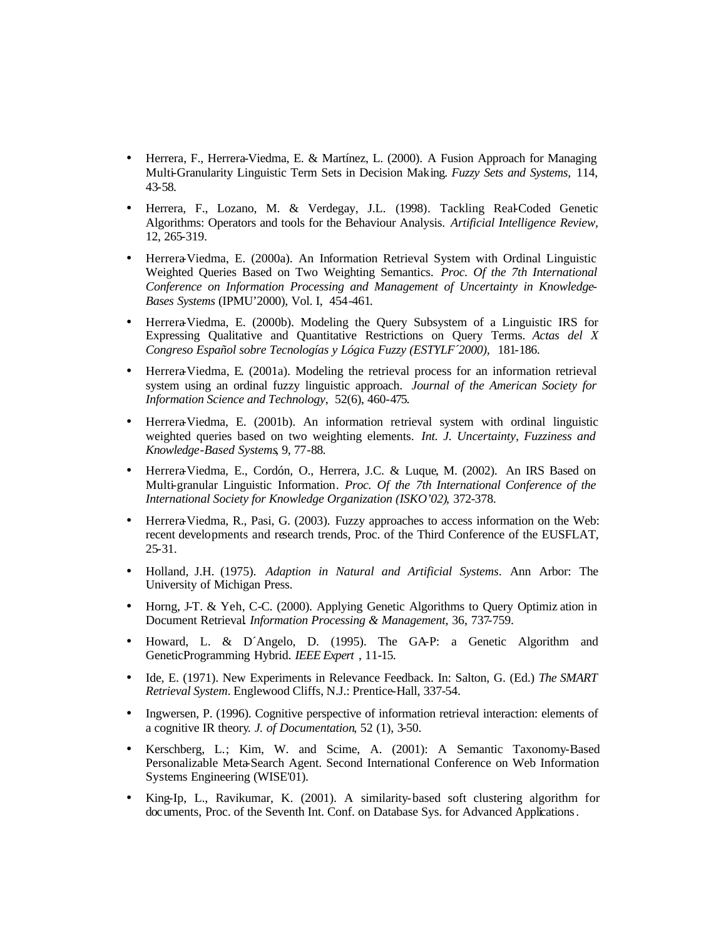- Herrera, F., Herrera-Viedma, E. & Martínez, L. (2000). A Fusion Approach for Managing Multi-Granularity Linguistic Term Sets in Decision Making. *Fuzzy Sets and Systems,* 114, 43-58.
- Herrera, F., Lozano, M. & Verdegay, J.L. (1998). Tackling Real-Coded Genetic Algorithms: Operators and tools for the Behaviour Analysis. *Artificial Intelligence Review,* 12, 265-319.
- Herrera-Viedma, E. (2000a). An Information Retrieval System with Ordinal Linguistic Weighted Queries Based on Two Weighting Semantics. *Proc. Of the 7th International Conference on Information Processing and Management of Uncertainty in Knowledge-Bases Systems* (IPMU'2000), Vol. I, 454-461.
- Herrera-Viedma, E. (2000b). Modeling the Query Subsystem of a Linguistic IRS for Expressing Qualitative and Quantitative Restrictions on Query Terms. *Actas del X Congreso Español sobre Tecnologías y Lógica Fuzzy (ESTYLF´2000),* 181-186.
- Herrera-Viedma, E. (2001a). Modeling the retrieval process for an information retrieval system using an ordinal fuzzy linguistic approach. *Journal of the American Society for Information Science and Technology*, 52(6), 460-475.
- Herrera-Viedma, E. (2001b). An information retrieval system with ordinal linguistic weighted queries based on two weighting elements. *Int. J. Uncertainty, Fuzziness and Knowledge-Based Systems*, 9, 77-88.
- Herrera-Viedma, E., Cordón, O., Herrera, J.C. & Luque, M. (2002). An IRS Based on Multi-granular Linguistic Information. *Proc. Of the 7th International Conference of the International Society for Knowledge Organization (ISKO'02),* 372-378*.*
- Herrera-Viedma, R., Pasi, G. (2003). Fuzzy approaches to access information on the Web: recent developments and research trends, Proc. of the Third Conference of the EUSFLAT, 25-31.
- Holland, J.H. (1975). *Adaption in Natural and Artificial Systems*. Ann Arbor: The University of Michigan Press.
- Horng, J-T. & Yeh, C-C. (2000). Applying Genetic Algorithms to Query Optimiz ation in Document Retrieval*. Information Processing & Management*, 36, 737-759.
- Howard, L. & D´Angelo, D. (1995). The GA-P: a Genetic Algorithm and GeneticProgramming Hybrid. *IEEE Expert* , 11-15.
- Ide, E. (1971). New Experiments in Relevance Feedback. In: Salton, G. (Ed.) *The SMART Retrieval System*. Englewood Cliffs, N.J.: Prentice-Hall, 337-54.
- Ingwersen, P. (1996). Cognitive perspective of information retrieval interaction: elements of a cognitive IR theory*. J. of Documentation*, 52 (1), 3-50.
- Kerschberg, L.; Kim, W. and Scime, A. (2001): A Semantic Taxonomy-Based Personalizable Meta-Search Agent. Second International Conference on Web Information Systems Engineering (WISE'01).
- King-Ip, L., Ravikumar, K. (2001). A similarity-based soft clustering algorithm for documents, Proc. of the Seventh Int. Conf. on Database Sys. for Advanced Applications.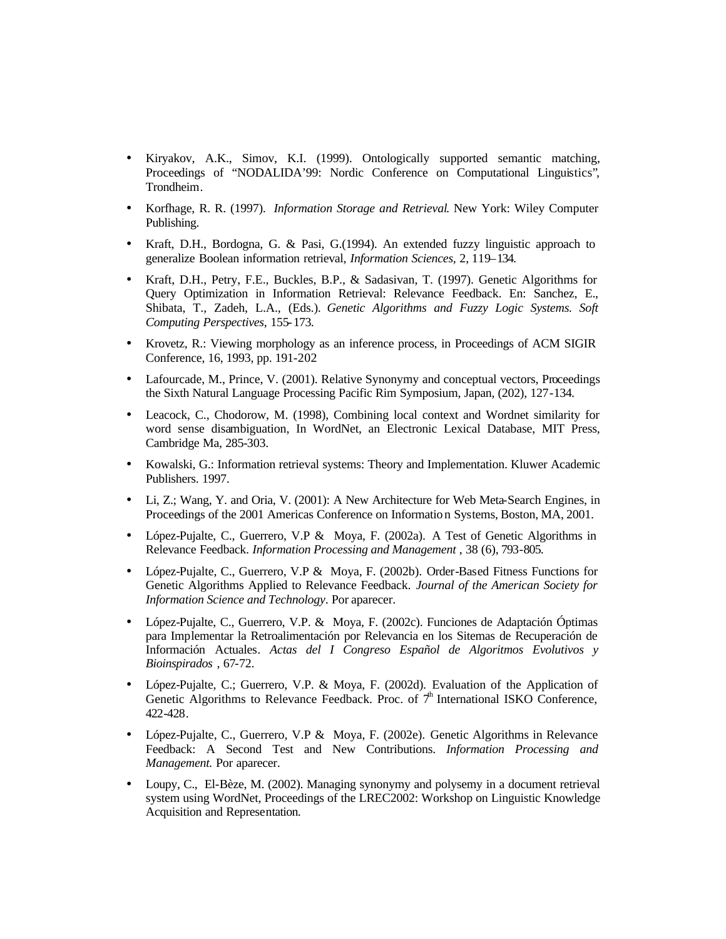- Kiryakov, A.K., Simov, K.I. (1999). Ontologically supported semantic matching, Proceedings of "NODALIDA'99: Nordic Conference on Computational Linguistics", Trondheim.
- Korfhage, R. R. (1997). *Information Storage and Retrieval*. New York: Wiley Computer Publishing.
- Kraft, D.H., Bordogna, G. & Pasi, G.(1994). An extended fuzzy linguistic approach to generalize Boolean information retrieval, *Information Sciences,* 2, 119–134.
- Kraft, D.H., Petry, F.E., Buckles, B.P., & Sadasivan, T. (1997). Genetic Algorithms for Query Optimization in Information Retrieval: Relevance Feedback. En: Sanchez, E., Shibata, T., Zadeh, L.A., (Eds.). *Genetic Algorithms and Fuzzy Logic Systems. Soft Computing Perspectives*, 155-173.
- Krovetz, R.: Viewing morphology as an inference process, in Proceedings of ACM SIGIR Conference, 16, 1993, pp. 191-202
- Lafourcade, M., Prince, V. (2001). Relative Synonymy and conceptual vectors, Proceedings the Sixth Natural Language Processing Pacific Rim Symposium, Japan, (202), 127-134.
- Leacock, C., Chodorow, M. (1998), Combining local context and Wordnet similarity for word sense disambiguation, In WordNet, an Electronic Lexical Database, MIT Press, Cambridge Ma, 285-303.
- Kowalski, G.: Information retrieval systems: Theory and Implementation. Kluwer Academic Publishers. 1997.
- Li, Z.; Wang, Y. and Oria, V. (2001): A New Architecture for Web Meta-Search Engines, in Proceedings of the 2001 Americas Conference on Informatio n Systems, Boston, MA, 2001.
- López-Pujalte, C., Guerrero, V.P & Moya, F. (2002a). A Test of Genetic Algorithms in Relevance Feedback. *Information Processing and Management* , 38 (6), 793-805.
- López-Pujalte, C., Guerrero, V.P & Moya, F. (2002b). Order-Based Fitness Functions for Genetic Algorithms Applied to Relevance Feedback. *Journal of the American Society for Information Science and Technology*. Por aparecer.
- López-Pujalte, C., Guerrero, V.P. & Moya, F. (2002c). Funciones de Adaptación Óptimas para Implementar la Retroalimentación por Relevancia en los Sitemas de Recuperación de Información Actuales*. Actas del I Congreso Español de Algoritmos Evolutivos y Bioinspirados* , 67-72.
- López-Pujalte, C.; Guerrero, V.P. & Moya, F. (2002d). Evaluation of the Application of Genetic Algorithms to Relevance Feedback. Proc. of  $7<sup>th</sup>$  International ISKO Conference, 422-428.
- López-Pujalte, C., Guerrero, V.P & Moya, F. (2002e). Genetic Algorithms in Relevance Feedback: A Second Test and New Contributions. *Information Processing and Management.* Por aparecer.
- Loupy, C., El-Bèze, M. (2002). Managing synonymy and polysemy in a document retrieval system using WordNet, Proceedings of the LREC2002: Workshop on Linguistic Knowledge Acquisition and Representation.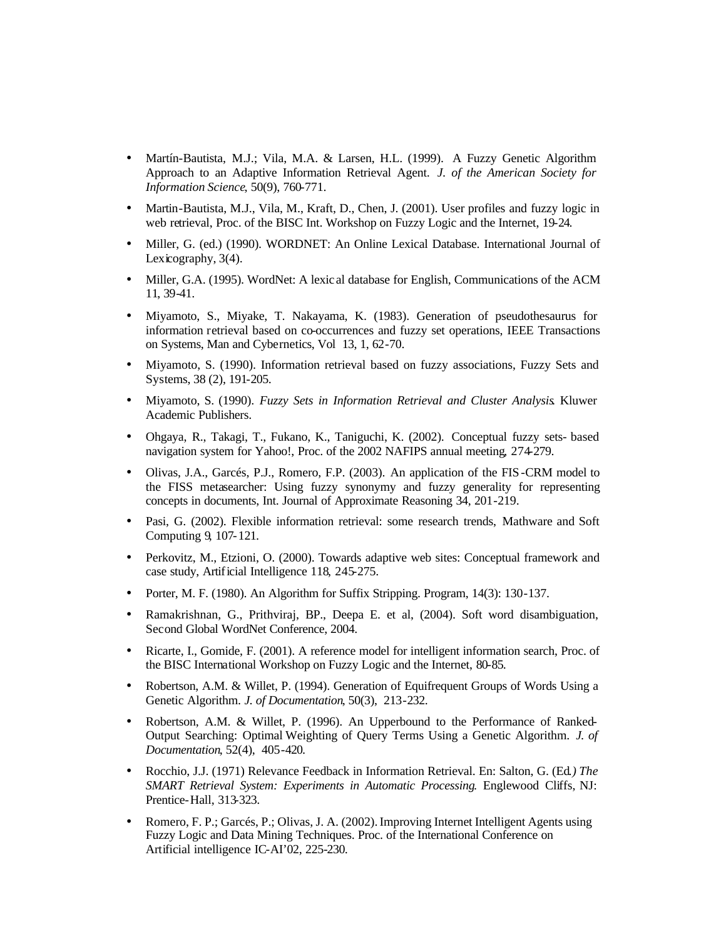- Martín-Bautista, M.J.; Vila, M.A. & Larsen, H.L. (1999). A Fuzzy Genetic Algorithm Approach to an Adaptive Information Retrieval Agent. *J. of the American Society for Information Science*, 50(9), 760-771.
- Martin-Bautista, M.J., Vila, M., Kraft, D., Chen, J. (2001). User profiles and fuzzy logic in web retrieval, Proc. of the BISC Int. Workshop on Fuzzy Logic and the Internet, 19-24.
- Miller, G. (ed.) (1990). WORDNET: An Online Lexical Database. International Journal of Lexicography,  $3(4)$ .
- Miller, G.A. (1995). WordNet: A lexic al database for English, Communications of the ACM 11, 39-41.
- Miyamoto, S., Miyake, T. Nakayama, K. (1983). Generation of pseudothesaurus for information retrieval based on co-occurrences and fuzzy set operations, IEEE Transactions on Systems, Man and Cybernetics, Vol 13, 1, 62-70.
- Miyamoto, S. (1990). Information retrieval based on fuzzy associations, Fuzzy Sets and Systems, 38 (2), 191-205.
- Miyamoto, S. (1990). *Fuzzy Sets in Information Retrieval and Cluster Analysis*. Kluwer Academic Publishers.
- Ohgaya, R., Takagi, T., Fukano, K., Taniguchi, K. (2002). Conceptual fuzzy sets- based navigation system for Yahoo!, Proc. of the 2002 NAFIPS annual meeting, 274-279.
- Olivas, J.A., Garcés, P.J., Romero, F.P. (2003). An application of the FIS-CRM model to the FISS metasearcher: Using fuzzy synonymy and fuzzy generality for representing concepts in documents, Int. Journal of Approximate Reasoning 34, 201-219.
- Pasi, G. (2002). Flexible information retrieval: some research trends, Mathware and Soft Computing 9, 107-121.
- Perkovitz, M., Etzioni, O. (2000). Towards adaptive web sites: Conceptual framework and case study, Artificial Intelligence 118, 245-275.
- Porter, M. F. (1980). An Algorithm for Suffix Stripping. Program, 14(3): 130-137.
- Ramakrishnan, G., Prithviraj, BP., Deepa E. et al, (2004). Soft word disambiguation, Second Global WordNet Conference, 2004.
- Ricarte, I., Gomide, F. (2001). A reference model for intelligent information search, Proc. of the BISC International Workshop on Fuzzy Logic and the Internet, 80-85.
- Robertson, A.M. & Willet, P. (1994). Generation of Equifrequent Groups of Words Using a Genetic Algorithm. *J. of Documentation*, 50(3), 213-232.
- Robertson, A.M. & Willet, P. (1996). An Upperbound to the Performance of Ranked-Output Searching: Optimal Weighting of Query Terms Using a Genetic Algorithm. *J. of Documentation*, 52(4), 405-420.
- Rocchio, J.J. (1971) Relevance Feedback in Information Retrieval. En: Salton, G. (Ed*.) The SMART Retrieval System: Experiments in Automatic Processing*. Englewood Cliffs, NJ: Prentice-Hall, 313-323.
- Romero, F. P.; Garcés, P.; Olivas, J. A. (2002). Improving Internet Intelligent Agents using Fuzzy Logic and Data Mining Techniques. Proc. of the International Conference on Artificial intelligence IC-AI'02, 225-230.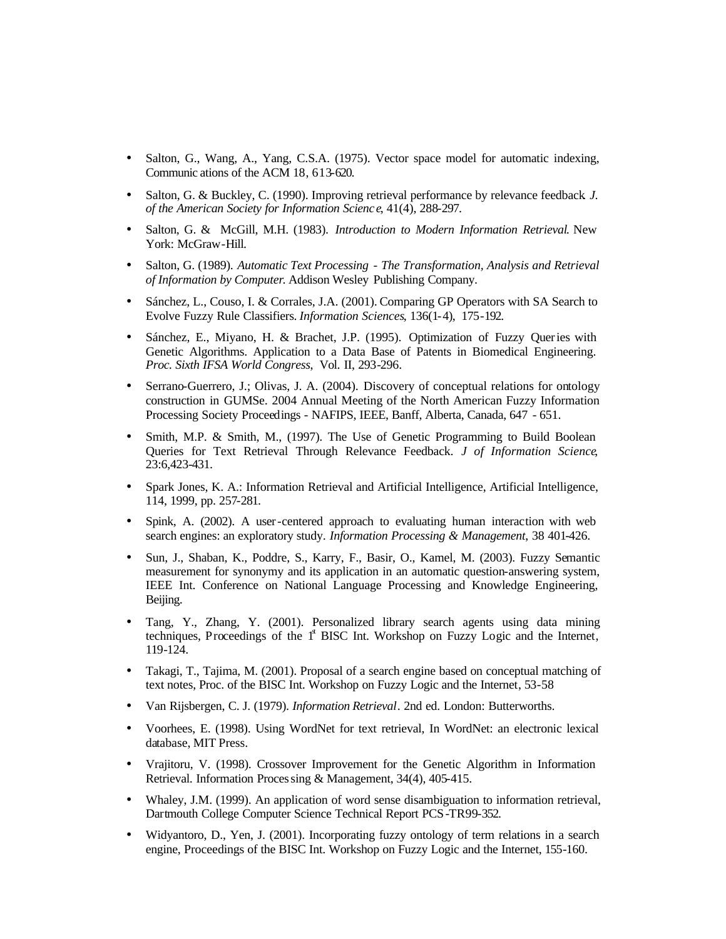- Salton, G., Wang, A., Yang, C.S.A. (1975). Vector space model for automatic indexing, Communic ations of the ACM 18, 613-620.
- Salton, G. & Buckley, C. (1990). Improving retrieval performance by relevance feedback*. J. of the American Society for Information Scienc e*, 41(4), 288-297.
- Salton, G. & McGill, M.H. (1983). *Introduction to Modern Information Retrieval*. New York: McGraw-Hill.
- Salton, G. (1989). *Automatic Text Processing The Transformation, Analysis and Retrieval of Information by Computer*. Addison Wesley Publishing Company.
- Sánchez, L., Couso, I. & Corrales, J.A. (2001). Comparing GP Operators with SA Search to Evolve Fuzzy Rule Classifiers. *Information Sciences*, 136(1-4), 175-192.
- Sánchez, E., Miyano, H. & Brachet, J.P. (1995). Optimization of Fuzzy Queries with Genetic Algorithms. Application to a Data Base of Patents in Biomedical Engineering. *Proc. Sixth IFSA World Congress*, Vol. II, 293-296.
- Serrano-Guerrero, J.; Olivas, J. A. (2004). Discovery of conceptual relations for ontology construction in GUMSe. 2004 Annual Meeting of the North American Fuzzy Information Processing Society Proceedings - NAFIPS, IEEE, Banff, Alberta, Canada, 647 - 651.
- Smith, M.P. & Smith, M., (1997). The Use of Genetic Programming to Build Boolean Queries for Text Retrieval Through Relevance Feedback. *J of Information Science*, 23:6,423-431.
- Spark Jones, K. A.: Information Retrieval and Artificial Intelligence, Artificial Intelligence, 114, 1999, pp. 257-281.
- Spink, A. (2002). A user-centered approach to evaluating human interaction with web search engines: an exploratory study. *Information Processing & Management*, 38 401-426.
- Sun, J., Shaban, K., Poddre, S., Karry, F., Basir, O., Kamel, M. (2003). Fuzzy Semantic measurement for synonymy and its application in an automatic question-answering system, IEEE Int. Conference on National Language Processing and Knowledge Engineering, Beijing.
- Tang, Y., Zhang, Y. (2001). Personalized library search agents using data mining techniques, Proceedings of the  $1<sup>s</sup>$  BISC Int. Workshop on Fuzzy Logic and the Internet, 119-124.
- Takagi, T., Tajima, M. (2001). Proposal of a search engine based on conceptual matching of text notes, Proc. of the BISC Int. Workshop on Fuzzy Logic and the Internet, 53-58
- Van Rijsbergen, C. J. (1979). *Information Retrieval*. 2nd ed. London: Butterworths.
- Voorhees, E. (1998). Using WordNet for text retrieval, In WordNet: an electronic lexical database, MIT Press.
- Vrajitoru, V. (1998). Crossover Improvement for the Genetic Algorithm in Information Retrieval. Information Processing & Management, 34(4), 405-415.
- Whaley, J.M. (1999). An application of word sense disambiguation to information retrieval, Dartmouth College Computer Science Technical Report PCS-TR99-352.
- Widyantoro, D., Yen, J. (2001). Incorporating fuzzy ontology of term relations in a search engine, Proceedings of the BISC Int. Workshop on Fuzzy Logic and the Internet, 155-160.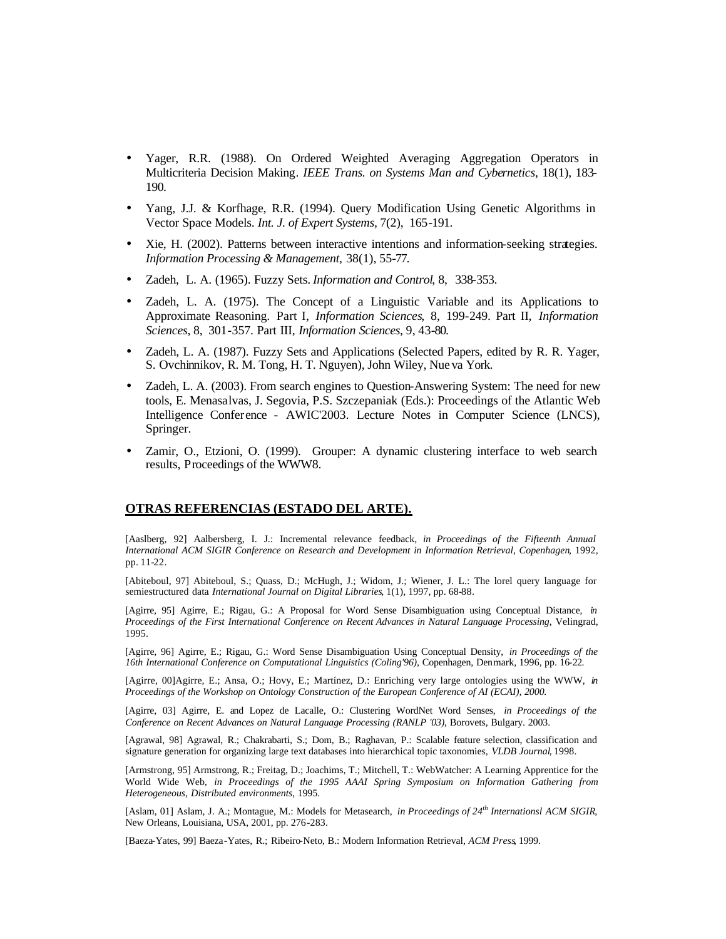- Yager, R.R. (1988). On Ordered Weighted Averaging Aggregation Operators in Multicriteria Decision Making*. IEEE Trans. on Systems Man and Cybernetics*, 18(1), 183- 190.
- Yang, J.J. & Korfhage, R.R. (1994). Query Modification Using Genetic Algorithms in Vector Space Models. *Int. J. of Expert Systems*, 7(2), 165-191.
- Xie, H. (2002). Patterns between interactive intentions and information-seeking strategies*. Information Processing & Management,* 38(1), 55-77.
- Zadeh, L. A. (1965). Fuzzy Sets. *Information and Control*, 8, 338-353.
- Zadeh, L. A. (1975). The Concept of a Linguistic Variable and its Applications to Approximate Reasoning. Part I, *Information Sciences*, 8, 199-249. Part II, *Information Sciences*, 8, 301-357. Part III, *Information Sciences*, 9, 43-80.
- Zadeh, L. A. (1987). Fuzzy Sets and Applications (Selected Papers, edited by R. R. Yager, S. Ovchinnikov, R. M. Tong, H. T. Nguyen), John Wiley, Nue va York.
- Zadeh, L. A. (2003). From search engines to Question-Answering System: The need for new tools, E. Menasalvas, J. Segovia, P.S. Szczepaniak (Eds.): Proceedings of the Atlantic Web Intelligence Conference - AWIC'2003. Lecture Notes in Computer Science (LNCS), Springer.
- Zamir, O., Etzioni, O. (1999). Grouper: A dynamic clustering interface to web search results, Proceedings of the WWW8.

# **OTRAS REFERENCIAS (ESTADO DEL ARTE).**

[Aaslberg, 92] Aalbersberg, I. J.: Incremental relevance feedback, *in Proceedings of the Fifteenth Annual International ACM SIGIR Conference on Research and Development in Information Retrieval, Copenhagen*, 1992, pp. 11-22.

[Abiteboul, 97] Abiteboul, S.; Quass, D.; McHugh, J.; Widom, J.; Wiener, J. L.: The lorel query language for semiestructured data*. International Journal on Digital Libraries*, 1(1), 1997, pp. 68-88.

[Agirre, 95] Agirre, E.; Rigau, G.: A Proposal for Word Sense Disambiguation using Conceptual Distance, *in Proceedings of the First International Conference on Recent Advances in Natural Language Processing*, Velingrad, 1995.

[Agirre, 96] Agirre, E.; Rigau, G.: Word Sense Disambiguation Using Conceptual Density, *in Proceedings of the 16th International Conference on Computational Linguistics (Coling'96)*, Copenhagen, Denmark, 1996, pp. 16-22.

[Agirre, 00]Agirre, E.; Ansa, O.; Hovy, E.; Martínez, D.: Enriching very large ontologies using the WWW, *in Proceedings of the Workshop on Ontology Construction of the European Conference of AI (ECAI), 2000.*

[Agirre, 03] Agirre, E. and Lopez de Lacalle, O.: Clustering WordNet Word Senses, *in Proceedings of the Conference on Recent Advances on Natural Language Processing (RANLP '03)*, Borovets, Bulgary. 2003.

[Agrawal, 98] Agrawal, R.; Chakrabarti, S.; Dom, B.; Raghavan, P.: Scalable feature selection, classification and signature generation for organizing large text databases into hierarchical topic taxonomies, *VLDB Journal*, 1998.

[Armstrong, 95] Armstrong, R.; Freitag, D.; Joachims, T.; Mitchell, T.: WebWatcher: A Learning Apprentice for the World Wide Web, *in Proceedings of the 1995 AAAI Spring Symposium on Information Gathering from Heterogeneous, Distributed environments*, 1995.

[Aslam, 01] Aslam, J. A.; Montague, M.: Models for Metasearch, *in Proceedings of 24th Internationsl ACM SIGIR*, New Orleans, Louisiana, USA, 2001, pp. 276-283.

[Baeza-Yates, 99] Baeza-Yates, R.; Ribeiro-Neto, B.: Modern Information Retrieval, *ACM Press*, 1999.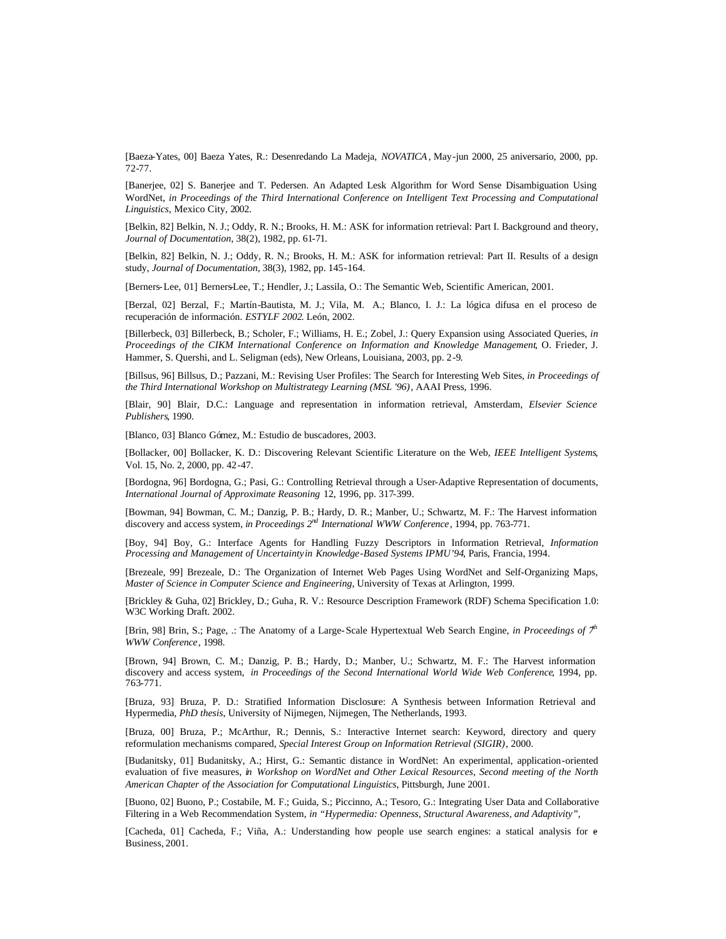[Baeza-Yates, 00] Baeza Yates, R.: Desenredando La Madeja, *NOVATICA*, May-jun 2000, 25 aniversario, 2000, pp. 72-77.

[Banerjee, 02] S. Banerjee and T. Pedersen. An Adapted Lesk Algorithm for Word Sense Disambiguation Using WordNet, *in Proceedings of the Third International Conference on Intelligent Text Processing and Computational Linguistics*, Mexico City, 2002.

[Belkin, 82] Belkin, N. J.; Oddy, R. N.; Brooks, H. M.: ASK for information retrieval: Part I. Background and theory, *Journal of Documentation*, 38(2), 1982, pp. 61-71.

[Belkin, 82] Belkin, N. J.; Oddy, R. N.; Brooks, H. M.: ASK for information retrieval: Part II. Results of a design study, *Journal of Documentation*, 38(3), 1982, pp. 145-164.

[Berners-Lee, 01] Berners-Lee, T.; Hendler, J.; Lassila, O.: The Semantic Web, Scientific American, 2001.

[Berzal, 02] Berzal, F.; Martín-Bautista, M. J.; Vila, M. A.; Blanco, I. J.: La lógica difusa en el proceso de recuperación de información. *ESTYLF 2002*. León, 2002.

[Billerbeck, 03] Billerbeck, B.; Scholer, F.; Williams, H. E.; Zobel, J.: Query Expansion using Associated Queries, *in Proceedings of the CIKM International Conference on Information and Knowledge Management*, O. Frieder, J. Hammer, S. Quershi, and L. Seligman (eds), New Orleans, Louisiana, 2003, pp. 2-9.

[Billsus, 96] Billsus, D.; Pazzani, M.: Revising User Profiles: The Search for Interesting Web Sites, *in Proceedings of the Third International Workshop on Multistrategy Learning (MSL '96)*, AAAI Press, 1996.

[Blair, 90] Blair, D.C.: Language and representation in information retrieval, Amsterdam, *Elsevier Science Publishers*, 1990.

[Blanco, 03] Blanco Gómez, M.: Estudio de buscadores, 2003.

[Bollacker, 00] Bollacker, K. D.: Discovering Relevant Scientific Literature on the Web, *IEEE Intelligent Systems*, Vol. 15, No. 2, 2000, pp. 42-47.

[Bordogna, 96] Bordogna, G.; Pasi, G.: Controlling Retrieval through a User-Adaptive Representation of documents, *International Journal of Approximate Reasoning* 12, 1996, pp. 317-399.

[Bowman, 94] Bowman, C. M.; Danzig, P. B.; Hardy, D. R.; Manber, U.; Schwartz, M. F.: The Harvest information discovery and access system, *in Proceedings 2nd International WWW Conference*, 1994, pp. 763-771.

[Boy, 94] Boy, G.: Interface Agents for Handling Fuzzy Descriptors in Information Retrieval, *Information Processing and Management of Uncertaintyin Knowledge-Based Systems IPMU'94*, Paris, Francia, 1994.

[Brezeale, 99] Brezeale, D.: The Organization of Internet Web Pages Using WordNet and Self-Organizing Maps, *Master of Science in Computer Science and Engineering*, University of Texas at Arlington, 1999.

[Brickley & Guha, 02] Brickley, D.; Guha, R. V.: Resource Description Framework (RDF) Schema Specification 1.0: W3C Working Draft. 2002.

[Brin, 98] Brin, S.; Page, .: The Anatomy of a Large-Scale Hypertextual Web Search Engine*, in Proceedings of 7th WWW Conference*, 1998.

[Brown, 94] Brown, C. M.; Danzig, P. B.; Hardy, D.; Manber, U.; Schwartz, M. F.: The Harvest information discovery and access system, *in Proceedings of the Second International World Wide Web Conference*, 1994, pp. 763-771.

[Bruza, 93] Bruza, P. D.: Stratified Information Disclosure: A Synthesis between Information Retrieval and Hypermedia*, PhD thesis*, University of Nijmegen, Nijmegen, The Netherlands, 1993.

[Bruza, 00] Bruza, P.; McArthur, R.; Dennis, S.: Interactive Internet search: Keyword, directory and query reformulation mechanisms compared, *Special Interest Group on Information Retrieval (SIGIR)*, 2000.

[Budanitsky, 01] Budanitsky, A.; Hirst, G.: Semantic distance in WordNet: An experimental, application-oriented evaluation of five measures, *in Workshop on WordNet and Other Lexical Resources, Second meeting of the North American Chapter of the Association for Computational Linguistics*, Pittsburgh, June 2001.

[Buono, 02] Buono, P.; Costabile, M. F.; Guida, S.; Piccinno, A.; Tesoro, G.: Integrating User Data and Collaborative Filtering in a Web Recommendation System, *in "Hypermedia: Openness, Structural Awareness, and Adaptivity",*

[Cacheda, 01] Cacheda, F.; Viña, A.: Understanding how people use search engines: a statical analysis for e-Business, 2001.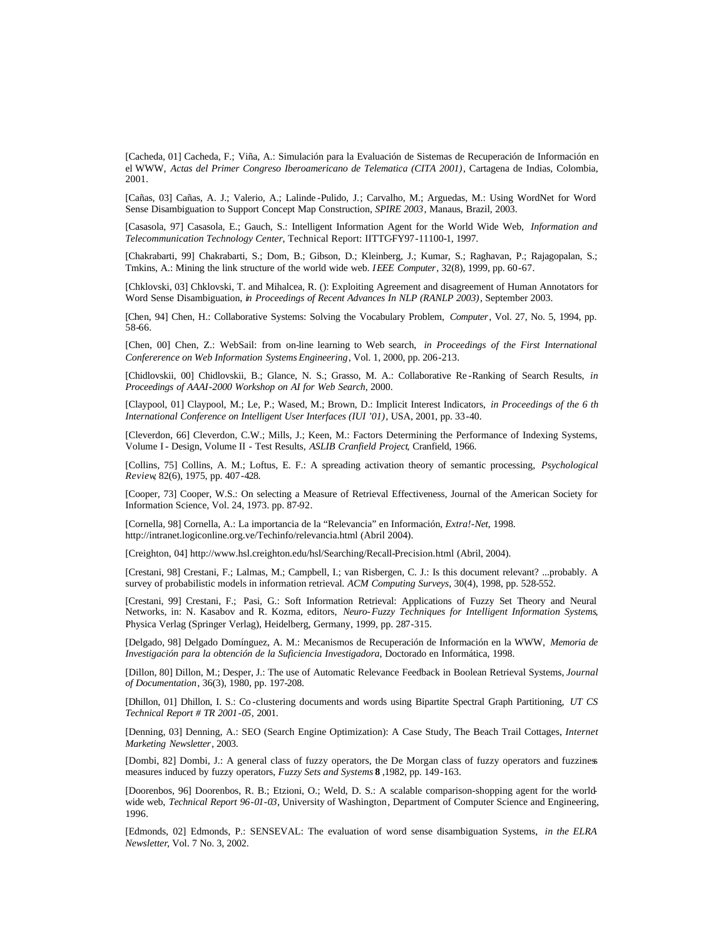[Cacheda, 01] Cacheda, F.; Viña, A.: Simulación para la Evaluación de Sistemas de Recuperación de Información en el WWW, *Actas del Primer Congreso Iberoamericano de Telematica (CITA 2001)*, Cartagena de Indias, Colombia, 2001.

[Cañas, 03] Cañas, A. J.; Valerio, A.; Lalinde -Pulido, J.; Carvalho, M.; Arguedas, M.: Using WordNet for Word Sense Disambiguation to Support Concept Map Construction, *SPIRE 2003*, Manaus, Brazil, 2003.

[Casasola, 97] Casasola, E.; Gauch, S.: Intelligent Information Agent for the World Wide Web, *Information and Telecommunication Technology Center*, Technical Report: IITTC-FY97-11100-1, 1997.

[Chakrabarti, 99] Chakrabarti, S.; Dom, B.; Gibson, D.; Kleinberg, J.; Kumar, S.; Raghavan, P.; Rajagopalan, S.; Tmkins, A.: Mining the link structure of the world wide web. *IEEE Computer*, 32(8), 1999, pp. 60-67.

[Chklovski, 03] Chklovski, T. and Mihalcea, R. (): Exploiting Agreement and disagreement of Human Annotators for Word Sense Disambiguation, *in Proceedings of Recent Advances In NLP (RANLP 2003)*, September 2003.

[Chen, 94] Chen, H.: Collaborative Systems: Solving the Vocabulary Problem, *Computer*, Vol. 27, No. 5, 1994, pp. 58-66.

[Chen, 00] Chen, Z.: WebSail: from on-line learning to Web search, *in Proceedings of the First International Confererence on Web Information Systems Engineering*, Vol. 1, 2000, pp. 206-213.

[Chidlovskii, 00] Chidlovskii, B.; Glance, N. S.; Grasso, M. A.: Collaborative Re -Ranking of Search Results, *in Proceedings of AAAI-2000 Workshop on AI for Web Search*, 2000.

[Claypool, 01] Claypool, M.; Le, P.; Wased, M.; Brown, D.: Implicit Interest Indicators, *in Proceedings of the 6 th International Conference on Intelligent User Interfaces (IUI '01)*, USA, 2001, pp. 33-40.

[Cleverdon, 66] Cleverdon, C.W.; Mills, J.; Keen, M.: Factors Determining the Performance of Indexing Systems, Volume I - Design, Volume II - Test Results, *ASLIB Cranfield Project*, Cranfield, 1966.

[Collins, 75] Collins, A. M.; Loftus, E. F.: A spreading activation theory of semantic processing, *Psychological Review*, 82(6), 1975, pp. 407-428.

[Cooper, 73] Cooper, W.S.: On selecting a Measure of Retrieval Effectiveness, Journal of the American Society for Information Science, Vol. 24, 1973. pp. 87-92.

[Cornella, 98] Cornella, A.: La importancia de la "Relevancia" en Información, *Extra!-Net*, 1998. http://intranet.logiconline.org.ve/Techinfo/relevancia.html (Abril 2004).

[Creighton, 04] http://www.hsl.creighton.edu/hsl/Searching/Recall-Precision.html (Abril, 2004).

[Crestani, 98] Crestani, F.; Lalmas, M.; Campbell, I.; van Risbergen, C. J.: Is this document relevant? ...probably. A survey of probabilistic models in information retrieval*. ACM Computing Surveys*, 30(4), 1998, pp. 528-552.

[Crestani, 99] Crestani, F.; Pasi, G.: Soft Information Retrieval: Applications of Fuzzy Set Theory and Neural Networks, in: N. Kasabov and R. Kozma, editors, *Neuro-Fuzzy Techniques for Intelligent Information Systems*, Physica Verlag (Springer Verlag), Heidelberg, Germany, 1999, pp. 287-315.

[Delgado, 98] Delgado Domínguez, A. M.: Mecanismos de Recuperación de Información en la WWW, *Memoria de Investigación para la obtención de la Suficiencia Investigadora*, Doctorado en Informática, 1998.

[Dillon, 80] Dillon, M.; Desper, J.: The use of Automatic Relevance Feedback in Boolean Retrieval Systems, *Journal of Documentation*, 36(3), 1980, pp. 197-208.

[Dhillon, 01] Dhillon, I. S.: Co -clustering documents and words using Bipartite Spectral Graph Partitioning, *UT CS Technical Report # TR 2001-05,* 2001.

[Denning, 03] Denning, A.: SEO (Search Engine Optimization): A Case Study, The Beach Trail Cottages, *Internet Marketing Newsletter*, 2003.

[Dombi, 82] Dombi, J.: A general class of fuzzy operators, the De Morgan class of fuzzy operators and fuzziness measures induced by fuzzy operators, *Fuzzy Sets and Systems* **8** ,1982, pp. 149-163.

[Doorenbos, 96] Doorenbos, R. B.; Etzioni, O.; Weld, D. S.: A scalable comparison-shopping agent for the worldwide web, *Technical Report 96-01-03*, University of Washington, Department of Computer Science and Engineering, 1996.

[Edmonds, 02] Edmonds, P.: SENSEVAL: The evaluation of word sense disambiguation Systems, *in the ELRA Newsletter*, Vol. 7 No. 3, 2002.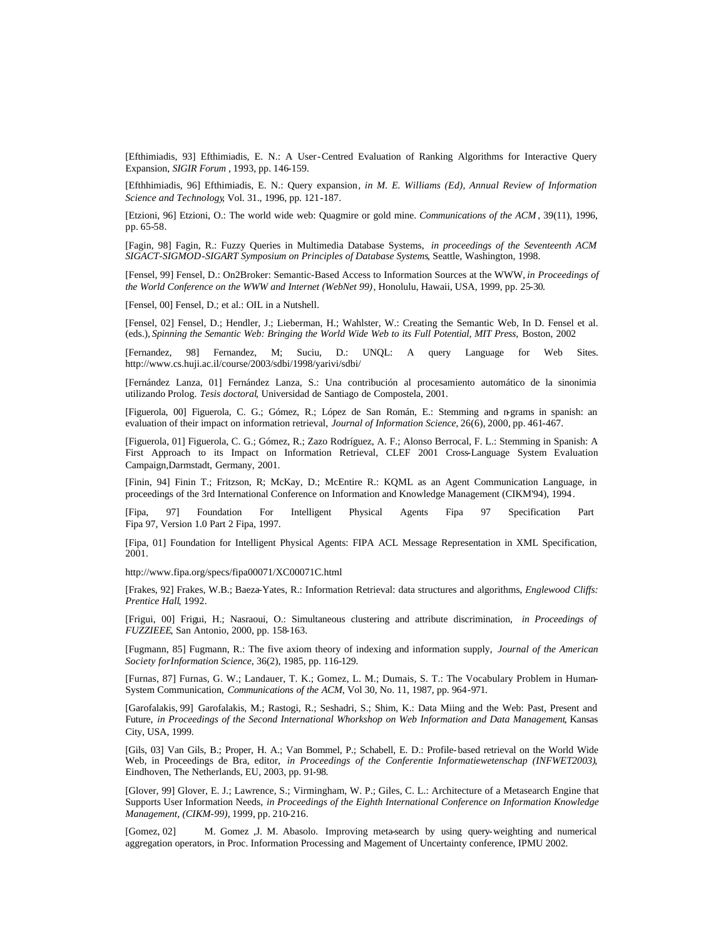[Efthimiadis, 93] Efthimiadis, E. N.: A User-Centred Evaluation of Ranking Algorithms for Interactive Query Expansion, *SIGIR Forum* , 1993, pp. 146-159.

[Efthhimiadis, 96] Efthimiadis, E. N.: Query expansion*, in M. E. Williams (Ed), Annual Review of Information Science and Technology*, Vol. 31., 1996, pp. 121-187.

[Etzioni, 96] Etzioni, O.: The world wide web: Quagmire or gold mine. *Communications of the ACM* , 39(11), 1996, pp. 65-58.

[Fagin, 98] Fagin, R.: Fuzzy Queries in Multimedia Database Systems, *in proceedings of the Seventeenth ACM SIGACT-SIGMOD-SIGART Symposium on Principles of Database Systems*, Seattle, Washington, 1998.

[Fensel, 99] Fensel, D.: On2Broker: Semantic-Based Access to Information Sources at the WWW, *in Proceedings of the World Conference on the WWW and Internet (WebNet 99)*, Honolulu, Hawaii, USA, 1999, pp. 25-30.

[Fensel, 00] Fensel, D.; et al.: OIL in a Nutshell.

[Fensel, 02] Fensel, D.; Hendler, J.; Lieberman, H.; Wahlster, W.: Creating the Semantic Web, In D. Fensel et al. (eds.), *Spinning the Semantic Web: Bringing the World Wide Web to its Full Potential, MIT Press,* Boston, 2002

[Fernandez, 98] Fernandez, M; Suciu, D.: UNQL: A query Language for Web Sites. http://www.cs.huji.ac.il/course/2003/sdbi/1998/yarivi/sdbi/

[Fernández Lanza, 01] Fernández Lanza, S.: Una contribución al procesamiento automático de la sinonimia utilizando Prolog. *Tesis doctoral*, Universidad de Santiago de Compostela, 2001.

[Figuerola, 00] Figuerola, C. G.; Gómez, R.; López de San Román, E.: Stemming and n-grams in spanish: an evaluation of their impact on information retrieval, *Journal of Information Science*, 26(6), 2000, pp. 461-467.

[Figuerola, 01] Figuerola, C. G.; Gómez, R.; Zazo Rodríguez, A. F.; Alonso Berrocal, F. L.: Stemming in Spanish: A First Approach to its Impact on Information Retrieval, CLEF 2001 Cross-Language System Evaluation Campaign,Darmstadt, Germany, 2001.

[Finin, 94] Finin T.; Fritzson, R; McKay, D.; McEntire R.: KQML as an Agent Communication Language, in proceedings of the 3rd International Conference on Information and Knowledge Management (CIKM'94), 1994.

[Fipa, 97] Foundation For Intelligent Physical Agents Fipa 97 Specification Part Fipa 97, Version 1.0 Part 2 Fipa, 1997.

[Fipa, 01] Foundation for Intelligent Physical Agents: FIPA ACL Message Representation in XML Specification, 2001.

http://www.fipa.org/specs/fipa00071/XC00071C.html

[Frakes, 92] Frakes, W.B.; Baeza-Yates, R.: Information Retrieval: data structures and algorithms, *Englewood Cliffs: Prentice Hall*, 1992.

[Frigui, 00] Frigui, H.; Nasraoui, O.: Simultaneous clustering and attribute discrimination, *in Proceedings of FUZZIEEE*, San Antonio, 2000, pp. 158-163.

[Fugmann, 85] Fugmann, R.: The five axiom theory of indexing and information supply, *Journal of the American Society for Information Science*, 36(2), 1985, pp. 116-129.

[Furnas, 87] Furnas, G. W.; Landauer, T. K.; Gomez, L. M.; Dumais, S. T.: The Vocabulary Problem in Human-System Communication, *Communications of the ACM*, Vol 30, No. 11, 1987, pp. 964-971.

[Garofalakis, 99] Garofalakis, M.; Rastogi, R.; Seshadri, S.; Shim, K.: Data Miing and the Web: Past, Present and Future, *in Proceedings of the Second International Whorkshop on Web Information and Data Management*, Kansas City, USA, 1999.

[Gils, 03] Van Gils, B.; Proper, H. A.; Van Bommel, P.; Schabell, E. D.: Profile-based retrieval on the World Wide Web, in Proceedings de Bra, editor, *in Proceedings of the Conferentie Informatiewetenschap (INFWET2003)*, Eindhoven, The Netherlands, EU, 2003, pp. 91-98.

[Glover, 99] Glover, E. J.; Lawrence, S.; Virmingham, W. P.; Giles, C. L.: Architecture of a Metasearch Engine that Supports User Information Needs, *in Proceedings of the Eighth International Conference on Information Knowledge Management, (CIKM-99),* 1999, pp. 210-216.

[Gomez, 02] M. Gomez ,J. M. Abasolo. Improving meta-search by using query-weighting and numerical aggregation operators, in Proc. Information Processing and Magement of Uncertainty conference, IPMU 2002.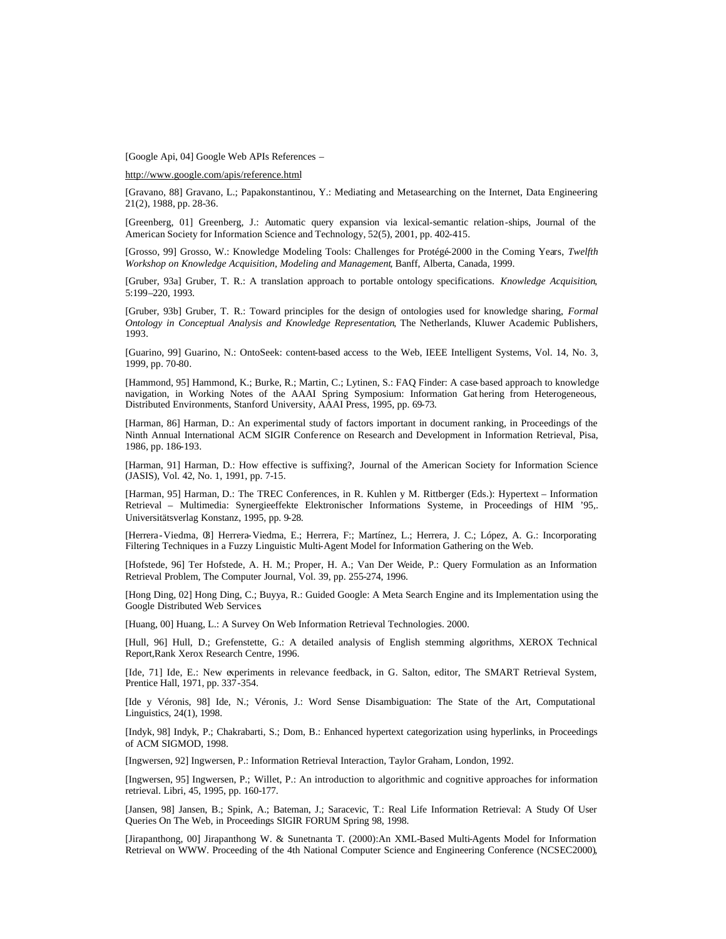[Google Api, 04] Google Web APIs References –

http://www.google.com/apis/reference.html

[Gravano, 88] Gravano, L.; Papakonstantinou, Y.: Mediating and Metasearching on the Internet, Data Engineering 21(2), 1988, pp. 28-36.

[Greenberg, 01] Greenberg, J.: Automatic query expansion via lexical-semantic relation-ships, Journal of the American Society for Information Science and Technology, 52(5), 2001, pp. 402-415.

[Grosso, 99] Grosso, W.: Knowledge Modeling Tools: Challenges for Protégé-2000 in the Coming Years, *Twelfth Workshop on Knowledge Acquisition, Modeling and Management*, Banff, Alberta, Canada, 1999.

[Gruber, 93a] Gruber, T. R.: A translation approach to portable ontology specifications. *Knowledge Acquisition*, 5:199–220, 1993.

[Gruber, 93b] Gruber, T. R.: Toward principles for the design of ontologies used for knowledge sharing, *Formal Ontology in Conceptual Analysis and Knowledge Representation*, The Netherlands, Kluwer Academic Publishers, 1993.

[Guarino, 99] Guarino, N.: OntoSeek: content-based access to the Web, IEEE Intelligent Systems, Vol. 14, No. 3, 1999, pp. 70-80.

[Hammond, 95] Hammond, K.; Burke, R.; Martin, C.; Lytinen, S.: FAQ Finder: A case-based approach to knowledge navigation, in Working Notes of the AAAI Spring Symposium: Information Gat hering from Heterogeneous, Distributed Environments, Stanford University, AAAI Press, 1995, pp. 69-73.

[Harman, 86] Harman, D.: An experimental study of factors important in document ranking, in Proceedings of the Ninth Annual International ACM SIGIR Conference on Research and Development in Information Retrieval, Pisa, 1986, pp. 186-193.

[Harman, 91] Harman, D.: How effective is suffixing?, Journal of the American Society for Information Science (JASIS), Vol. 42, No. 1, 1991, pp. 7-15.

[Harman, 95] Harman, D.: The TREC Conferences, in R. Kuhlen y M. Rittberger (Eds.): Hypertext – Information Retrieval – Multimedia: Synergieeffekte Elektronischer Informations Systeme, in Proceedings of HIM '95,. Universitätsverlag Konstanz, 1995, pp. 9-28.

[Herrera-Viedma, 03] Herrera-Viedma, E.; Herrera, F:; Martínez, L.; Herrera, J. C.; López, A. G.: Incorporating Filtering Techniques in a Fuzzy Linguistic Multi-Agent Model for Information Gathering on the Web.

[Hofstede, 96] Ter Hofstede, A. H. M.; Proper, H. A.; Van Der Weide, P.: Query Formulation as an Information Retrieval Problem, The Computer Journal, Vol. 39, pp. 255-274, 1996.

[Hong Ding, 02] Hong Ding, C.; Buyya, R.: Guided Google: A Meta Search Engine and its Implementation using the Google Distributed Web Services.

[Huang, 00] Huang, L.: A Survey On Web Information Retrieval Technologies. 2000.

[Hull, 96] Hull, D.; Grefenstette, G.: A detailed analysis of English stemming algorithms, XEROX Technical Report,Rank Xerox Research Centre, 1996.

[Ide, 71] Ide, E.: New experiments in relevance feedback, in G. Salton, editor, The SMART Retrieval System, Prentice Hall, 1971, pp. 337-354.

[Ide y Véronis, 98] Ide, N.; Véronis, J.: Word Sense Disambiguation: The State of the Art, Computational Linguistics, 24(1), 1998.

[Indyk, 98] Indyk, P.; Chakrabarti, S.; Dom, B.: Enhanced hypertext categorization using hyperlinks, in Proceedings of ACM SIGMOD, 1998.

[Ingwersen, 92] Ingwersen, P.: Information Retrieval Interaction, Taylor Graham, London, 1992.

[Ingwersen, 95] Ingwersen, P.; Willet, P.: An introduction to algorithmic and cognitive approaches for information retrieval. Libri, 45, 1995, pp. 160-177.

[Jansen, 98] Jansen, B.; Spink, A.; Bateman, J.; Saracevic, T.: Real Life Information Retrieval: A Study Of User Queries On The Web, in Proceedings SIGIR FORUM Spring 98, 1998.

[Jirapanthong, 00] Jirapanthong W. & Sunetnanta T. (2000):An XML-Based Multi-Agents Model for Information Retrieval on WWW. Proceeding of the 4th National Computer Science and Engineering Conference (NCSEC2000),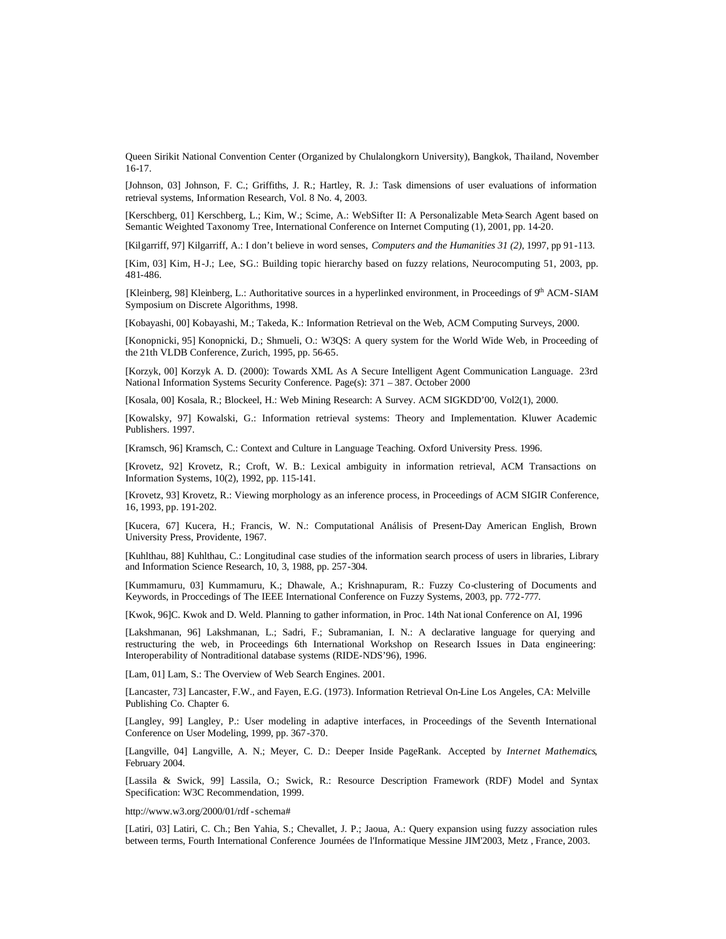Queen Sirikit National Convention Center (Organized by Chulalongkorn University), Bangkok, Thailand, November 16-17.

[Johnson, 03] Johnson, F. C.; Griffiths, J. R.; Hartley, R. J.: Task dimensions of user evaluations of information retrieval systems, Information Research, Vol. 8 No. 4, 2003.

[Kerschberg, 01] Kerschberg, L.; Kim, W.; Scime, A.: WebSifter II: A Personalizable Meta-Search Agent based on Semantic Weighted Taxonomy Tree, International Conference on Internet Computing (1), 2001, pp. 14-20.

[Kilgarriff, 97] Kilgarriff, A.: I don't believe in word senses, *Computers and the Humanities 31 (2)*, 1997, pp 91-113.

[Kim, 03] Kim, H-J.; Lee, SG.: Building topic hierarchy based on fuzzy relations, Neurocomputing 51, 2003, pp. 481-486.

[Kleinberg, 98] Kleinberg, L.: Authoritative sources in a hyperlinked environment, in Proceedings of  $9<sup>th</sup>$  ACM-SIAM Symposium on Discrete Algorithms, 1998.

[Kobayashi, 00] Kobayashi, M.; Takeda, K.: Information Retrieval on the Web, ACM Computing Surveys, 2000.

[Konopnicki, 95] Konopnicki, D.; Shmueli, O.: W3QS: A query system for the World Wide Web, in Proceeding of the 21th VLDB Conference, Zurich, 1995, pp. 56-65.

[Korzyk, 00] Korzyk A. D. (2000): Towards XML As A Secure Intelligent Agent Communication Language. 23rd National Information Systems Security Conference. Page(s): 371 – 387. October 2000

[Kosala, 00] Kosala, R.; Blockeel, H.: Web Mining Research: A Survey. ACM SIGKDD'00, Vol2(1), 2000.

[Kowalsky, 97] Kowalski, G.: Information retrieval systems: Theory and Implementation. Kluwer Academic Publishers. 1997.

[Kramsch, 96] Kramsch, C.: Context and Culture in Language Teaching. Oxford University Press. 1996.

[Krovetz, 92] Krovetz, R.; Croft, W. B.: Lexical ambiguity in information retrieval, ACM Transactions on Information Systems, 10(2), 1992, pp. 115-141.

[Krovetz, 93] Krovetz, R.: Viewing morphology as an inference process, in Proceedings of ACM SIGIR Conference, 16, 1993, pp. 191-202.

[Kucera, 67] Kucera, H.; Francis, W. N.: Computational Análisis of Present-Day American English, Brown University Press, Providente, 1967.

[Kuhlthau, 88] Kuhlthau, C.: Longitudinal case studies of the information search process of users in libraries, Library and Information Science Research, 10, 3, 1988, pp. 257-304.

[Kummamuru, 03] Kummamuru, K.; Dhawale, A.; Krishnapuram, R.: Fuzzy Co-clustering of Documents and Keywords, in Proccedings of The IEEE International Conference on Fuzzy Systems, 2003, pp. 772-777.

[Kwok, 96]C. Kwok and D. Weld. Planning to gather information, in Proc. 14th Nat ional Conference on AI, 1996

[Lakshmanan, 96] Lakshmanan, L.; Sadri, F.; Subramanian, I. N.: A declarative language for querying and restructuring the web, in Proceedings 6th International Workshop on Research Issues in Data engineering: Interoperability of Nontraditional database systems (RIDE-NDS'96), 1996.

[Lam, 01] Lam, S.: The Overview of Web Search Engines. 2001.

[Lancaster, 73] Lancaster, F.W., and Fayen, E.G. (1973). Information Retrieval On-Line Los Angeles, CA: Melville Publishing Co. Chapter 6.

[Langley, 99] Langley, P.: User modeling in adaptive interfaces, in Proceedings of the Seventh International Conference on User Modeling, 1999, pp. 367-370.

[Langville, 04] Langville, A. N.; Meyer, C. D.: Deeper Inside PageRank. Accepted by *Internet Mathematics*, February 2004.

[Lassila & Swick, 99] Lassila, O.; Swick, R.: Resource Description Framework (RDF) Model and Syntax Specification: W3C Recommendation, 1999.

#### http://www.w3.org/2000/01/rdf -schema#

[Latiri, 03] Latiri, C. Ch.; Ben Yahia, S.; Chevallet, J. P.; Jaoua, A.: Query expansion using fuzzy association rules between terms, Fourth International Conference Journées de l'Informatique Messine JIM'2003, Metz , France, 2003.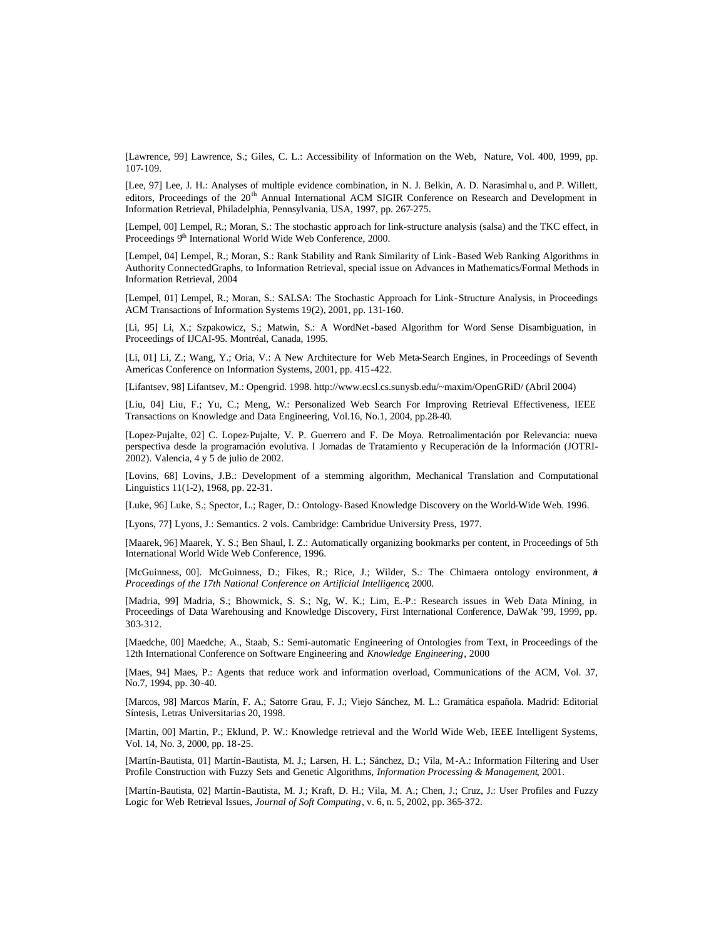[Lawrence, 99] Lawrence, S.; Giles, C. L.: Accessibility of Information on the Web, Nature, Vol. 400, 1999, pp. 107-109.

[Lee, 97] Lee, J. H.: Analyses of multiple evidence combination, in N. J. Belkin, A. D. Narasimhal u, and P. Willett, editors, Proceedings of the 20<sup>th</sup> Annual International ACM SIGIR Conference on Research and Development in Information Retrieval, Philadelphia, Pennsylvania, USA, 1997, pp. 267-275.

[Lempel, 00] Lempel, R.; Moran, S.: The stochastic approach for link-structure analysis (salsa) and the TKC effect, in Proceedings 9<sup>th</sup> International World Wide Web Conference, 2000.

[Lempel, 04] Lempel, R.; Moran, S.: Rank Stability and Rank Similarity of Link-Based Web Ranking Algorithms in Authority Connected Graphs, to Information Retrieval, special issue on Advances in Mathematics/Formal Methods in Information Retrieval, 2004

[Lempel, 01] Lempel, R.; Moran, S.: SALSA: The Stochastic Approach for Link-Structure Analysis, in Proceedings ACM Transactions of Information Systems 19(2), 2001, pp. 131-160.

[Li, 95] Li, X.; Szpakowicz, S.; Matwin, S.: A WordNet-based Algorithm for Word Sense Disambiguation, in Proceedings of IJCAI-95. Montréal, Canada, 1995.

[Li, 01] Li, Z.; Wang, Y.; Oria, V.: A New Architecture for Web Meta-Search Engines, in Proceedings of Seventh Americas Conference on Information Systems, 2001, pp. 415-422.

[Lifantsev, 98] Lifantsev, M.: Opengrid. 1998. http://www.ecsl.cs.sunysb.edu/~maxim/OpenGRiD/ (Abril 2004)

[Liu, 04] Liu, F.; Yu, C.; Meng, W.: Personalized Web Search For Improving Retrieval Effectiveness, IEEE Transactions on Knowledge and Data Engineering, Vol.16, No.1, 2004, pp.28-40.

[Lopez-Pujalte, 02] C. Lopez-Pujalte, V. P. Guerrero and F. De Moya. Retroalimentación por Relevancia: nueva perspectiva desde la programación evolutiva. I Jornadas de Tratamiento y Recuperación de la Información (JOTRI-2002). Valencia, 4 y 5 de julio de 2002.

[Lovins, 68] Lovins, J.B.: Development of a stemming algorithm, Mechanical Translation and Computational Linguistics 11(1-2), 1968, pp. 22-31.

[Luke, 96] Luke, S.; Spector, L.; Rager, D.: Ontology-Based Knowledge Discovery on the World-Wide Web. 1996.

[Lyons, 77] Lyons, J.: Semantics. 2 vols. Cambridge: Cambridue University Press, 1977.

[Maarek, 96] Maarek, Y. S.; Ben Shaul, I. Z.: Automatically organizing bookmarks per content, in Proceedings of 5th International World Wide Web Conference, 1996.

[McGuinness, 00]. McGuinness, D.; Fikes, R.; Rice, J.; Wilder, S.: The Chimaera ontology environment, *in Proceedings of the 17th National Conference on Artificial Intelligence*, 2000.

[Madria, 99] Madria, S.; Bhowmick, S. S.; Ng, W. K.; Lim, E.-P.: Research issues in Web Data Mining, in Proceedings of Data Warehousing and Knowledge Discovery, First International Conference, DaWak '99, 1999, pp. 303-312.

[Maedche, 00] Maedche, A., Staab, S.: Semi-automatic Engineering of Ontologies from Text, in Proceedings of the 12th International Conference on Software Engineering and *Knowledge Engineering*, 2000

[Maes, 94] Maes, P.: Agents that reduce work and information overload, Communications of the ACM, Vol. 37, No.7, 1994, pp. 30-40.

[Marcos, 98] Marcos Marín, F. A.; Satorre Grau, F. J.; Viejo Sánchez, M. L.: Gramática española. Madrid: Editorial Síntesis, Letras Universitarias 20, 1998.

[Martin, 00] Martin, P.; Eklund, P. W.: Knowledge retrieval and the World Wide Web, IEEE Intelligent Systems, Vol. 14, No. 3, 2000, pp. 18-25.

[Martín-Bautista, 01] Martín-Bautista, M. J.; Larsen, H. L.; Sánchez, D.; Vila, M-A.: Information Filtering and User Profile Construction with Fuzzy Sets and Genetic Algorithms, *Information Processing & Management*, 2001.

[Martín-Bautista, 02] Martín-Bautista, M. J.; Kraft, D. H.; Vila, M. A.; Chen, J.; Cruz, J.: User Profiles and Fuzzy Logic for Web Retrieval Issues, *Journal of Soft Computing*, v. 6, n. 5, 2002, pp. 365-372.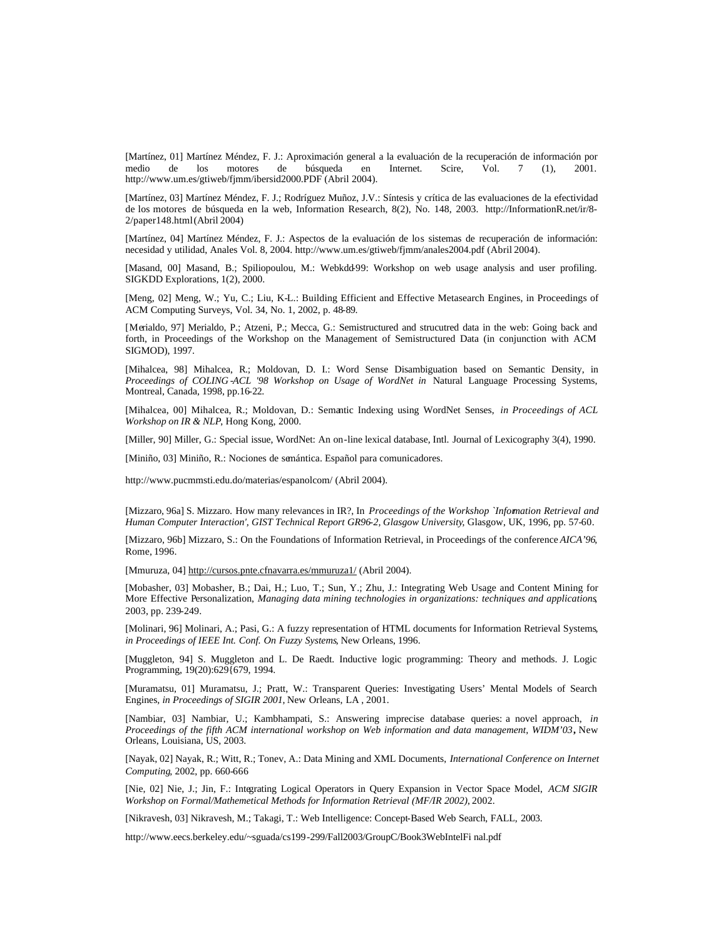[Martínez, 01] Martínez Méndez, F. J.: Aproximación general a la evaluación de la recuperación de información por medio de los motores de búsqueda en Internet. Scire, Vol. 7 (1), 2001. http://www.um.es/gtiweb/fjmm/ibersid2000.PDF (Abril 2004).

[Martínez, 03] Martínez Méndez, F. J.; Rodríguez Muñoz, J.V.: Síntesis y crítica de las evaluaciones de la efectividad de los motores de búsqueda en la web, Information Research, 8(2), No. 148, 2003. http://InformationR.net/ir/8- 2/paper148.html (Abril 2004)

[Martínez, 04] Martínez Méndez, F. J.: Aspectos de la evaluación de los sistemas de recuperación de información: necesidad y utilidad, Anales Vol. 8, 2004. http://www.um.es/gtiweb/fjmm/anales2004.pdf (Abril 2004).

[Masand, 00] Masand, B.; Spiliopoulou, M.: Webkdd-99: Workshop on web usage analysis and user profiling. SIGKDD Explorations, 1(2), 2000.

[Meng, 02] Meng, W.; Yu, C.; Liu, K-L.: Building Efficient and Effective Metasearch Engines, in Proceedings of ACM Computing Surveys, Vol. 34, No. 1, 2002, p. 48-89.

[Merialdo, 97] Merialdo, P.; Atzeni, P.; Mecca, G.: Semistructured and strucutred data in the web: Going back and forth, in Proceedings of the Workshop on the Management of Semistructured Data (in conjunction with ACM SIGMOD), 1997.

[Mihalcea, 98] Mihalcea, R.; Moldovan, D. I.: Word Sense Disambiguation based on Semantic Density, in *Proceedings of COLING -ACL '98 Workshop on Usage of WordNet in* Natural Language Processing Systems, Montreal, Canada, 1998, pp.16-22.

[Mihalcea, 00] Mihalcea, R.; Moldovan, D.: Semantic Indexing using WordNet Senses, *in Proceedings of ACL Workshop on IR & NLP*, Hong Kong, 2000.

[Miller, 90] Miller, G.: Special issue, WordNet: An on-line lexical database, Intl. Journal of Lexicography 3(4), 1990.

[Miniño, 03] Miniño, R.: Nociones de semántica. Español para comunicadores.

http://www.pucmmsti.edu.do/materias/espanolcom/ (Abril 2004).

[Mizzaro, 96a] S. Mizzaro. How many relevances in IR?, In *Proceedings of the Workshop `Information Retrieval and Human Computer Interaction', GIST Technical Report GR96-2, Glasgow University*, Glasgow, UK, 1996, pp. 57-60.

[Mizzaro, 96b] Mizzaro, S.: On the Foundations of Information Retrieval, in Proceedings of the conference *AICA'96*, Rome, 1996.

[Mmuruza, 04] http://cursos.pnte.cfnavarra.es/mmuruza1/ (Abril 2004).

[Mobasher, 03] Mobasher, B.; Dai, H.; Luo, T.; Sun, Y.; Zhu, J.: Integrating Web Usage and Content Mining for More Effective Personalization, *Managing data mining technologies in organizations: techniques and applications*, 2003, pp. 239-249.

[Molinari, 96] Molinari, A.; Pasi, G.: A fuzzy representation of HTML documents for Information Retrieval Systems*, in Proceedings of IEEE Int. Conf. On Fuzzy Systems*, New Orleans, 1996.

[Muggleton, 94] S. Muggleton and L. De Raedt. Inductive logic programming: Theory and methods. J. Logic Programming, 19(20):629{679, 1994.

[Muramatsu, 01] Muramatsu, J.; Pratt, W.: Transparent Queries: Investigating Users' Mental Models of Search Engines*, in Proceedings of SIGIR 2001*, New Orleans, LA , 2001.

[Nambiar, 03] Nambiar, U.; Kambhampati, S.: Answering imprecise database queries: a novel approach, *in Proceedings of the fifth ACM international workshop on Web information and data management, WIDM'03***,** New Orleans, Louisiana, US, 2003.

[Nayak, 02] Nayak, R.; Witt, R.; Tonev, A.: Data Mining and XML Documents, *International Conference on Internet Computing*, 2002, pp. 660-666

[Nie, 02] Nie, J.; Jin, F.: Integrating Logical Operators in Query Expansion in Vector Space Model, *ACM SIGIR Workshop on Formal/Mathemetical Methods for Information Retrieval (MF/IR 2002)*, 2002.

[Nikravesh, 03] Nikravesh, M.; Takagi, T.: Web Intelligence: Concept-Based Web Search, FALL, 2003.

http://www.eecs.berkeley.edu/~sguada/cs199-299/Fall2003/GroupC/Book3WebIntelFi nal.pdf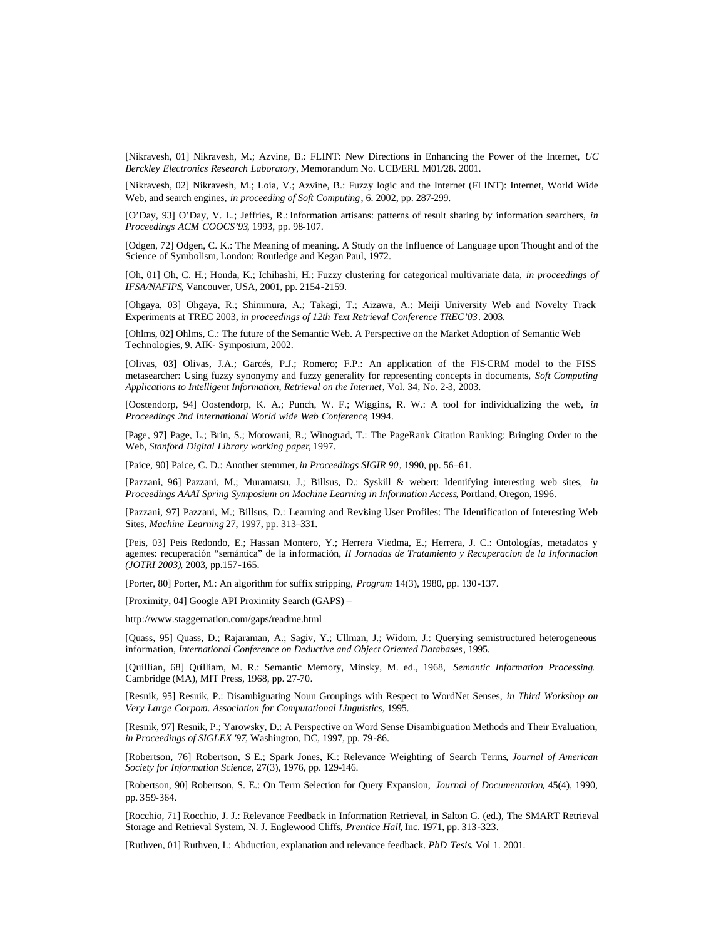[Nikravesh, 01] Nikravesh, M.; Azvine, B.: FLINT: New Directions in Enhancing the Power of the Internet, *UC Berckley Electronics Research Laboratory*, Memorandum No. UCB/ERL M01/28. 2001.

[Nikravesh, 02] Nikravesh, M.; Loia, V.; Azvine, B.: Fuzzy logic and the Internet (FLINT): Internet, World Wide Web, and search engines, *in proceeding of Soft Computing*, 6. 2002, pp. 287-299.

[O'Day, 93] O'Day, V. L.; Jeffries, R.: Information artisans: patterns of result sharing by information searchers, *in Proceedings ACM COOCS'93*, 1993, pp. 98-107.

[Odgen, 72] Odgen, C. K.: The Meaning of meaning. A Study on the Influence of Language upon Thought and of the Science of Symbolism, London: Routledge and Kegan Paul, 1972.

[Oh, 01] Oh, C. H.; Honda, K.; Ichihashi, H.: Fuzzy clustering for categorical multivariate data, *in proceedings of IFSA/NAFIPS*, Vancouver, USA, 2001, pp. 2154-2159.

[Ohgaya, 03] Ohgaya, R.; Shimmura, A.; Takagi, T.; Aizawa, A.: Meiji University Web and Novelty Track Experiments at TREC 2003, *in proceedings of 12th Text Retrieval Conference TREC'03*. 2003.

[Ohlms, 02] Ohlms, C.: The future of the Semantic Web. A Perspective on the Market Adoption of Semantic Web Technologies, 9. AIK- Symposium, 2002.

[Olivas, 03] Olivas, J.A.; Garcés, P.J.; Romero; F.P.: An application of the FIS-CRM model to the FISS metasearcher: Using fuzzy synonymy and fuzzy generality for representing concepts in documents, *Soft Computing Applications to Intelligent Information, Retrieval on the Internet*, Vol. 34, No. 2-3, 2003.

[Oostendorp, 94] Oostendorp, K. A.; Punch, W. F.; Wiggins, R. W.: A tool for individualizing the web, *in Proceedings 2nd International World wide Web Conference*, 1994.

[Page, 97] Page, L.; Brin, S.; Motowani, R.; Winograd, T.: The PageRank Citation Ranking: Bringing Order to the Web, *Stanford Digital Library working paper*, 1997.

[Paice, 90] Paice, C. D.: Another stemmer, *in Proceedings SIGIR 90*, 1990, pp. 56–61.

[Pazzani, 96] Pazzani, M.; Muramatsu, J.; Billsus, D.: Syskill & webert: Identifying interesting web sites, *in Proceedings AAAI Spring Symposium on Machine Learning in Information Access*, Portland, Oregon, 1996.

[Pazzani, 97] Pazzani, M.; Billsus, D.: Learning and Revising User Profiles: The Identification of Interesting Web Sites, *Machine Learning* 27, 1997, pp. 313–331.

[Peis, 03] Peis Redondo, E.; Hassan Montero, Y.; Herrera Viedma, E.; Herrera, J. C.: Ontologías, metadatos y agentes: recuperación "semántica" de la información, *II Jornadas de Tratamiento y Recuperacion de la Informacion (JOTRI 2003)*, 2003, pp.157-165.

[Porter, 80] Porter, M.: An algorithm for suffix stripping, *Program* 14(3), 1980, pp. 130-137.

[Proximity, 04] Google API Proximity Search (GAPS) –

http://www.staggernation.com/gaps/readme.html

[Quass, 95] Quass, D.; Rajaraman, A.; Sagiv, Y.; Ullman, J.; Widom, J.: Querying semistructured heterogeneous information, *International Conference on Deductive and Object Oriented Databases*, 1995.

[Quillian, 68] Quilliam, M. R.: Semantic Memory, Minsky, M. ed., 1968, *Semantic Information Processing*. Cambridge (MA), MIT Press, 1968, pp. 27-70.

[Resnik, 95] Resnik, P.: Disambiguating Noun Groupings with Respect to WordNet Senses, *in Third Workshop on Very Large Corpora. Association for Computational Linguistics*, 1995.

[Resnik, 97] Resnik, P.; Yarowsky, D.: A Perspective on Word Sense Disambiguation Methods and Their Evaluation, *in Proceedings of SIGLEX '97*, Washington, DC, 1997, pp. 79-86.

[Robertson, 76] Robertson, S. E.; Spark Jones, K.: Relevance Weighting of Search Terms*, Journal of American Society for Information Science*, 27(3), 1976, pp. 129-146.

[Robertson, 90] Robertson, S. E.: On Term Selection for Query Expansion, *Journal of Documentation*, 45(4), 1990, pp. 359-364.

[Rocchio, 71] Rocchio, J. J.: Relevance Feedback in Information Retrieval, in Salton G. (ed.), The SMART Retrieval Storage and Retrieval System, N. J. Englewood Cliffs, *Prentice Hall*, Inc. 1971, pp. 313-323.

[Ruthven, 01] Ruthven, I.: Abduction, explanation and relevance feedback. *PhD Tesis*. Vol 1. 2001.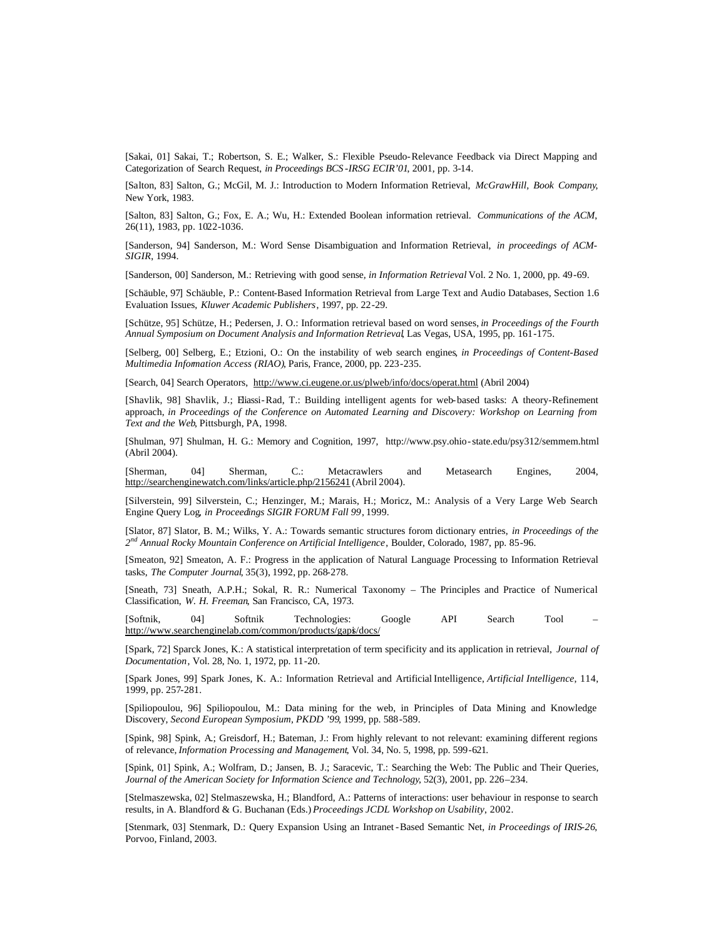[Sakai, 01] Sakai, T.; Robertson, S. E.; Walker, S.: Flexible Pseudo-Relevance Feedback via Direct Mapping and Categorization of Search Request, *in Proceedings BCS -IRSG ECIR'01*, 2001, pp. 3-14.

[Salton, 83] Salton, G.; McGil, M. J.: Introduction to Modern Information Retrieval, *McGrawHill, Book Company*, New York, 1983.

[Salton, 83] Salton, G.; Fox, E. A.; Wu, H.: Extended Boolean information retrieval. *Communications of the ACM*, 26(11), 1983, pp. 1022-1036.

[Sanderson, 94] Sanderson, M.: Word Sense Disambiguation and Information Retrieval, *in proceedings of ACM-SIGIR*, 1994.

[Sanderson, 00] Sanderson, M.: Retrieving with good sense*, in Information Retrieval* Vol. 2 No. 1, 2000, pp. 49-69.

[Schäuble, 97] Schäuble, P.: Content-Based Information Retrieval from Large Text and Audio Databases, Section 1.6 Evaluation Issues, *Kluwer Academic Publishers*, 1997, pp. 22-29.

[Schütze, 95] Schütze, H.; Pedersen, J. O.: Information retrieval based on word senses, *in Proceedings of the Fourth Annual Symposium on Document Analysis and Information Retrieval*, Las Vegas, USA, 1995, pp. 161-175.

[Selberg, 00] Selberg, E.; Etzioni, O.: On the instability of web search engines*, in Proceedings of Content-Based Multimedia Information Access (RIAO)*, Paris, France, 2000, pp. 223-235.

[Search, 04] Search Operators, http://www.ci.eugene.or.us/plweb/info/docs/operat.html (Abril 2004)

[Shavlik, 98] Shavlik, J.; Eliassi-Rad, T.: Building intelligent agents for web-based tasks: A theory-Refinement approach, *in Proceedings of the Conference on Automated Learning and Discovery: Workshop on Learning from Text and the Web*, Pittsburgh, PA, 1998.

[Shulman, 97] Shulman, H. G.: Memory and Cognition, 1997, http://www.psy.ohio-state.edu/psy312/semmem.html (Abril 2004).

[Sherman, 04] Sherman, C.: Metacrawlers and Metasearch Engines, 2004, http://searchenginewatch.com/links/article.php/2156241 (Abril 2004).

[Silverstein, 99] Silverstein, C.; Henzinger, M.; Marais, H.; Moricz, M.: Analysis of a Very Large Web Search Engine Query Log*, in Proceedings SIGIR FORUM Fall 99*, 1999.

[Slator, 87] Slator, B. M.; Wilks, Y. A.: Towards semantic structures forom dictionary entries, *in Proceedings of the 2 nd Annual Rocky Mountain Conference on Artificial Intelligence*, Boulder, Colorado, 1987, pp. 85-96.

[Smeaton, 92] Smeaton, A. F.: Progress in the application of Natural Language Processing to Information Retrieval tasks, *The Computer Journal*, 35(3), 1992, pp. 268-278.

[Sneath, 73] Sneath, A.P.H.; Sokal, R. R.: Numerical Taxonomy – The Principles and Practice of Numerical Classification, *W. H. Freeman*, San Francisco, CA, 1973.

[Softnik, 04] Softnik Technologies: Google API Search Tool – http://www.searchenginelab.com/common/products/gapis/docs/

[Spark, 72] Sparck Jones, K.: A statistical interpretation of term specificity and its application in retrieval, *Journal of Documentation*, Vol. 28, No. 1, 1972, pp. 11-20.

[Spark Jones, 99] Spark Jones, K. A.: Information Retrieval and Artificial Intelligence, *Artificial Intelligence*, 114, 1999, pp. 257-281.

[Spiliopoulou, 96] Spiliopoulou, M.: Data mining for the web, in Principles of Data Mining and Knowledge Discovery, *Second European Symposium, PKDD '99*, 1999, pp. 588-589.

[Spink, 98] Spink, A.; Greisdorf, H.; Bateman, J.: From highly relevant to not relevant: examining different regions of relevance, *Information Processing and Management*, Vol. 34, No. 5, 1998, pp. 599-621.

[Spink, 01] Spink, A.; Wolfram, D.; Jansen, B. J.; Saracevic, T.: Searching the Web: The Public and Their Queries, *Journal of the American Society for Information Science and Technology*, 52(3), 2001, pp. 226–234.

[Stelmaszewska, 02] Stelmaszewska, H.; Blandford, A.: Patterns of interactions: user behaviour in response to search results, in A. Blandford & G. Buchanan (Eds.) *Proceedings JCDL Workshop on Usability*, 2002.

[Stenmark, 03] Stenmark, D.: Query Expansion Using an Intranet -Based Semantic Net, *in Proceedings of IRIS-26*, Porvoo, Finland, 2003.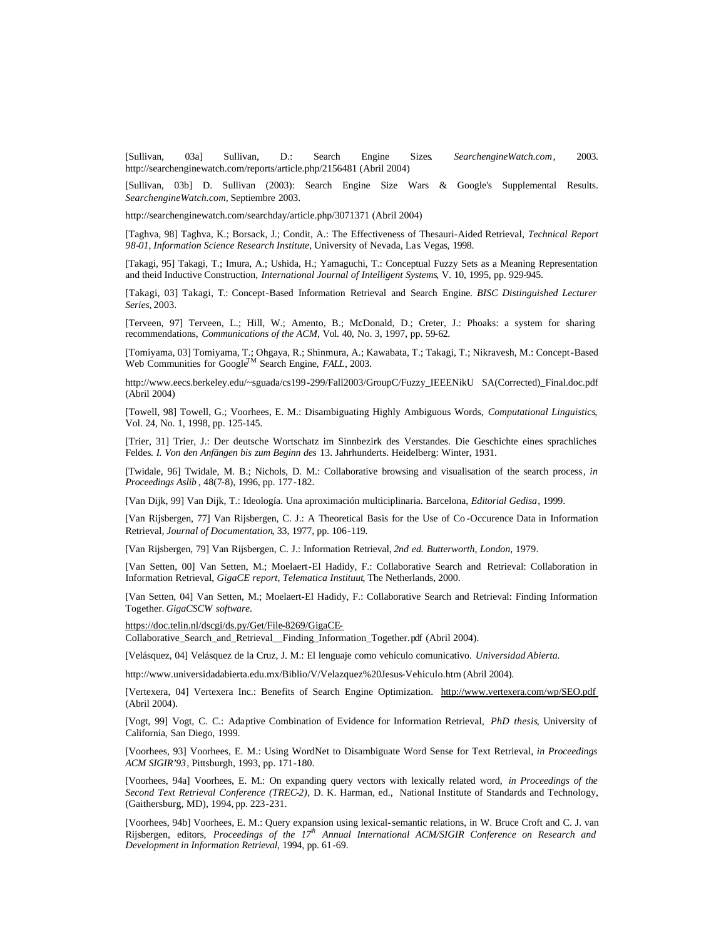[Sullivan, 03a] Sullivan, D.: Search Engine Sizes*. SearchengineWatch.com*, 2003. http://searchenginewatch.com/reports/article.php/2156481 (Abril 2004)

[Sullivan, 03b] D. Sullivan (2003): Search Engine Size Wars & Google's Supplemental Results. *SearchengineWatch.com,* Septiembre 2003.

http://searchenginewatch.com/searchday/article.php/3071371 (Abril 2004)

[Taghva, 98] Taghva, K.; Borsack, J.; Condit, A.: The Effectiveness of Thesauri-Aided Retrieval, *Technical Report 98-01, Information Science Research Institute*, University of Nevada, Las Vegas, 1998.

[Takagi, 95] Takagi, T.; Imura, A.; Ushida, H.; Yamaguchi, T.: Conceptual Fuzzy Sets as a Meaning Representation and theid Inductive Construction, *International Journal of Intelligent Systems*, V. 10, 1995, pp. 929-945.

[Takagi, 03] Takagi, T.: Concept-Based Information Retrieval and Search Engine*. BISC Distinguished Lecturer Series*, 2003.

[Terveen, 97] Terveen, L.; Hill, W.; Amento, B.; McDonald, D.; Creter, J.: Phoaks: a system for sharing recommendations, *Communications of the ACM*, Vol. 40, No. 3, 1997, pp. 59-62.

[Tomiyama, 03] Tomiyama, T.; Ohgaya, R.; Shinmura, A.; Kawabata, T.; Takagi, T.; Nikravesh, M.: Concept-Based Web Communities for Google<sup>TM</sup> Search Engine, *FALL*, 2003.

http://www.eecs.berkeley.edu/~sguada/cs199-299/Fall2003/GroupC/Fuzzy\_IEEENikU SA(Corrected)\_Final.doc.pdf (Abril 2004)

[Towell, 98] Towell, G.; Voorhees, E. M.: Disambiguating Highly Ambiguous Words, *Computational Linguistics*, Vol. 24, No. 1, 1998, pp. 125-145.

[Trier, 31] Trier, J.: Der deutsche Wortschatz im Sinnbezirk des Verstandes. Die Geschichte eines sprachliches Feldes*. I. Von den Anfängen bis zum Beginn des* 13. Jahrhunderts. Heidelberg: Winter, 1931.

[Twidale, 96] Twidale, M. B.; Nichols, D. M.: Collaborative browsing and visualisation of the search process*, in Proceedings Aslib* , 48(7-8), 1996, pp. 177-182.

[Van Dijk, 99] Van Dijk, T.: Ideología. Una aproximación multiciplinaria. Barcelona, *Editorial Gedisa*, 1999.

[Van Rijsbergen, 77] Van Rijsbergen, C. J.: A Theoretical Basis for the Use of Co -Occurence Data in Information Retrieval*, Journal of Documentation*, 33, 1977, pp. 106-119.

[Van Rijsbergen, 79] Van Rijsbergen, C. J.: Information Retrieval, *2nd ed. Butterworth, London*, 1979.

[Van Setten, 00] Van Setten, M.; Moelaert-El Hadidy, F.: Collaborative Search and Retrieval: Collaboration in Information Retrieval, *GigaCE report, Telematica Instituut*, The Netherlands, 2000.

[Van Setten, 04] Van Setten, M.; Moelaert-El Hadidy, F.: Collaborative Search and Retrieval: Finding Information Together. *GigaCSCW software*.

https://doc.telin.nl/dscgi/ds.py/Get/File-8269/GigaCE-

Collaborative\_Search\_and\_Retrieval\_\_Finding\_Information\_Together.pdf (Abril 2004).

[Velásquez, 04] Velásquez de la Cruz, J. M.: El lenguaje como vehículo comunicativo. *Universidad Abierta.*

http://www.universidadabierta.edu.mx/Biblio/V/Velazquez%20Jesus-Vehiculo.htm (Abril 2004).

[Vertexera, 04] Vertexera Inc.: Benefits of Search Engine Optimization. http://www.vertexera.com/wp/SEO.pdf (Abril 2004).

[Vogt, 99] Vogt, C. C.: Adaptive Combination of Evidence for Information Retrieval, *PhD thesis*, University of California, San Diego, 1999.

[Voorhees, 93] Voorhees, E. M.: Using WordNet to Disambiguate Word Sense for Text Retrieval, *in Proceedings ACM SIGIR'93*, Pittsburgh, 1993, pp. 171-180.

[Voorhees, 94a] Voorhees, E. M.: On expanding query vectors with lexically related word, *in Proceedings of the Second Text Retrieval Conference (TREC-2),* D. K. Harman, ed., National Institute of Standards and Technology, (Gaithersburg, MD), 1994, pp. 223-231.

[Voorhees, 94b] Voorhees, E. M.: Query expansion using lexical-semantic relations, in W. Bruce Croft and C. J. van Rijsbergen, editors, *Proceedings of the 17th Annual International ACM/SIGIR Conference on Research and Development in Information Retrieval*, 1994, pp. 61-69.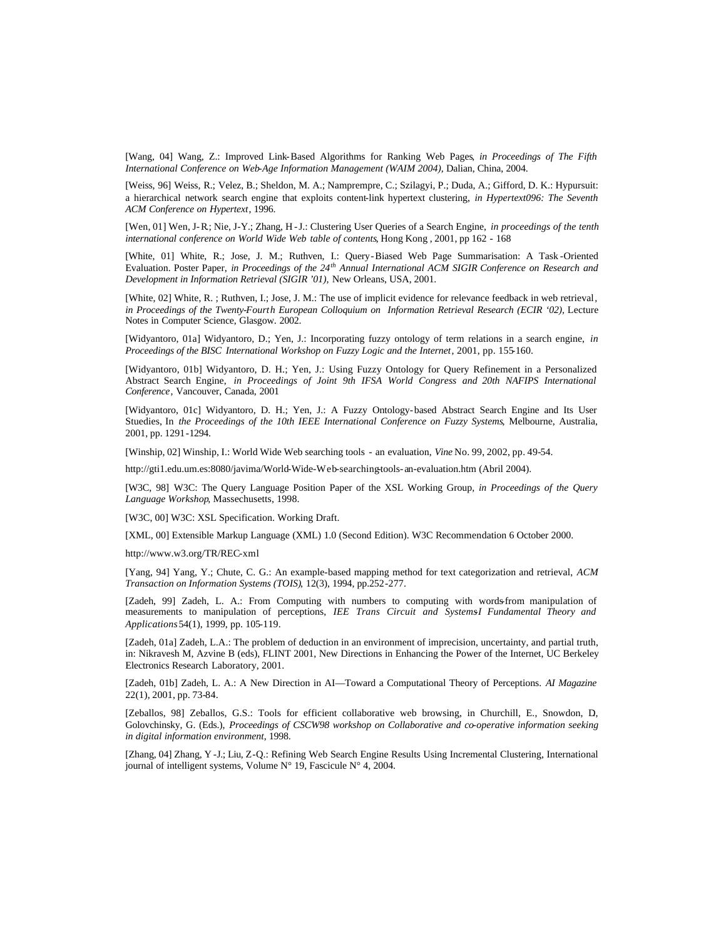[Wang, 04] Wang, Z.: Improved Link-Based Algorithms for Ranking Web Pages*, in Proceedings of The Fifth International Conference on Web-Age Information Management (WAIM 2004),* Dalian, China, 2004.

[Weiss, 96] Weiss, R.; Velez, B.; Sheldon, M. A.; Namprempre, C.; Szilagyi, P.; Duda, A.; Gifford, D. K.: Hypursuit: a hierarchical network search engine that exploits content-link hypertext clustering, *in Hypertext096: The Seventh ACM Conference on Hypertext*, 1996.

[Wen, 01] Wen, J-R.; Nie, J-Y.; Zhang, H -J.: Clustering User Queries of a Search Engine, *in proceedings of the tenth international conference on World Wide Web table of contents*, Hong Kong , 2001, pp 162 - 168

[White, 01] White, R.; Jose, J. M.; Ruthven, I.: Query-Biased Web Page Summarisation: A Task -Oriented Evaluation. Poster Paper, *in Proceedings of the 24th Annual International ACM SIGIR Conference on Research and Development in Information Retrieval (SIGIR '01),* New Orleans, USA, 2001.

[White, 02] White, R. ; Ruthven, I.; Jose, J. M.: The use of implicit evidence for relevance feedback in web retrieval*, in Proceedings of the Twenty-Fourth European Colloquium on Information Retrieval Research (ECIR '02),* Lecture Notes in Computer Science, Glasgow. 2002.

[Widyantoro, 01a] Widyantoro, D.; Yen, J.: Incorporating fuzzy ontology of term relations in a search engine, *in Proceedings of the BISC International Workshop on Fuzzy Logic and the Internet*, 2001, pp. 155-160.

[Widyantoro, 01b] Widyantoro, D. H.; Yen, J.: Using Fuzzy Ontology for Query Refinement in a Personalized Abstract Search Engine, *in Proceedings of Joint 9th IFSA World Congress and 20th NAFIPS International Conference*, Vancouver, Canada, 2001

[Widyantoro, 01c] Widyantoro, D. H.; Yen, J.: A Fuzzy Ontology-based Abstract Search Engine and Its User Stuedies, In *the Proceedings of the 10th IEEE International Conference on Fuzzy Systems*, Melbourne, Australia, 2001, pp. 1291-1294.

[Winship, 02] Winship, I.: World Wide Web searching tools - an evaluation, *Vine* No. 99, 2002, pp. 49-54.

http://gti1.edu.um.es:8080/javima/World-Wide-Web-searching-tools- an-evaluation.htm (Abril 2004).

[W3C, 98] W3C: The Query Language Position Paper of the XSL Working Group*, in Proceedings of the Query Language Workshop*, Massechusetts, 1998.

[W3C, 00] W3C: XSL Specification. Working Draft.

[XML, 00] Extensible Markup Language (XML) 1.0 (Second Edition). W3C Recommendation 6 October 2000.

http://www.w3.org/TR/REC-xml

[Yang, 94] Yang, Y.; Chute, C. G.: An example-based mapping method for text categorization and retrieval, *ACM Transaction on Information Systems (TOIS)*, 12(3), 1994, pp.252-277.

[Zadeh, 99] Zadeh, L. A.: From Computing with numbers to computing with words-from manipulation of measurements to manipulation of perceptions, IEE Trans Circuit and Systems1 Fundamental Theory and *Applications* 54(1), 1999, pp. 105-119.

[Zadeh, 01a] Zadeh, L.A.: The problem of deduction in an environment of imprecision, uncertainty, and partial truth, in: Nikravesh M, Azvine B (eds), FLINT 2001, New Directions in Enhancing the Power of the Internet, UC Berkeley Electronics Research Laboratory, 2001.

[Zadeh, 01b] Zadeh, L. A.: A New Direction in AI—Toward a Computational Theory of Perceptions. *AI Magazine* 22(1), 2001, pp. 73-84.

[Zeballos, 98] Zeballos, G.S.: Tools for efficient collaborative web browsing, in Churchill, E., Snowdon, D., Golovchinsky, G. (Eds.), *Proceedings of CSCW98 workshop on Collaborative and co-operative information seeking in digital information environment*, 1998.

[Zhang, 04] Zhang, Y -J.; Liu, Z-Q.: Refining Web Search Engine Results Using Incremental Clustering, International journal of intelligent systems, Volume N° 19, Fascicule N° 4, 2004.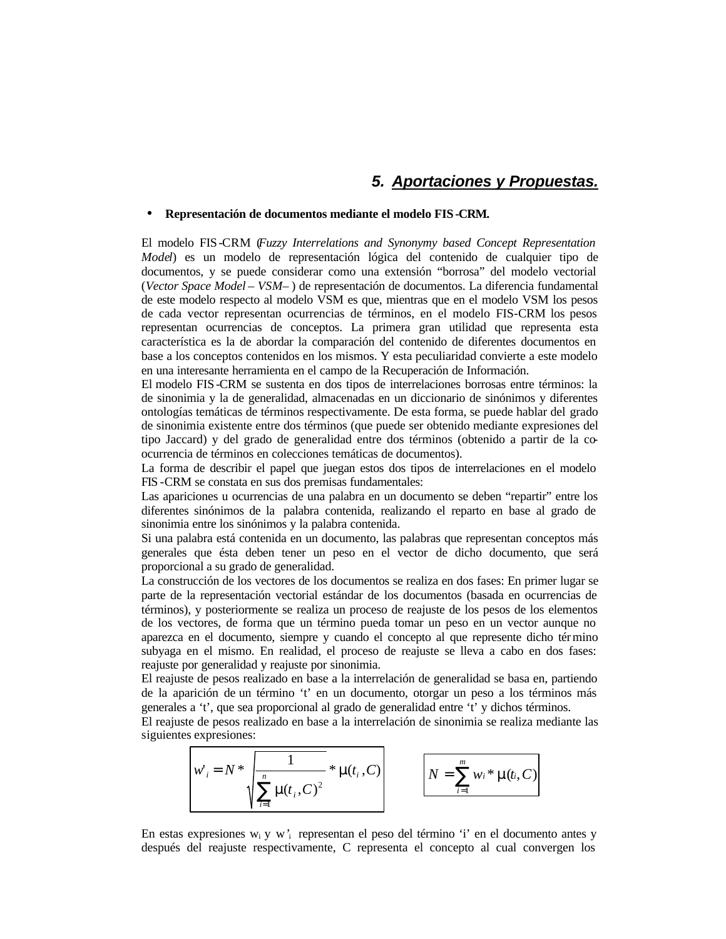# *5. Aportaciones y Propuestas.*

## • **Representación de documentos mediante el modelo FIS-CRM.**

El modelo FIS-CRM (*Fuzzy Interrelations and Synonymy based Concept Representation Model*) es un modelo de representación lógica del contenido de cualquier tipo de documentos, y se puede considerar como una extensión "borrosa" del modelo vectorial (*Vector Space Model – VSM–* ) de representación de documentos. La diferencia fundamental de este modelo respecto al modelo VSM es que, mientras que en el modelo VSM los pesos de cada vector representan ocurrencias de términos, en el modelo FIS-CRM los pesos representan ocurrencias de conceptos. La primera gran utilidad que representa esta característica es la de abordar la comparación del contenido de diferentes documentos en base a los conceptos contenidos en los mismos. Y esta peculiaridad convierte a este modelo en una interesante herramienta en el campo de la Recuperación de Información.

El modelo FIS-CRM se sustenta en dos tipos de interrelaciones borrosas entre términos: la de sinonimia y la de generalidad, almacenadas en un diccionario de sinónimos y diferentes ontologías temáticas de términos respectivamente. De esta forma, se puede hablar del grado de sinonimia existente entre dos términos (que puede ser obtenido mediante expresiones del tipo Jaccard) y del grado de generalidad entre dos términos (obtenido a partir de la coocurrencia de términos en colecciones temáticas de documentos).

La forma de describir el papel que juegan estos dos tipos de interrelaciones en el modelo FIS -CRM se constata en sus dos premisas fundamentales:

Las apariciones u ocurrencias de una palabra en un documento se deben "repartir" entre los diferentes sinónimos de la palabra contenida, realizando el reparto en base al grado de sinonimia entre los sinónimos y la palabra contenida.

Si una palabra está contenida en un documento, las palabras que representan conceptos más generales que ésta deben tener un peso en el vector de dicho documento, que será proporcional a su grado de generalidad.

La construcción de los vectores de los documentos se realiza en dos fases: En primer lugar se parte de la representación vectorial estándar de los documentos (basada en ocurrencias de términos), y posteriormente se realiza un proceso de reajuste de los pesos de los elementos de los vectores, de forma que un término pueda tomar un peso en un vector aunque no aparezca en el documento, siempre y cuando el concepto al que represente dicho término subyaga en el mismo. En realidad, el proceso de reajuste se lleva a cabo en dos fases: reajuste por generalidad y reajuste por sinonimia.

El reajuste de pesos realizado en base a la interrelación de generalidad se basa en, partiendo de la aparición de un término 't' en un documento, otorgar un peso a los términos más generales a 't', que sea proporcional al grado de generalidad entre 't' y dichos términos.

El reajuste de pesos realizado en base a la interrelación de sinonimia se realiza mediante las siguientes expresiones:



En estas expresiones  $w_i$  y  $w_i$  representan el peso del término 'i' en el documento antes y después del reajuste respectivamente, C representa el concepto al cual convergen los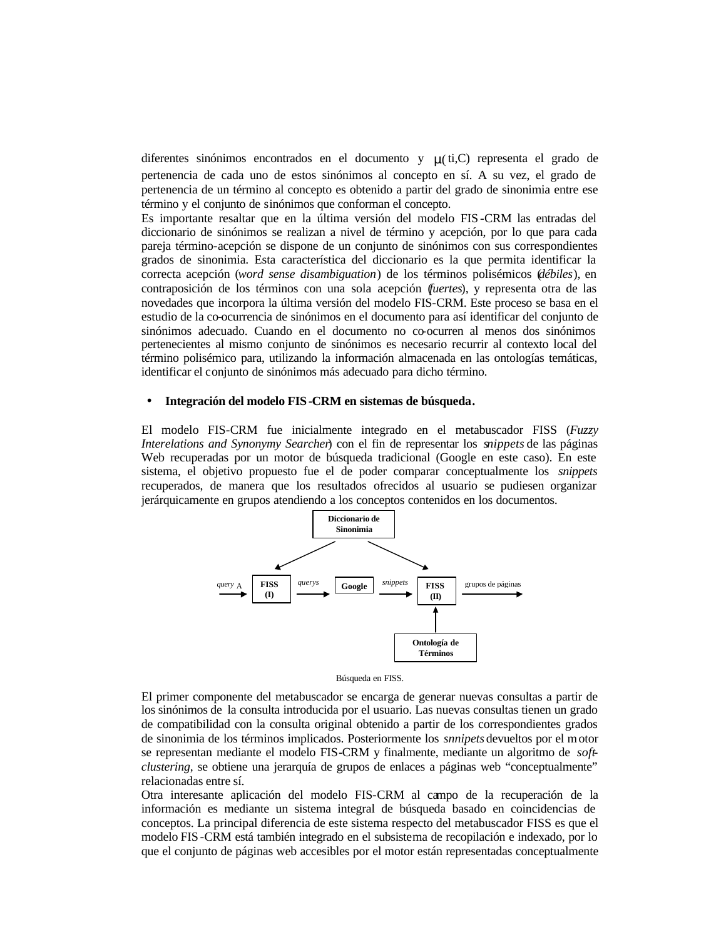diferentes sinónimos encontrados en el documento y *m*(ti,C) representa el grado de pertenencia de cada uno de estos sinónimos al concepto en sí. A su vez, el grado de pertenencia de un término al concepto es obtenido a partir del grado de sinonimia entre ese término y el conjunto de sinónimos que conforman el concepto.

Es importante resaltar que en la última versión del modelo FIS-CRM las entradas del diccionario de sinónimos se realizan a nivel de término y acepción, por lo que para cada pareja término-acepción se dispone de un conjunto de sinónimos con sus correspondientes grados de sinonimia. Esta característica del diccionario es la que permita identificar la correcta acepción (*word sense disambiguation*) de los términos polisémicos (*débiles*), en contraposición de los términos con una sola acepción (*fuertes*), y representa otra de las novedades que incorpora la última versión del modelo FIS-CRM. Este proceso se basa en el estudio de la co-ocurrencia de sinónimos en el documento para así identificar del conjunto de sinónimos adecuado. Cuando en el documento no co-ocurren al menos dos sinónimos pertenecientes al mismo conjunto de sinónimos es necesario recurrir al contexto local del término polisémico para, utilizando la información almacenada en las ontologías temáticas, identificar el conjunto de sinónimos más adecuado para dicho término.

# • **Integración del modelo FIS-CRM en sistemas de búsqueda.**

El modelo FIS-CRM fue inicialmente integrado en el metabuscador FISS (*Fuzzy Interelations and Synonymy Searcher*) con el fin de representar los *snippets* de las páginas Web recuperadas por un motor de búsqueda tradicional (Google en este caso). En este sistema, el objetivo propuesto fue el de poder comparar conceptualmente los *snippets* recuperados, de manera que los resultados ofrecidos al usuario se pudiesen organizar jerárquicamente en grupos atendiendo a los conceptos contenidos en los documentos.





El primer componente del metabuscador se encarga de generar nuevas consultas a partir de los sinónimos de la consulta introducida por el usuario. Las nuevas consultas tienen un grado de compatibilidad con la consulta original obtenido a partir de los correspondientes grados de sinonimia de los términos implicados. Posteriormente los *snnipets* devueltos por el motor se representan mediante el modelo FIS-CRM y finalmente, mediante un algoritmo de *softclustering*, se obtiene una jerarquía de grupos de enlaces a páginas web "conceptualmente" relacionadas entre sí.

Otra interesante aplicación del modelo FIS-CRM al campo de la recuperación de la información es mediante un sistema integral de búsqueda basado en coincidencias de conceptos. La principal diferencia de este sistema respecto del metabuscador FISS es que el modelo FIS-CRM está también integrado en el subsistema de recopilación e indexado, por lo que el conjunto de páginas web accesibles por el motor están representadas conceptualmente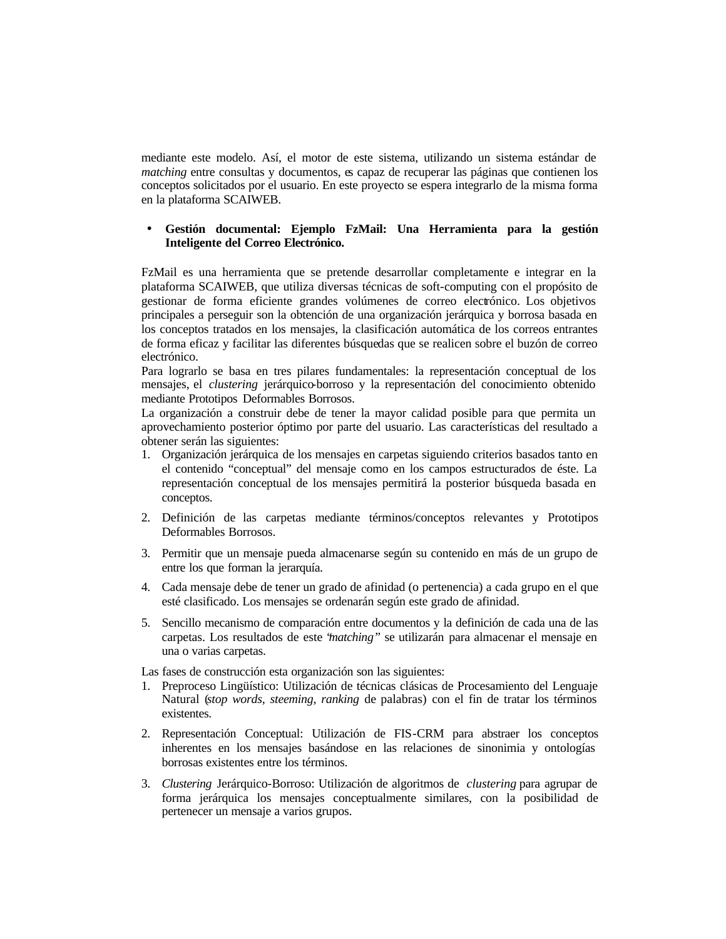mediante este modelo. Así, el motor de este sistema, utilizando un sistema estándar de *matching* entre consultas y documentos, es capaz de recuperar las páginas que contienen los conceptos solicitados por el usuario. En este proyecto se espera integrarlo de la misma forma en la plataforma SCAIWEB.

# • **Gestión documental: Ejemplo FzMail: Una Herramienta para la gestión Inteligente del Correo Electrónico.**

FzMail es una herramienta que se pretende desarrollar completamente e integrar en la plataforma SCAIWEB, que utiliza diversas técnicas de soft-computing con el propósito de gestionar de forma eficiente grandes volúmenes de correo electrónico. Los objetivos principales a perseguir son la obtención de una organización jerárquica y borrosa basada en los conceptos tratados en los mensajes, la clasificación automática de los correos entrantes de forma eficaz y facilitar las diferentes búsquedas que se realicen sobre el buzón de correo electrónico.

Para lograrlo se basa en tres pilares fundamentales: la representación conceptual de los mensajes, el *clustering* jerárquico-borroso y la representación del conocimiento obtenido mediante Prototipos Deformables Borrosos.

La organización a construir debe de tener la mayor calidad posible para que permita un aprovechamiento posterior óptimo por parte del usuario. Las características del resultado a obtener serán las siguientes:

- 1. Organización jerárquica de los mensajes en carpetas siguiendo criterios basados tanto en el contenido "conceptual" del mensaje como en los campos estructurados de éste. La representación conceptual de los mensajes permitirá la posterior búsqueda basada en conceptos.
- 2. Definición de las carpetas mediante términos/conceptos relevantes y Prototipos Deformables Borrosos.
- 3. Permitir que un mensaje pueda almacenarse según su contenido en más de un grupo de entre los que forman la jerarquía.
- 4. Cada mensaje debe de tener un grado de afinidad (o pertenencia) a cada grupo en el que esté clasificado. Los mensajes se ordenarán según este grado de afinidad.
- 5. Sencillo mecanismo de comparación entre documentos y la definición de cada una de las carpetas. Los resultados de este "*matching*" se utilizarán para almacenar el mensaje en una o varias carpetas.

Las fases de construcción esta organización son las siguientes:

- 1. Preproceso Lingüístico: Utilización de técnicas clásicas de Procesamiento del Lenguaje Natural (*stop words, steeming, ranking* de palabras) con el fin de tratar los términos existentes.
- 2. Representación Conceptual: Utilización de FIS-CRM para abstraer los conceptos inherentes en los mensajes basándose en las relaciones de sinonimia y ontologías borrosas existentes entre los términos.
- 3. *Clustering* Jerárquico-Borroso: Utilización de algoritmos de *clustering* para agrupar de forma jerárquica los mensajes conceptualmente similares, con la posibilidad de pertenecer un mensaje a varios grupos.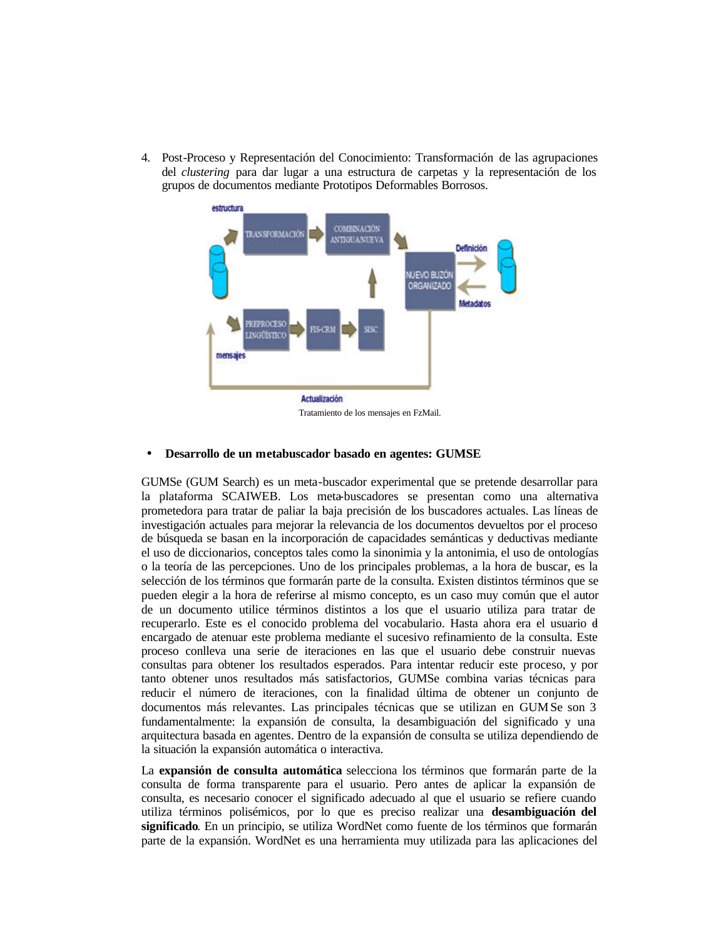4. Post-Proceso y Representación del Conocimiento: Transformación de las agrupaciones del *clustering* para dar lugar a una estructura de carpetas y la representación de los grupos de documentos mediante Prototipos Deformables Borrosos.



Tratamiento de los mensajes en FzMail.

#### • **Desarrollo de un metabuscador basado en agentes: GUMSE**

GUMSe (GUM Search) es un meta-buscador experimental que se pretende desarrollar para la plataforma SCAIWEB. Los meta-buscadores se presentan como una alternativa prometedora para tratar de paliar la baja precisión de los buscadores actuales. Las líneas de investigación actuales para mejorar la relevancia de los documentos devueltos por el proceso de búsqueda se basan en la incorporación de capacidades semánticas y deductivas mediante el uso de diccionarios, conceptos tales como la sinonimia y la antonimia, el uso de ontologías o la teoría de las percepciones. Uno de los principales problemas, a la hora de buscar, es la selección de los términos que formarán parte de la consulta. Existen distintos términos que se pueden elegir a la hora de referirse al mismo concepto, es un caso muy común que el autor de un documento utilice términos distintos a los que el usuario utiliza para tratar de recuperarlo. Este es el conocido problema del vocabulario. Hasta ahora era el usuario el encargado de atenuar este problema mediante el sucesivo refinamiento de la consulta. Este proceso conlleva una serie de iteraciones en las que el usuario debe construir nuevas consultas para obtener los resultados esperados. Para intentar reducir este proceso, y por tanto obtener unos resultados más satisfactorios, GUMSe combina varias técnicas para reducir el número de iteraciones, con la finalidad última de obtener un conjunto de documentos más relevantes. Las principales técnicas que se utilizan en GUMSe son 3 fundamentalmente: la expansión de consulta, la desambiguación del significado y una arquitectura basada en agentes. Dentro de la expansión de consulta se utiliza dependiendo de la situación la expansión automática o interactiva.

La **expansión de consulta automática** selecciona los términos que formarán parte de la consulta de forma transparente para el usuario. Pero antes de aplicar la expansión de consulta, es necesario conocer el significado adecuado al que el usuario se refiere cuando utiliza términos polisémicos, por lo que es preciso realizar una **desambiguación del significado**. En un principio, se utiliza WordNet como fuente de los términos que formarán parte de la expansión. WordNet es una herramienta muy utilizada para las aplicaciones del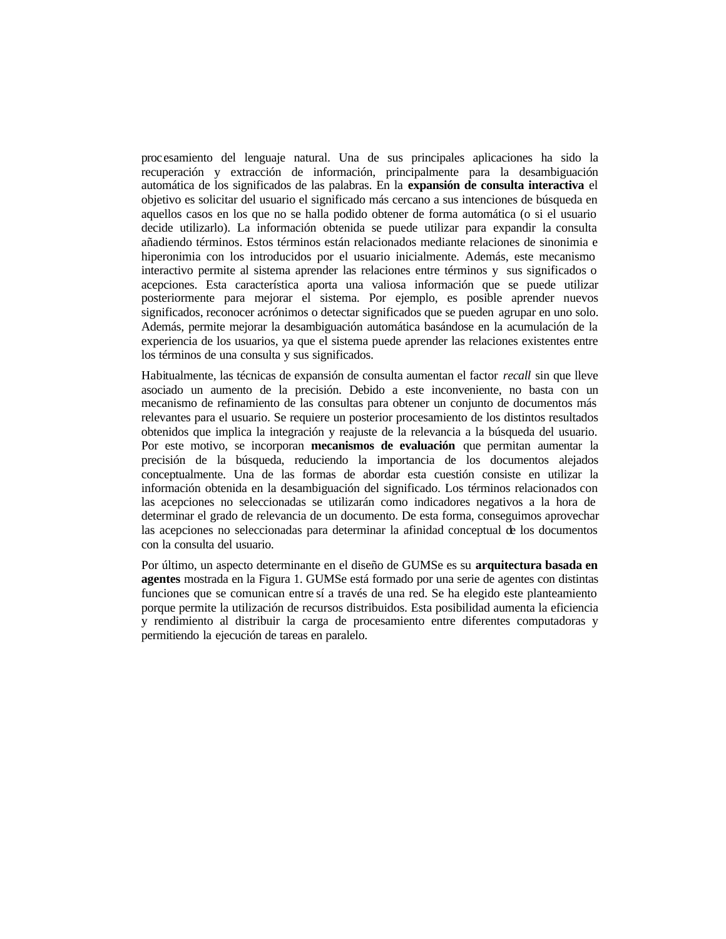procesamiento del lenguaje natural. Una de sus principales aplicaciones ha sido la recuperación y extracción de información, principalmente para la desambiguación automática de los significados de las palabras. En la **expansión de consulta interactiva** el objetivo es solicitar del usuario el significado más cercano a sus intenciones de búsqueda en aquellos casos en los que no se halla podido obtener de forma automática (o si el usuario decide utilizarlo). La información obtenida se puede utilizar para expandir la consulta añadiendo términos. Estos términos están relacionados mediante relaciones de sinonimia e hiperonimia con los introducidos por el usuario inicialmente. Además, este mecanismo interactivo permite al sistema aprender las relaciones entre términos y sus significados o acepciones. Esta característica aporta una valiosa información que se puede utilizar posteriormente para mejorar el sistema. Por ejemplo, es posible aprender nuevos significados, reconocer acrónimos o detectar significados que se pueden agrupar en uno solo. Además, permite mejorar la desambiguación automática basándose en la acumulación de la experiencia de los usuarios, ya que el sistema puede aprender las relaciones existentes entre los términos de una consulta y sus significados.

Habitualmente, las técnicas de expansión de consulta aumentan el factor *recall* sin que lleve asociado un aumento de la precisión. Debido a este inconveniente, no basta con un mecanismo de refinamiento de las consultas para obtener un conjunto de documentos más relevantes para el usuario. Se requiere un posterior procesamiento de los distintos resultados obtenidos que implica la integración y reajuste de la relevancia a la búsqueda del usuario. Por este motivo, se incorporan **mecanismos de evaluación** que permitan aumentar la precisión de la búsqueda, reduciendo la importancia de los documentos alejados conceptualmente. Una de las formas de abordar esta cuestión consiste en utilizar la información obtenida en la desambiguación del significado. Los términos relacionados con las acepciones no seleccionadas se utilizarán como indicadores negativos a la hora de determinar el grado de relevancia de un documento. De esta forma, conseguimos aprovechar las acepciones no seleccionadas para determinar la afinidad conceptual de los documentos con la consulta del usuario.

Por último, un aspecto determinante en el diseño de GUMSe es su **arquitectura basada en agentes** mostrada en la Figura 1. GUMSe está formado por una serie de agentes con distintas funciones que se comunican entre sí a través de una red. Se ha elegido este planteamiento porque permite la utilización de recursos distribuidos. Esta posibilidad aumenta la eficiencia y rendimiento al distribuir la carga de procesamiento entre diferentes computadoras y permitiendo la ejecución de tareas en paralelo.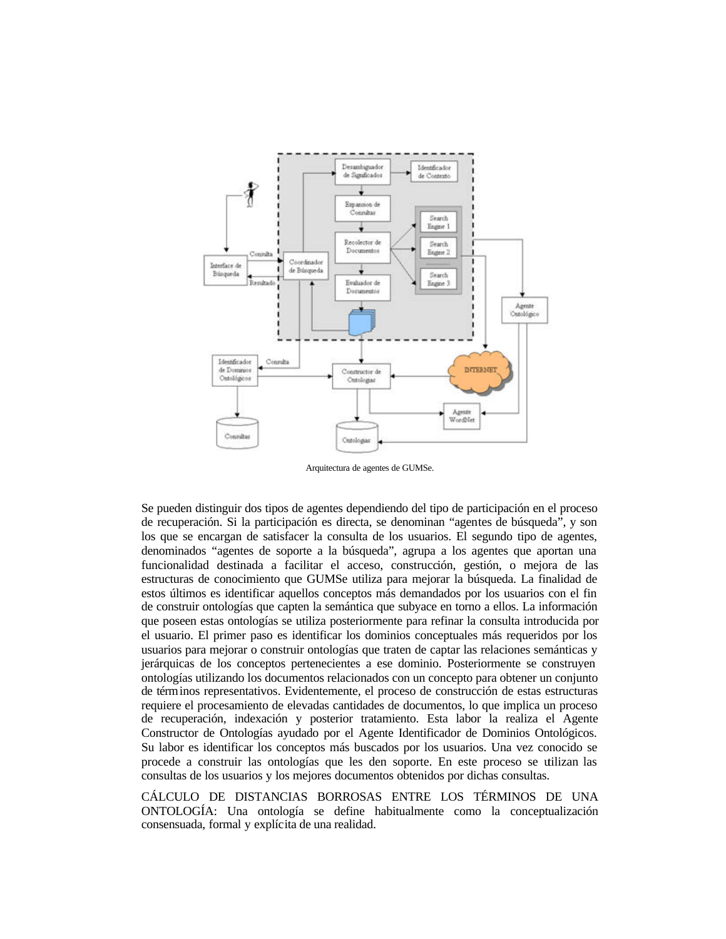

Arquitectura de agentes de GUMSe.

Se pueden distinguir dos tipos de agentes dependiendo del tipo de participación en el proceso de recuperación. Si la participación es directa, se denominan "agentes de búsqueda", y son los que se encargan de satisfacer la consulta de los usuarios. El segundo tipo de agentes, denominados "agentes de soporte a la búsqueda", agrupa a los agentes que aportan una funcionalidad destinada a facilitar el acceso, construcción, gestión, o mejora de las estructuras de conocimiento que GUMSe utiliza para mejorar la búsqueda. La finalidad de estos últimos es identificar aquellos conceptos más demandados por los usuarios con el fin de construir ontologías que capten la semántica que subyace en torno a ellos. La información que poseen estas ontologías se utiliza posteriormente para refinar la consulta introducida por el usuario. El primer paso es identificar los dominios conceptuales más requeridos por los usuarios para mejorar o construir ontologías que traten de captar las relaciones semánticas y jerárquicas de los conceptos pertenecientes a ese dominio. Posteriormente se construyen ontologías utilizando los documentos relacionados con un concepto para obtener un conjunto de términos representativos. Evidentemente, el proceso de construcción de estas estructuras requiere el procesamiento de elevadas cantidades de documentos, lo que implica un proceso de recuperación, indexación y posterior tratamiento. Esta labor la realiza el Agente Constructor de Ontologías ayudado por el Agente Identificador de Dominios Ontológicos. Su labor es identificar los conceptos más buscados por los usuarios. Una vez conocido se procede a construir las ontologías que les den soporte. En este proceso se utilizan las consultas de los usuarios y los mejores documentos obtenidos por dichas consultas.

CÁLCULO DE DISTANCIAS BORROSAS ENTRE LOS TÉRMINOS DE UNA ONTOLOGÍA: Una ontología se define habitualmente como la conceptualización consensuada, formal y explícita de una realidad.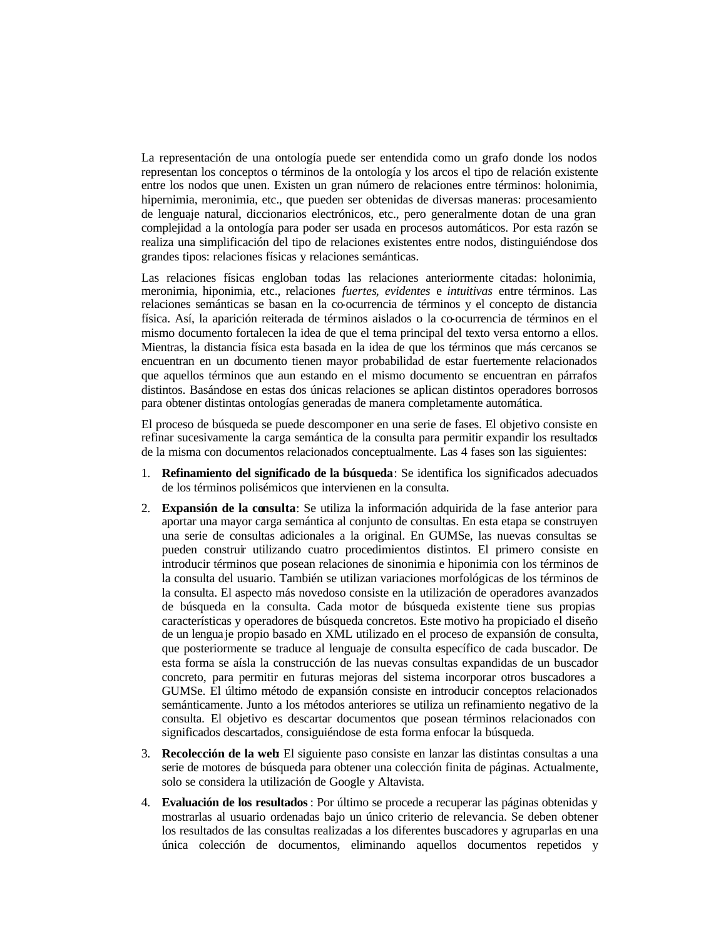La representación de una ontología puede ser entendida como un grafo donde los nodos representan los conceptos o términos de la ontología y los arcos el tipo de relación existente entre los nodos que unen. Existen un gran número de relaciones entre términos: holonimia, hipernimia, meronimia, etc., que pueden ser obtenidas de diversas maneras: procesamiento de lenguaje natural, diccionarios electrónicos, etc., pero generalmente dotan de una gran complejidad a la ontología para poder ser usada en procesos automáticos. Por esta razón se realiza una simplificación del tipo de relaciones existentes entre nodos, distinguiéndose dos grandes tipos: relaciones físicas y relaciones semánticas.

Las relaciones físicas engloban todas las relaciones anteriormente citadas: holonimia, meronimia, hiponimia, etc., relaciones *fuertes*, *evidentes* e *intuitivas* entre términos. Las relaciones semánticas se basan en la co-ocurrencia de términos y el concepto de distancia física. Así, la aparición reiterada de términos aislados o la co-ocurrencia de términos en el mismo documento fortalecen la idea de que el tema principal del texto versa entorno a ellos. Mientras, la distancia física esta basada en la idea de que los términos que más cercanos se encuentran en un documento tienen mayor probabilidad de estar fuertemente relacionados que aquellos términos que aun estando en el mismo documento se encuentran en párrafos distintos. Basándose en estas dos únicas relaciones se aplican distintos operadores borrosos para obtener distintas ontologías generadas de manera completamente automática.

El proceso de búsqueda se puede descomponer en una serie de fases. El objetivo consiste en refinar sucesivamente la carga semántica de la consulta para permitir expandir los resultados de la misma con documentos relacionados conceptualmente. Las 4 fases son las siguientes:

- 1. **Refinamiento del significado de la búsqueda**: Se identifica los significados adecuados de los términos polisémicos que intervienen en la consulta.
- 2. **Expansión de la consulta**: Se utiliza la información adquirida de la fase anterior para aportar una mayor carga semántica al conjunto de consultas. En esta etapa se construyen una serie de consultas adicionales a la original. En GUMSe, las nuevas consultas se pueden construir utilizando cuatro procedimientos distintos. El primero consiste en introducir términos que posean relaciones de sinonimia e hiponimia con los términos de la consulta del usuario. También se utilizan variaciones morfológicas de los términos de la consulta. El aspecto más novedoso consiste en la utilización de operadores avanzados de búsqueda en la consulta. Cada motor de búsqueda existente tiene sus propias características y operadores de búsqueda concretos. Este motivo ha propiciado el diseño de un lengua je propio basado en XML utilizado en el proceso de expansión de consulta, que posteriormente se traduce al lenguaje de consulta específico de cada buscador. De esta forma se aísla la construcción de las nuevas consultas expandidas de un buscador concreto, para permitir en futuras mejoras del sistema incorporar otros buscadores a GUMSe. El último método de expansión consiste en introducir conceptos relacionados semánticamente. Junto a los métodos anteriores se utiliza un refinamiento negativo de la consulta. El objetivo es descartar documentos que posean términos relacionados con significados descartados, consiguiéndose de esta forma enfocar la búsqueda.
- 3. **Recolección de la web**: El siguiente paso consiste en lanzar las distintas consultas a una serie de motores de búsqueda para obtener una colección finita de páginas. Actualmente, solo se considera la utilización de Google y Altavista.
- 4. **Evaluación de los resultados**: Por último se procede a recuperar las páginas obtenidas y mostrarlas al usuario ordenadas bajo un único criterio de relevancia. Se deben obtener los resultados de las consultas realizadas a los diferentes buscadores y agruparlas en una única colección de documentos, eliminando aquellos documentos repetidos y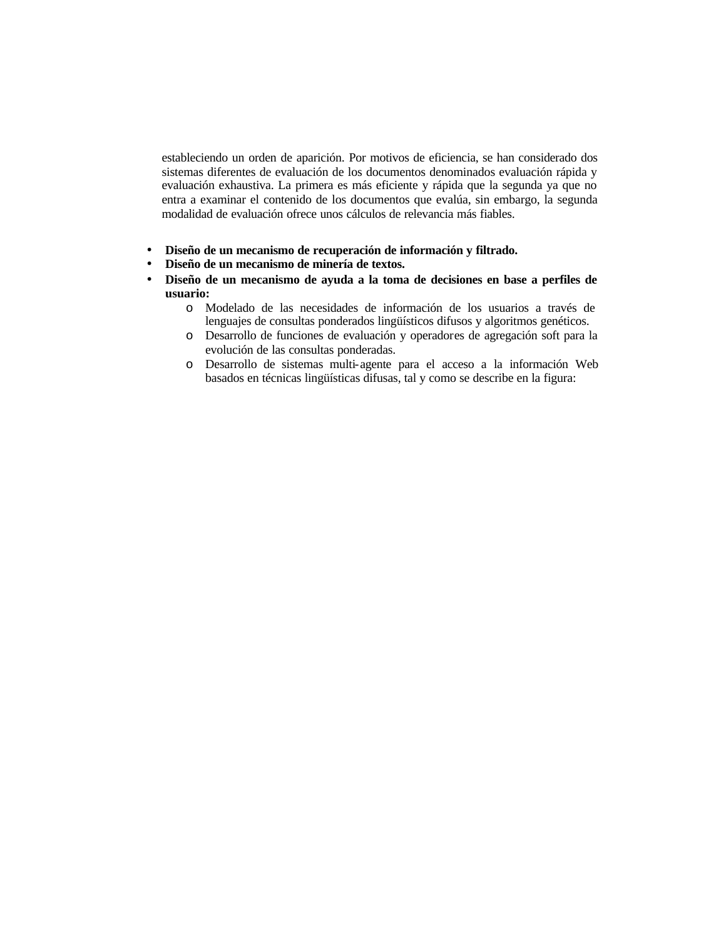estableciendo un orden de aparición. Por motivos de eficiencia, se han considerado dos sistemas diferentes de evaluación de los documentos denominados evaluación rápida y evaluación exhaustiva. La primera es más eficiente y rápida que la segunda ya que no entra a examinar el contenido de los documentos que evalúa, sin embargo, la segunda modalidad de evaluación ofrece unos cálculos de relevancia más fiables.

- **Diseño de un mecanismo de recuperación de información y filtrado.**
- **Diseño de un mecanismo de minería de textos.**
- **Diseño de un mecanismo de ayuda a la toma de decisiones en base a perfiles de usuario:**
	- o Modelado de las necesidades de información de los usuarios a través de lenguajes de consultas ponderados lingüísticos difusos y algoritmos genéticos.
	- o Desarrollo de funciones de evaluación y operadores de agregación soft para la evolución de las consultas ponderadas.
	- o Desarrollo de sistemas multi-agente para el acceso a la información Web basados en técnicas lingüísticas difusas, tal y como se describe en la figura: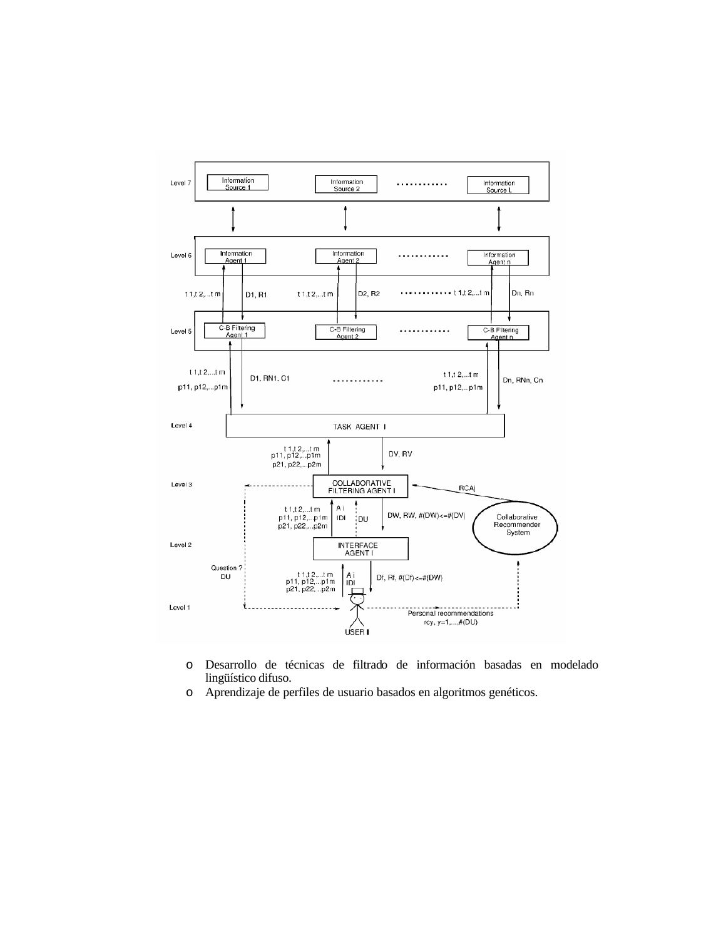

- o Desarrollo de técnicas de filtrado de información basadas en modelado lingüístico difuso.
- o Aprendizaje de perfiles de usuario basados en algoritmos genéticos.